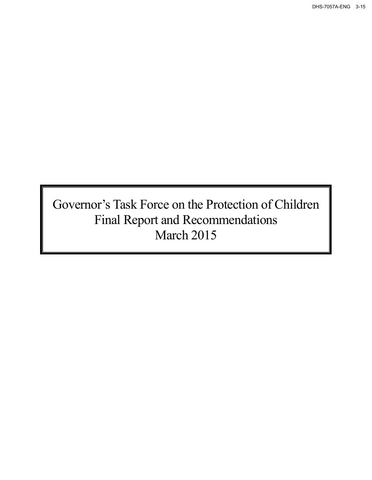DHS-7057A-ENG 3-15

Governor's Task Force on the Protection of Children Final Report and Recommendations March 2015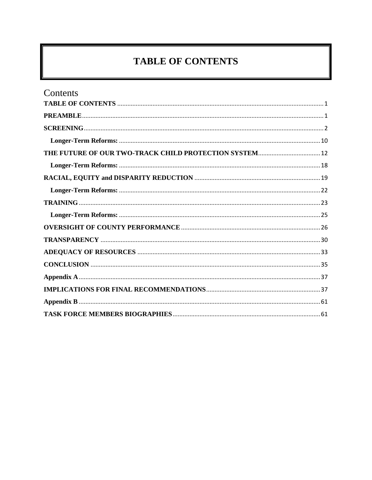# **TABLE OF CONTENTS**

<span id="page-1-0"></span>

| Contents                                               |  |
|--------------------------------------------------------|--|
|                                                        |  |
|                                                        |  |
|                                                        |  |
|                                                        |  |
| THE FUTURE OF OUR TWO-TRACK CHILD PROTECTION SYSTEM 12 |  |
|                                                        |  |
|                                                        |  |
|                                                        |  |
|                                                        |  |
|                                                        |  |
|                                                        |  |
|                                                        |  |
|                                                        |  |
|                                                        |  |
|                                                        |  |
|                                                        |  |
|                                                        |  |
|                                                        |  |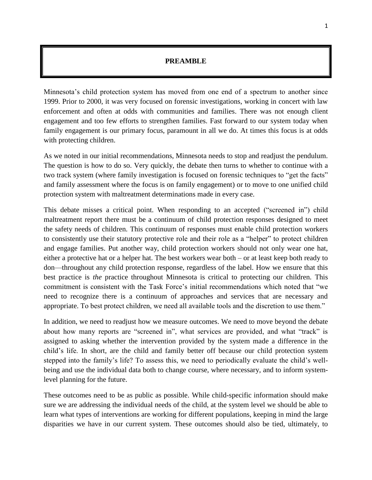### **PREAMBLE**

<span id="page-2-0"></span>Minnesota's child protection system has moved from one end of a spectrum to another since 1999. Prior to 2000, it was very focused on forensic investigations, working in concert with law enforcement and often at odds with communities and families. There was not enough client engagement and too few efforts to strengthen families. Fast forward to our system today when family engagement is our primary focus, paramount in all we do. At times this focus is at odds with protecting children.

As we noted in our initial recommendations, Minnesota needs to stop and readjust the pendulum. The question is how to do so. Very quickly, the debate then turns to whether to continue with a two track system (where family investigation is focused on forensic techniques to "get the facts" and family assessment where the focus is on family engagement) or to move to one unified child protection system with maltreatment determinations made in every case.

This debate misses a critical point. When responding to an accepted ("screened in") child maltreatment report there must be a continuum of child protection responses designed to meet the safety needs of children. This continuum of responses must enable child protection workers to consistently use their statutory protective role and their role as a "helper" to protect children and engage families. Put another way, child protection workers should not only wear one hat, either a protective hat or a helper hat. The best workers wear both – or at least keep both ready to don—throughout any child protection response, regardless of the label. How we ensure that this best practice is *the* practice throughout Minnesota is critical to protecting our children. This commitment is consistent with the Task Force's initial recommendations which noted that "we need to recognize there is a continuum of approaches and services that are necessary and appropriate. To best protect children, we need all available tools and the discretion to use them."

In addition, we need to readjust how we measure outcomes. We need to move beyond the debate about how many reports are "screened in", what services are provided, and what "track" is assigned to asking whether the intervention provided by the system made a difference in the child's life. In short, are the child and family better off because our child protection system stepped into the family's life? To assess this, we need to periodically evaluate the child's wellbeing and use the individual data both to change course, where necessary, and to inform systemlevel planning for the future.

These outcomes need to be as public as possible. While child-specific information should make sure we are addressing the individual needs of the child, at the system level we should be able to learn what types of interventions are working for different populations, keeping in mind the large disparities we have in our current system. These outcomes should also be tied, ultimately, to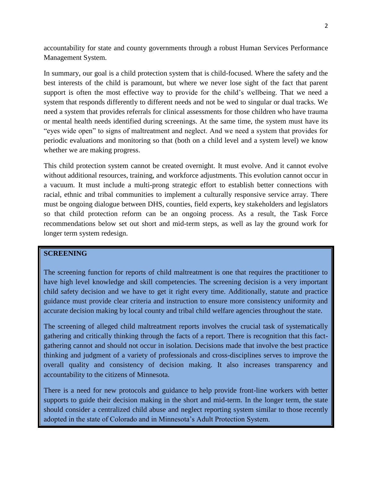accountability for state and county governments through a robust Human Services Performance Management System.

In summary, our goal is a child protection system that is child-focused. Where the safety and the best interests of the child is paramount, but where we never lose sight of the fact that parent support is often the most effective way to provide for the child's wellbeing. That we need a system that responds differently to different needs and not be wed to singular or dual tracks. We need a system that provides referrals for clinical assessments for those children who have trauma or mental health needs identified during screenings. At the same time, the system must have its "eyes wide open" to signs of maltreatment and neglect. And we need a system that provides for periodic evaluations and monitoring so that (both on a child level and a system level) we know whether we are making progress.

This child protection system cannot be created overnight. It must evolve. And it cannot evolve without additional resources, training, and workforce adjustments. This evolution cannot occur in a vacuum. It must include a multi-prong strategic effort to establish better connections with racial, ethnic and tribal communities to implement a culturally responsive service array. There must be ongoing dialogue between DHS, counties, field experts, key stakeholders and legislators so that child protection reform can be an ongoing process. As a result, the Task Force recommendations below set out short and mid-term steps, as well as lay the ground work for longer term system redesign.

### <span id="page-3-0"></span>**SCREENING**

The screening function for reports of child maltreatment is one that requires the practitioner to have high level knowledge and skill competencies. The screening decision is a very important child safety decision and we have to get it right every time. Additionally, statute and practice guidance must provide clear criteria and instruction to ensure more consistency uniformity and accurate decision making by local county and tribal child welfare agencies throughout the state.

The screening of alleged child maltreatment reports involves the crucial task of systematically gathering and critically thinking through the facts of a report. There is recognition that this factgathering cannot and should not occur in isolation. Decisions made that involve the best practice thinking and judgment of a variety of professionals and cross-disciplines serves to improve the overall quality and consistency of decision making. It also increases transparency and accountability to the citizens of Minnesota.

There is a need for new protocols and guidance to help provide front-line workers with better supports to guide their decision making in the short and mid-term. In the longer term, the state should consider a centralized child abuse and neglect reporting system similar to those recently adopted in the state of Colorado and in Minnesota's Adult Protection System.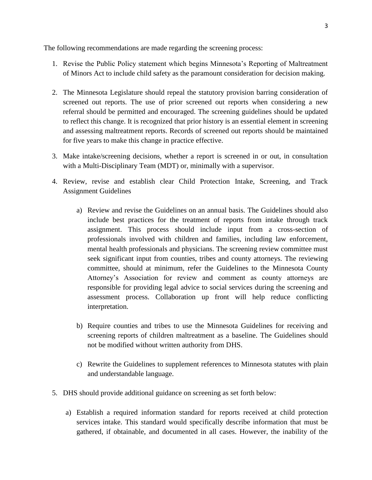The following recommendations are made regarding the screening process:

- 1. Revise the Public Policy statement which begins Minnesota's Reporting of Maltreatment of Minors Act to include child safety as the paramount consideration for decision making.
- 2. The Minnesota Legislature should repeal the statutory provision barring consideration of screened out reports. The use of prior screened out reports when considering a new referral should be permitted and encouraged. The screening guidelines should be updated to reflect this change. It is recognized that prior history is an essential element in screening and assessing maltreatment reports. Records of screened out reports should be maintained for five years to make this change in practice effective.
- 3. Make intake/screening decisions, whether a report is screened in or out, in consultation with a Multi-Disciplinary Team (MDT) or, minimally with a supervisor.
- 4. Review, revise and establish clear Child Protection Intake, Screening, and Track Assignment Guidelines
	- a) Review and revise the Guidelines on an annual basis. The Guidelines should also include best practices for the treatment of reports from intake through track assignment. This process should include input from a cross-section of professionals involved with children and families, including law enforcement, mental health professionals and physicians. The screening review committee must seek significant input from counties, tribes and county attorneys. The reviewing committee, should at minimum, refer the Guidelines to the Minnesota County Attorney's Association for review and comment as county attorneys are responsible for providing legal advice to social services during the screening and assessment process. Collaboration up front will help reduce conflicting interpretation.
	- b) Require counties and tribes to use the Minnesota Guidelines for receiving and screening reports of children maltreatment as a baseline. The Guidelines should not be modified without written authority from DHS.
	- c) Rewrite the Guidelines to supplement references to Minnesota statutes with plain and understandable language.
- 5. DHS should provide additional guidance on screening as set forth below:
	- a) Establish a required information standard for reports received at child protection services intake. This standard would specifically describe information that must be gathered, if obtainable, and documented in all cases. However, the inability of the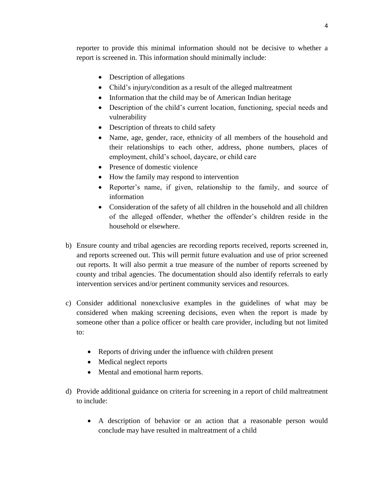reporter to provide this minimal information should not be decisive to whether a report is screened in. This information should minimally include:

- Description of allegations
- Child's injury/condition as a result of the alleged maltreatment
- Information that the child may be of American Indian heritage
- Description of the child's current location, functioning, special needs and vulnerability
- Description of threats to child safety
- Name, age, gender, race, ethnicity of all members of the household and their relationships to each other, address, phone numbers, places of employment, child's school, daycare, or child care
- Presence of domestic violence
- How the family may respond to intervention
- Reporter's name, if given, relationship to the family, and source of information
- Consideration of the safety of all children in the household and all children of the alleged offender, whether the offender's children reside in the household or elsewhere.
- b) Ensure county and tribal agencies are recording reports received, reports screened in, and reports screened out. This will permit future evaluation and use of prior screened out reports. It will also permit a true measure of the number of reports screened by county and tribal agencies. The documentation should also identify referrals to early intervention services and/or pertinent community services and resources.
- c) Consider additional nonexclusive examples in the guidelines of what may be considered when making screening decisions, even when the report is made by someone other than a police officer or health care provider, including but not limited to:
	- Reports of driving under the influence with children present
	- Medical neglect reports
	- Mental and emotional harm reports.
- d) Provide additional guidance on criteria for screening in a report of child maltreatment to include:
	- A description of behavior or an action that a reasonable person would conclude may have resulted in maltreatment of a child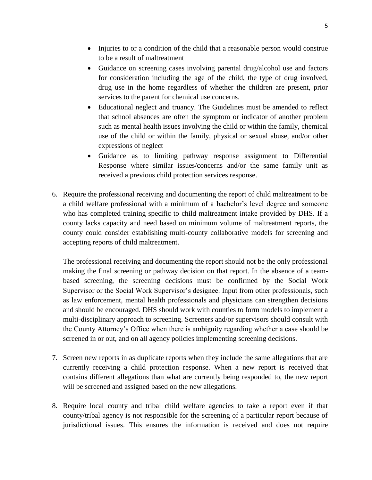- Injuries to or a condition of the child that a reasonable person would construe to be a result of maltreatment
- Guidance on screening cases involving parental drug/alcohol use and factors for consideration including the age of the child, the type of drug involved, drug use in the home regardless of whether the children are present, prior services to the parent for chemical use concerns.
- Educational neglect and truancy. The Guidelines must be amended to reflect that school absences are often the symptom or indicator of another problem such as mental health issues involving the child or within the family, chemical use of the child or within the family, physical or sexual abuse, and/or other expressions of neglect
- Guidance as to limiting pathway response assignment to Differential Response where similar issues/concerns and/or the same family unit as received a previous child protection services response.
- 6. Require the professional receiving and documenting the report of child maltreatment to be a child welfare professional with a minimum of a bachelor's level degree and someone who has completed training specific to child maltreatment intake provided by DHS. If a county lacks capacity and need based on minimum volume of maltreatment reports, the county could consider establishing multi-county collaborative models for screening and accepting reports of child maltreatment.

The professional receiving and documenting the report should not be the only professional making the final screening or pathway decision on that report. In the absence of a teambased screening, the screening decisions must be confirmed by the Social Work Supervisor or the Social Work Supervisor's designee. Input from other professionals, such as law enforcement, mental health professionals and physicians can strengthen decisions and should be encouraged. DHS should work with counties to form models to implement a multi-disciplinary approach to screening. Screeners and/or supervisors should consult with the County Attorney's Office when there is ambiguity regarding whether a case should be screened in or out, and on all agency policies implementing screening decisions.

- 7. Screen new reports in as duplicate reports when they include the same allegations that are currently receiving a child protection response. When a new report is received that contains different allegations than what are currently being responded to, the new report will be screened and assigned based on the new allegations.
- 8. Require local county and tribal child welfare agencies to take a report even if that county/tribal agency is not responsible for the screening of a particular report because of jurisdictional issues. This ensures the information is received and does not require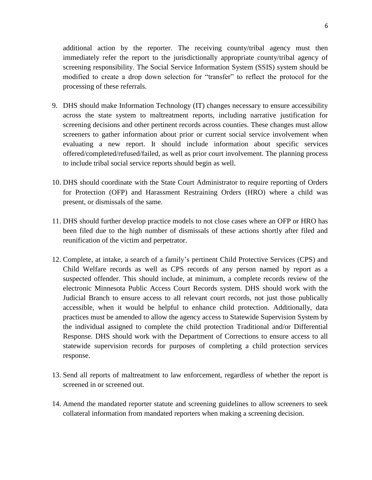additional action by the reporter. The receiving county/tribal agency must then immediately refer the report to the jurisdictionally appropriate county/tribal agency of screening responsibility. The Social Service Information System (SSIS) system should be modified to create a drop down selection for "transfer" to reflect the protocol for the processing of these referrals.

- 9. DHS should make Information Technology (IT) changes necessary to ensure accessibility across the state system to maltreatment reports, including narrative justification for screening decisions and other pertinent records across counties. These changes must allow screeners to gather information about prior or current social service involvement when evaluating a new report. It should include information about specific services offered/completed/refused/failed, as well as prior court involvement. The planning process to include tribal social service reports should begin as well.
- 10. DHS should coordinate with the State Court Administrator to require reporting of Orders for Protection (OFP) and Harassment Restraining Orders (HRO) where a child was present, or dismissals of the same.
- 11. DHS should further develop practice models to not close cases where an OFP or HRO has been filed due to the high number of dismissals of these actions shortly after filed and reunification of the victim and perpetrator.
- 12. Complete, at intake, a search of a family's pertinent Child Protective Services (CPS) and Child Welfare records as well as CPS records of any person named by report as a suspected offender. This should include, at minimum, a complete records review of the electronic Minnesota Public Access Court Records system. DHS should work with the Judicial Branch to ensure access to all relevant court records, not just those publically accessible, when it would be helpful to enhance child protection. Additionally, data practices must be amended to allow the agency access to Statewide Supervision System by the individual assigned to complete the child protection Traditional and/or Differential Response. DHS should work with the Department of Corrections to ensure access to all statewide supervision records for purposes of completing a child protection services response.
- 13. Send all reports of maltreatment to law enforcement, regardless of whether the report is screened in or screened out.
- 14. Amend the mandated reporter statute and screening guidelines to allow screeners to seek collateral information from mandated reporters when making a screening decision.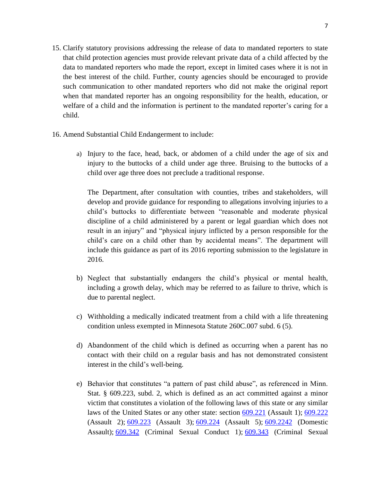- 15. Clarify statutory provisions addressing the release of data to mandated reporters to state that child protection agencies must provide relevant private data of a child affected by the data to mandated reporters who made the report, except in limited cases where it is not in the best interest of the child. Further, county agencies should be encouraged to provide such communication to other mandated reporters who did not make the original report when that mandated reporter has an ongoing responsibility for the health, education, or welfare of a child and the information is pertinent to the mandated reporter's caring for a child.
- 16. Amend Substantial Child Endangerment to include:
	- a) Injury to the face, head, back, or abdomen of a child under the age of six and injury to the buttocks of a child under age three. Bruising to the buttocks of a child over age three does not preclude a traditional response.

The Department, after consultation with counties, tribes and stakeholders, will develop and provide guidance for responding to allegations involving injuries to a child's buttocks to differentiate between "reasonable and moderate physical discipline of a child administered by a parent or legal guardian which does not result in an injury" and "physical injury inflicted by a person responsible for the child's care on a child other than by accidental means". The department will include this guidance as part of its 2016 reporting submission to the legislature in 2016.

- b) Neglect that substantially endangers the child's physical or mental health, including a growth delay, which may be referred to as failure to thrive, which is due to parental neglect.
- c) Withholding a medically indicated treatment from a child with a life threatening condition unless exempted in Minnesota Statute 260C.007 subd. 6 (5).
- d) Abandonment of the child which is defined as occurring when a parent has no contact with their child on a regular basis and has not demonstrated consistent interest in the child's well-being.
- e) Behavior that constitutes "a pattern of past child abuse", as referenced in Minn. Stat. § 609.223, subd. 2, which is defined as an act committed against a minor victim that constitutes a violation of the following laws of this state or any similar laws of the United States or any other state: section [609.221](https://www.revisor.leg.state.mn.us/statutes/?id=609.221) (Assault 1); [609.222](https://www.revisor.leg.state.mn.us/statutes/?id=609.222) (Assault 2); [609.223](https://www.revisor.leg.state.mn.us/statutes/?id=609.223) (Assault 3); [609.224](https://www.revisor.leg.state.mn.us/statutes/?id=609.224) (Assault 5); [609.2242](https://www.revisor.leg.state.mn.us/statutes/?id=609.2242) (Domestic Assault); [609.342](https://www.revisor.leg.state.mn.us/statutes/?id=609.342) (Criminal Sexual Conduct 1); [609.343](https://www.revisor.leg.state.mn.us/statutes/?id=609.343) (Criminal Sexual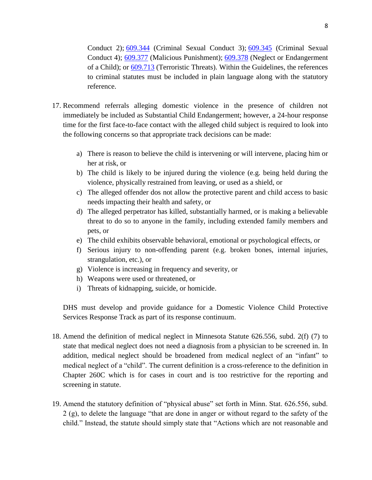Conduct 2); [609.344](https://www.revisor.leg.state.mn.us/statutes/?id=609.344) (Criminal Sexual Conduct 3); [609.345](https://www.revisor.leg.state.mn.us/statutes/?id=609.345) (Criminal Sexual Conduct 4); [609.377](https://www.revisor.leg.state.mn.us/statutes/?id=609.377) (Malicious Punishment); [609.378](https://www.revisor.leg.state.mn.us/statutes/?id=609.378) (Neglect or Endangerment of a Child); or [609.713](https://www.revisor.leg.state.mn.us/statutes/?id=609.713) (Terroristic Threats). Within the Guidelines, the references to criminal statutes must be included in plain language along with the statutory reference.

- 17. Recommend referrals alleging domestic violence in the presence of children not immediately be included as Substantial Child Endangerment; however, a 24-hour response time for the first face-to-face contact with the alleged child subject is required to look into the following concerns so that appropriate track decisions can be made:
	- a) There is reason to believe the child is intervening or will intervene, placing him or her at risk, or
	- b) The child is likely to be injured during the violence (e.g. being held during the violence, physically restrained from leaving, or used as a shield, or
	- c) The alleged offender dos not allow the protective parent and child access to basic needs impacting their health and safety, or
	- d) The alleged perpetrator has killed, substantially harmed, or is making a believable threat to do so to anyone in the family, including extended family members and pets, or
	- e) The child exhibits observable behavioral, emotional or psychological effects, or
	- f) Serious injury to non-offending parent (e.g. broken bones, internal injuries, strangulation, etc.), or
	- g) Violence is increasing in frequency and severity, or
	- h) Weapons were used or threatened, or
	- i) Threats of kidnapping, suicide, or homicide.

DHS must develop and provide guidance for a Domestic Violence Child Protective Services Response Track as part of its response continuum.

- 18. Amend the definition of medical neglect in Minnesota Statute 626.556, subd. 2(f) (7) to state that medical neglect does not need a diagnosis from a physician to be screened in. In addition, medical neglect should be broadened from medical neglect of an "infant" to medical neglect of a "child". The current definition is a cross-reference to the definition in Chapter 260C which is for cases in court and is too restrictive for the reporting and screening in statute.
- 19. Amend the statutory definition of "physical abuse" set forth in Minn. Stat. 626.556, subd. 2 (g), to delete the language "that are done in anger or without regard to the safety of the child." Instead, the statute should simply state that "Actions which are not reasonable and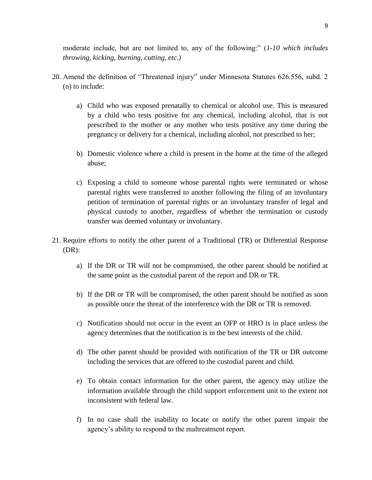moderate include, but are not limited to, any of the following:" (*1-10 which includes throwing, kicking, burning, cutting, etc.)*

- 20. Amend the definition of "Threatened injury" under Minnesota Statutes 626.556, subd. 2 (n) to include:
	- a) Child who was exposed prenatally to chemical or alcohol use. This is measured by a child who tests positive for any chemical, including alcohol, that is not prescribed to the mother or any mother who tests positive any time during the pregnancy or delivery for a chemical, including alcohol, not prescribed to her;
	- b) Domestic violence where a child is present in the home at the time of the alleged abuse;
	- c) Exposing a child to someone whose parental rights were terminated or whose parental rights were transferred to another following the filing of an involuntary petition of termination of parental rights or an involuntary transfer of legal and physical custody to another, regardless of whether the termination or custody transfer was deemed voluntary or involuntary.
- 21. Require efforts to notify the other parent of a Traditional (TR) or Differential Response (DR):
	- a) If the DR or TR will not be compromised, the other parent should be notified at the same point as the custodial parent of the report and DR or TR.
	- b) If the DR or TR will be compromised, the other parent should be notified as soon as possible once the threat of the interference with the DR or TR is removed.
	- c) Notification should not occur in the event an OFP or HRO is in place unless the agency determines that the notification is in the best interests of the child.
	- d) The other parent should be provided with notification of the TR or DR outcome including the services that are offered to the custodial parent and child.
	- e) To obtain contact information for the other parent, the agency may utilize the information available through the child support enforcement unit to the extent not inconsistent with federal law.
	- f) In no case shall the inability to locate or notify the other parent impair the agency's ability to respond to the maltreatment report.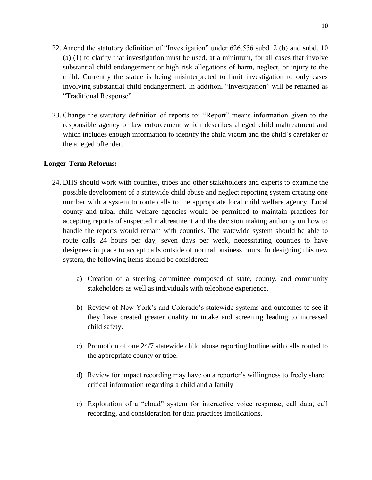- 22. Amend the statutory definition of "Investigation" under 626.556 subd. 2 (b) and subd. 10 (a) (1) to clarify that investigation must be used, at a minimum, for all cases that involve substantial child endangerment or high risk allegations of harm, neglect, or injury to the child. Currently the statue is being misinterpreted to limit investigation to only cases involving substantial child endangerment. In addition, "Investigation" will be renamed as "Traditional Response".
- 23. Change the statutory definition of reports to: "Report" means information given to the responsible agency or law enforcement which describes alleged child maltreatment and which includes enough information to identify the child victim and the child's caretaker or the alleged offender.

### <span id="page-11-0"></span>**Longer-Term Reforms:**

- 24. DHS should work with counties, tribes and other stakeholders and experts to examine the possible development of a statewide child abuse and neglect reporting system creating one number with a system to route calls to the appropriate local child welfare agency. Local county and tribal child welfare agencies would be permitted to maintain practices for accepting reports of suspected maltreatment and the decision making authority on how to handle the reports would remain with counties. The statewide system should be able to route calls 24 hours per day, seven days per week, necessitating counties to have designees in place to accept calls outside of normal business hours. In designing this new system, the following items should be considered:
	- a) Creation of a steering committee composed of state, county, and community stakeholders as well as individuals with telephone experience.
	- b) Review of New York's and Colorado's statewide systems and outcomes to see if they have created greater quality in intake and screening leading to increased child safety.
	- c) Promotion of one 24/7 statewide child abuse reporting hotline with calls routed to the appropriate county or tribe.
	- d) Review for impact recording may have on a reporter's willingness to freely share critical information regarding a child and a family
	- e) Exploration of a "cloud" system for interactive voice response, call data, call recording, and consideration for data practices implications.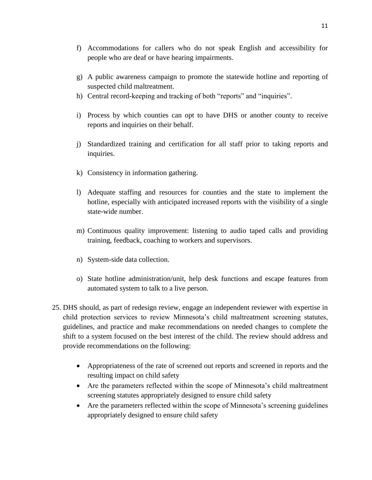- f) Accommodations for callers who do not speak English and accessibility for people who are deaf or have hearing impairments.
- g) A public awareness campaign to promote the statewide hotline and reporting of suspected child maltreatment.
- h) Central record-keeping and tracking of both "reports" and "inquiries".
- i) Process by which counties can opt to have DHS or another county to receive reports and inquiries on their behalf.
- j) Standardized training and certification for all staff prior to taking reports and inquiries.
- k) Consistency in information gathering.
- l) Adequate staffing and resources for counties and the state to implement the hotline, especially with anticipated increased reports with the visibility of a single state-wide number.
- m) Continuous quality improvement: listening to audio taped calls and providing training, feedback, coaching to workers and supervisors.
- n) System-side data collection.
- o) State hotline administration/unit, help desk functions and escape features from automated system to talk to a live person.
- 25. DHS should, as part of redesign review, engage an independent reviewer with expertise in child protection services to review Minnesota's child maltreatment screening statutes, guidelines, and practice and make recommendations on needed changes to complete the shift to a system focused on the best interest of the child. The review should address and provide recommendations on the following:
	- Appropriateness of the rate of screened out reports and screened in reports and the resulting impact on child safety
	- Are the parameters reflected within the scope of Minnesota's child maltreatment screening statutes appropriately designed to ensure child safety
	- Are the parameters reflected within the scope of Minnesota's screening guidelines appropriately designed to ensure child safety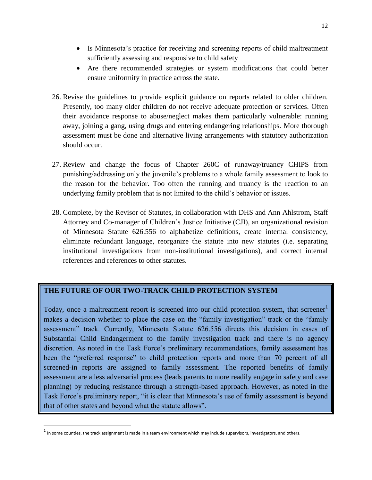- Is Minnesota's practice for receiving and screening reports of child maltreatment sufficiently assessing and responsive to child safety
- Are there recommended strategies or system modifications that could better ensure uniformity in practice across the state.
- 26. Revise the guidelines to provide explicit guidance on reports related to older children. Presently, too many older children do not receive adequate protection or services. Often their avoidance response to abuse/neglect makes them particularly vulnerable: running away, joining a gang, using drugs and entering endangering relationships. More thorough assessment must be done and alternative living arrangements with statutory authorization should occur.
- 27. Review and change the focus of Chapter 260C of runaway/truancy CHIPS from punishing/addressing only the juvenile's problems to a whole family assessment to look to the reason for the behavior. Too often the running and truancy is the reaction to an underlying family problem that is not limited to the child's behavior or issues.
- 28. Complete, by the Revisor of Statutes, in collaboration with DHS and Ann Ahlstrom, Staff Attorney and Co-manager of Children's Justice Initiative (CJI), an organizational revision of Minnesota Statute 626.556 to alphabetize definitions, create internal consistency, eliminate redundant language, reorganize the statute into new statutes (i.e. separating institutional investigations from non-institutional investigations), and correct internal references and references to other statutes.

### <span id="page-13-0"></span>**THE FUTURE OF OUR TWO-TRACK CHILD PROTECTION SYSTEM**

Today, once a maltreatment report is screened into our child protection system, that screener makes a decision whether to place the case on the "family investigation" track or the "family assessment" track. Currently, Minnesota Statute 626.556 directs this decision in cases of Substantial Child Endangerment to the family investigation track and there is no agency discretion. As noted in the Task Force's preliminary recommendations, family assessment has been the "preferred response" to child protection reports and more than 70 percent of all screened-in reports are assigned to family assessment. The reported benefits of family assessment are a less adversarial process (leads parents to more readily engage in safety and case planning) by reducing resistance through a strength-based approach. However, as noted in the Task Force's preliminary report, "it is clear that Minnesota's use of family assessment is beyond that of other states and beyond what the statute allows".

 $\overline{\phantom{a}}$ 

 $^{\rm 1}$  In some counties, the track assignment is made in a team environment which may include supervisors, investigators, and others.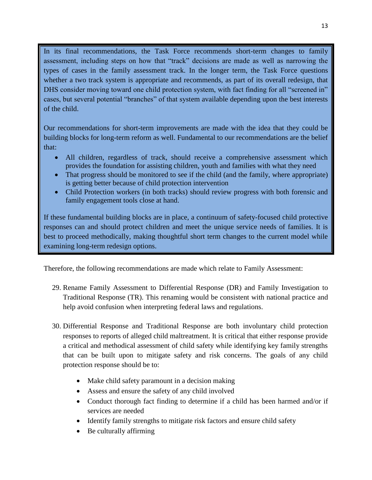In its final recommendations, the Task Force recommends short-term changes to family assessment, including steps on how that "track" decisions are made as well as narrowing the types of cases in the family assessment track. In the longer term, the Task Force questions whether a two track system is appropriate and recommends, as part of its overall redesign, that DHS consider moving toward one child protection system, with fact finding for all "screened in" cases, but several potential "branches" of that system available depending upon the best interests of the child.

Our recommendations for short-term improvements are made with the idea that they could be building blocks for long-term reform as well. Fundamental to our recommendations are the belief that:

- All children, regardless of track, should receive a comprehensive assessment which provides the foundation for assisting children, youth and families with what they need
- That progress should be monitored to see if the child (and the family, where appropriate) is getting better because of child protection intervention
- Child Protection workers (in both tracks) should review progress with both forensic and family engagement tools close at hand.

If these fundamental building blocks are in place, a continuum of safety-focused child protective responses can and should protect children and meet the unique service needs of families. It is best to proceed methodically, making thoughtful short term changes to the current model while examining long-term redesign options.

Therefore, the following recommendations are made which relate to Family Assessment:

- 29. Rename Family Assessment to Differential Response (DR) and Family Investigation to Traditional Response (TR). This renaming would be consistent with national practice and help avoid confusion when interpreting federal laws and regulations.
- 30. Differential Response and Traditional Response are both involuntary child protection responses to reports of alleged child maltreatment. It is critical that either response provide a critical and methodical assessment of child safety while identifying key family strengths that can be built upon to mitigate safety and risk concerns. The goals of any child protection response should be to:
	- Make child safety paramount in a decision making
	- Assess and ensure the safety of any child involved
	- Conduct thorough fact finding to determine if a child has been harmed and/or if services are needed
	- Identify family strengths to mitigate risk factors and ensure child safety
	- Be culturally affirming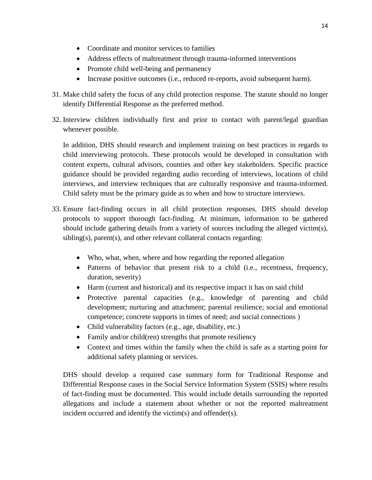- Coordinate and monitor services to families
- Address effects of maltreatment through trauma-informed interventions
- Promote child well-being and permanency
- Increase positive outcomes (i.e., reduced re-reports, avoid subsequent harm).
- 31. Make child safety the focus of any child protection response. The statute should no longer identify Differential Response as the preferred method.
- 32. Interview children individually first and prior to contact with parent/legal guardian whenever possible.

In addition, DHS should research and implement training on best practices in regards to child interviewing protocols. These protocols would be developed in consultation with content experts, cultural advisors, counties and other key stakeholders. Specific practice guidance should be provided regarding audio recording of interviews, locations of child interviews, and interview techniques that are culturally responsive and trauma-informed. Child safety must be the primary guide as to when and how to structure interviews.

- 33. Ensure fact-finding occurs in all child protection responses. DHS should develop protocols to support thorough fact-finding. At minimum, information to be gathered should include gathering details from a variety of sources including the alleged victim(s), sibling(s), parent(s), and other relevant collateral contacts regarding:
	- Who, what, when, where and how regarding the reported allegation
	- Patterns of behavior that present risk to a child (i.e., recentness, frequency, duration, severity)
	- Harm (current and historical) and its respective impact it has on said child
	- Protective parental capacities (e.g., knowledge of parenting and child development; nurturing and attachment; parental resilience; social and emotional competence; concrete supports in times of need; and social connections )
	- Child vulnerability factors (e.g., age, disability, etc.)
	- Family and/or child(ren) strengths that promote resiliency
	- Context and times within the family when the child is safe as a starting point for additional safety planning or services.

DHS should develop a required case summary form for Traditional Response and Differential Response cases in the Social Service Information System (SSIS) where results of fact-finding must be documented. This would include details surrounding the reported allegations and include a statement about whether or not the reported maltreatment incident occurred and identify the victim(s) and offender(s).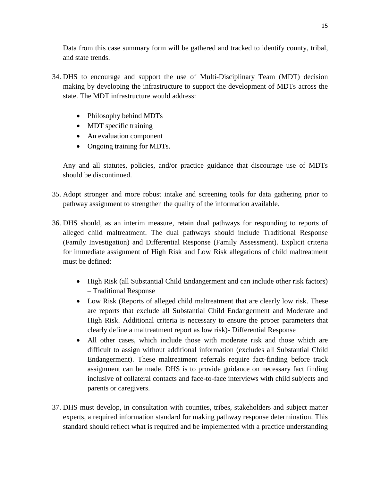Data from this case summary form will be gathered and tracked to identify county, tribal, and state trends.

- 34. DHS to encourage and support the use of Multi-Disciplinary Team (MDT) decision making by developing the infrastructure to support the development of MDTs across the state. The MDT infrastructure would address:
	- Philosophy behind MDTs
	- MDT specific training
	- An evaluation component
	- Ongoing training for MDTs.

Any and all statutes, policies, and/or practice guidance that discourage use of MDTs should be discontinued.

- 35. Adopt stronger and more robust intake and screening tools for data gathering prior to pathway assignment to strengthen the quality of the information available.
- 36. DHS should, as an interim measure, retain dual pathways for responding to reports of alleged child maltreatment. The dual pathways should include Traditional Response (Family Investigation) and Differential Response (Family Assessment). Explicit criteria for immediate assignment of High Risk and Low Risk allegations of child maltreatment must be defined:
	- High Risk (all Substantial Child Endangerment and can include other risk factors) – Traditional Response
	- Low Risk (Reports of alleged child maltreatment that are clearly low risk. These are reports that exclude all Substantial Child Endangerment and Moderate and High Risk. Additional criteria is necessary to ensure the proper parameters that clearly define a maltreatment report as low risk)- Differential Response
	- All other cases, which include those with moderate risk and those which are difficult to assign without additional information (excludes all Substantial Child Endangerment). These maltreatment referrals require fact-finding before track assignment can be made. DHS is to provide guidance on necessary fact finding inclusive of collateral contacts and face-to-face interviews with child subjects and parents or caregivers.
- 37. DHS must develop, in consultation with counties, tribes, stakeholders and subject matter experts, a required information standard for making pathway response determination. This standard should reflect what is required and be implemented with a practice understanding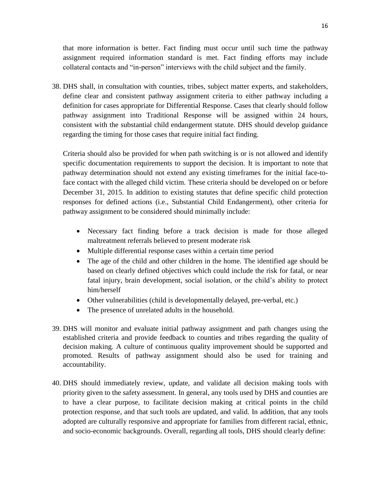that more information is better. Fact finding must occur until such time the pathway assignment required information standard is met. Fact finding efforts may include collateral contacts and "in-person" interviews with the child subject and the family.

38. DHS shall, in consultation with counties, tribes, subject matter experts, and stakeholders, define clear and consistent pathway assignment criteria to either pathway including a definition for cases appropriate for Differential Response. Cases that clearly should follow pathway assignment into Traditional Response will be assigned within 24 hours, consistent with the substantial child endangerment statute. DHS should develop guidance regarding the timing for those cases that require initial fact finding.

Criteria should also be provided for when path switching is or is not allowed and identify specific documentation requirements to support the decision. It is important to note that pathway determination should not extend any existing timeframes for the initial face-toface contact with the alleged child victim. These criteria should be developed on or before December 31, 2015. In addition to existing statutes that define specific child protection responses for defined actions (i.e., Substantial Child Endangerment), other criteria for pathway assignment to be considered should minimally include:

- Necessary fact finding before a track decision is made for those alleged maltreatment referrals believed to present moderate risk
- Multiple differential response cases within a certain time period
- The age of the child and other children in the home. The identified age should be based on clearly defined objectives which could include the risk for fatal, or near fatal injury, brain development, social isolation, or the child's ability to protect him/herself
- Other vulnerabilities (child is developmentally delayed, pre-verbal, etc.)
- The presence of unrelated adults in the household.
- 39. DHS will monitor and evaluate initial pathway assignment and path changes using the established criteria and provide feedback to counties and tribes regarding the quality of decision making. A culture of continuous quality improvement should be supported and promoted. Results of pathway assignment should also be used for training and accountability.
- 40. DHS should immediately review, update, and validate all decision making tools with priority given to the safety assessment. In general, any tools used by DHS and counties are to have a clear purpose, to facilitate decision making at critical points in the child protection response, and that such tools are updated, and valid. In addition, that any tools adopted are culturally responsive and appropriate for families from different racial, ethnic, and socio-economic backgrounds. Overall, regarding all tools, DHS should clearly define: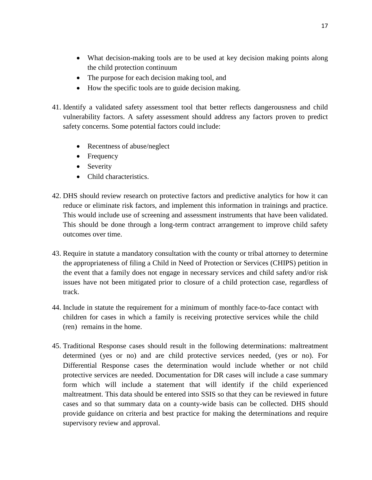- What decision-making tools are to be used at key decision making points along the child protection continuum
- The purpose for each decision making tool, and
- How the specific tools are to guide decision making.
- 41. Identify a validated safety assessment tool that better reflects dangerousness and child vulnerability factors. A safety assessment should address any factors proven to predict safety concerns. Some potential factors could include:
	- Recentness of abuse/neglect
	- Frequency
	- Severity
	- Child characteristics.
- 42. DHS should review research on protective factors and predictive analytics for how it can reduce or eliminate risk factors, and implement this information in trainings and practice. This would include use of screening and assessment instruments that have been validated. This should be done through a long-term contract arrangement to improve child safety outcomes over time.
- 43. Require in statute a mandatory consultation with the county or tribal attorney to determine the appropriateness of filing a Child in Need of Protection or Services (CHIPS) petition in the event that a family does not engage in necessary services and child safety and/or risk issues have not been mitigated prior to closure of a child protection case, regardless of track.
- 44. Include in statute the requirement for a minimum of monthly face-to-face contact with children for cases in which a family is receiving protective services while the child (ren) remains in the home.
- 45. Traditional Response cases should result in the following determinations: maltreatment determined (yes or no) and are child protective services needed, (yes or no). For Differential Response cases the determination would include whether or not child protective services are needed. Documentation for DR cases will include a case summary form which will include a statement that will identify if the child experienced maltreatment. This data should be entered into SSIS so that they can be reviewed in future cases and so that summary data on a county-wide basis can be collected. DHS should provide guidance on criteria and best practice for making the determinations and require supervisory review and approval.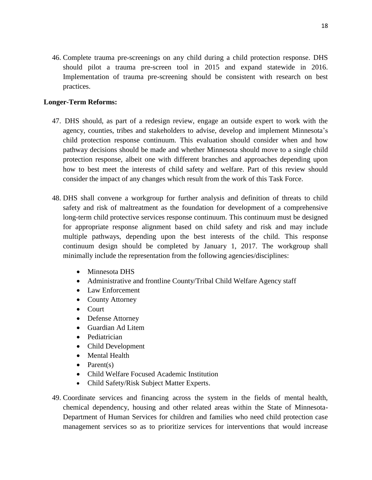46. Complete trauma pre-screenings on any child during a child protection response. DHS should pilot a trauma pre-screen tool in 2015 and expand statewide in 2016. Implementation of trauma pre-screening should be consistent with research on best practices.

### <span id="page-19-0"></span>**Longer-Term Reforms:**

- 47. DHS should, as part of a redesign review, engage an outside expert to work with the agency, counties, tribes and stakeholders to advise, develop and implement Minnesota's child protection response continuum. This evaluation should consider when and how pathway decisions should be made and whether Minnesota should move to a single child protection response, albeit one with different branches and approaches depending upon how to best meet the interests of child safety and welfare. Part of this review should consider the impact of any changes which result from the work of this Task Force.
- 48. DHS shall convene a workgroup for further analysis and definition of threats to child safety and risk of maltreatment as the foundation for development of a comprehensive long-term child protective services response continuum. This continuum must be designed for appropriate response alignment based on child safety and risk and may include multiple pathways, depending upon the best interests of the child. This response continuum design should be completed by January 1, 2017. The workgroup shall minimally include the representation from the following agencies/disciplines:
	- Minnesota DHS
	- Administrative and frontline County/Tribal Child Welfare Agency staff
	- Law Enforcement
	- County Attorney
	- Court
	- Defense Attorney
	- Guardian Ad Litem
	- Pediatrician
	- Child Development
	- Mental Health
	- $\bullet$  Parent(s)
	- Child Welfare Focused Academic Institution
	- Child Safety/Risk Subject Matter Experts.
- 49. Coordinate services and financing across the system in the fields of mental health, chemical dependency, housing and other related areas within the State of Minnesota-Department of Human Services for children and families who need child protection case management services so as to prioritize services for interventions that would increase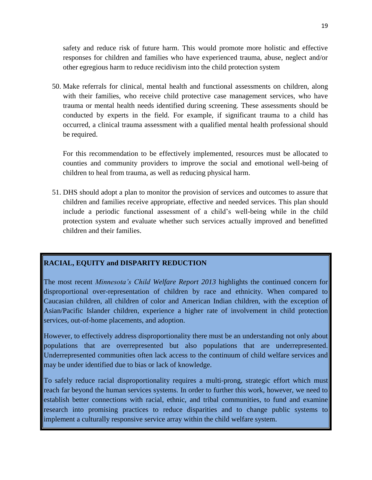safety and reduce risk of future harm. This would promote more holistic and effective responses for children and families who have experienced trauma, abuse, neglect and/or other egregious harm to reduce recidivism into the child protection system

50. Make referrals for clinical, mental health and functional assessments on children, along with their families, who receive child protective case management services, who have trauma or mental health needs identified during screening. These assessments should be conducted by experts in the field. For example, if significant trauma to a child has occurred, a clinical trauma assessment with a qualified mental health professional should be required.

For this recommendation to be effectively implemented, resources must be allocated to counties and community providers to improve the social and emotional well-being of children to heal from trauma, as well as reducing physical harm.

51. DHS should adopt a plan to monitor the provision of services and outcomes to assure that children and families receive appropriate, effective and needed services. This plan should include a periodic functional assessment of a child's well-being while in the child protection system and evaluate whether such services actually improved and benefitted children and their families.

### <span id="page-20-0"></span>**RACIAL, EQUITY and DISPARITY REDUCTION**

The most recent *Minnesota's Child Welfare Report 2013* highlights the continued concern for disproportional over-representation of children by race and ethnicity. When compared to Caucasian children, all children of color and American Indian children, with the exception of Asian/Pacific Islander children, experience a higher rate of involvement in child protection services, out-of-home placements, and adoption.

However, to effectively address disproportionality there must be an understanding not only about populations that are overrepresented but also populations that are underrepresented. Underrepresented communities often lack access to the continuum of child welfare services and may be under identified due to bias or lack of knowledge.

To safely reduce racial disproportionality requires a multi-prong, strategic effort which must reach far beyond the human services systems. In order to further this work, however, we need to establish better connections with racial, ethnic, and tribal communities, to fund and examine research into promising practices to reduce disparities and to change public systems to implement a culturally responsive service array within the child welfare system.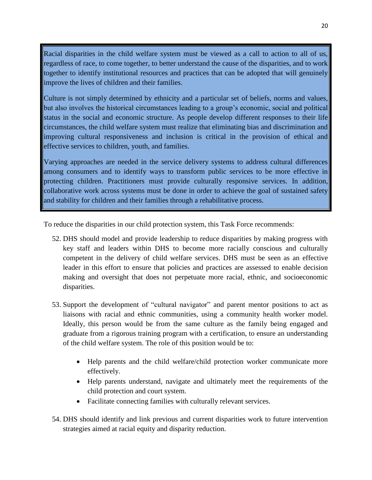Racial disparities in the child welfare system must be viewed as a call to action to all of us, regardless of race, to come together, to better understand the cause of the disparities, and to work together to identify institutional resources and practices that can be adopted that will genuinely improve the lives of children and their families.

Culture is not simply determined by ethnicity and a particular set of beliefs, norms and values, but also involves the historical circumstances leading to a group's economic, social and political status in the social and economic structure. As people develop different responses to their life circumstances, the child welfare system must realize that eliminating bias and discrimination and improving cultural responsiveness and inclusion is critical in the provision of ethical and effective services to children, youth, and families.

Varying approaches are needed in the service delivery systems to address cultural differences among consumers and to identify ways to transform public services to be more effective in protecting children. Practitioners must provide culturally responsive services. In addition, collaborative work across systems must be done in order to achieve the goal of sustained safety and stability for children and their families through a rehabilitative process.

To reduce the disparities in our child protection system, this Task Force recommends:

- 52. DHS should model and provide leadership to reduce disparities by making progress with key staff and leaders within DHS to become more racially conscious and culturally competent in the delivery of child welfare services. DHS must be seen as an effective leader in this effort to ensure that policies and practices are assessed to enable decision making and oversight that does not perpetuate more racial, ethnic, and socioeconomic disparities.
- 53. Support the development of "cultural navigator" and parent mentor positions to act as liaisons with racial and ethnic communities, using a community health worker model. Ideally, this person would be from the same culture as the family being engaged and graduate from a rigorous training program with a certification, to ensure an understanding of the child welfare system. The role of this position would be to:
	- Help parents and the child welfare/child protection worker communicate more effectively.
	- Help parents understand, navigate and ultimately meet the requirements of the child protection and court system.
	- Facilitate connecting families with culturally relevant services.
- 54. DHS should identify and link previous and current disparities work to future intervention strategies aimed at racial equity and disparity reduction.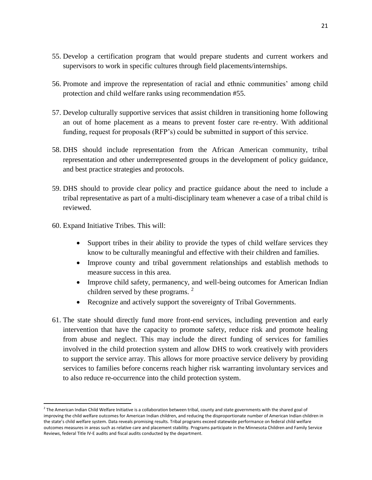- 55. Develop a certification program that would prepare students and current workers and supervisors to work in specific cultures through field placements/internships.
- 56. Promote and improve the representation of racial and ethnic communities' among child protection and child welfare ranks using recommendation #55.
- 57. Develop culturally supportive services that assist children in transitioning home following an out of home placement as a means to prevent foster care re-entry. With additional funding, request for proposals (RFP's) could be submitted in support of this service.
- 58. DHS should include representation from the African American community, tribal representation and other underrepresented groups in the development of policy guidance, and best practice strategies and protocols.
- 59. DHS should to provide clear policy and practice guidance about the need to include a tribal representative as part of a multi-disciplinary team whenever a case of a tribal child is reviewed.
- 60. Expand Initiative Tribes. This will:

 $\overline{a}$ 

- Support tribes in their ability to provide the types of child welfare services they know to be culturally meaningful and effective with their children and families.
- Improve county and tribal government relationships and establish methods to measure success in this area.
- Improve child safety, permanency, and well-being outcomes for American Indian children served by these programs.<sup>2</sup>
- Recognize and actively support the sovereignty of Tribal Governments.
- 61. The state should directly fund more front-end services, including prevention and early intervention that have the capacity to promote safety, reduce risk and promote healing from abuse and neglect. This may include the direct funding of services for families involved in the child protection system and allow DHS to work creatively with providers to support the service array. This allows for more proactive service delivery by providing services to families before concerns reach higher risk warranting involuntary services and to also reduce re-occurrence into the child protection system.

<sup>&</sup>lt;sup>2</sup> The American Indian Child Welfare Initiative is a collaboration between tribal, county and state governments with the shared goal of improving the child welfare outcomes for American Indian children, and reducing the disproportionate number of American Indian children in the state's child welfare system. Data reveals promising results. Tribal programs exceed statewide performance on federal child welfare outcomes measures in areas such as relative care and placement stability. Programs participate in the Minnesota Children and Family Service Reviews, federal Title IV-E audits and fiscal audits conducted by the department.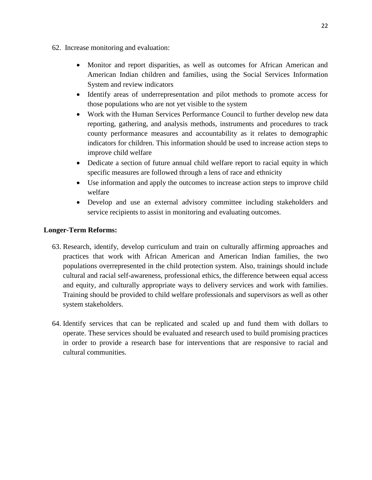- 62. Increase monitoring and evaluation:
	- Monitor and report disparities, as well as outcomes for African American and American Indian children and families, using the Social Services Information System and review indicators
	- Identify areas of underrepresentation and pilot methods to promote access for those populations who are not yet visible to the system
	- Work with the Human Services Performance Council to further develop new data reporting, gathering, and analysis methods, instruments and procedures to track county performance measures and accountability as it relates to demographic indicators for children. This information should be used to increase action steps to improve child welfare
	- Dedicate a section of future annual child welfare report to racial equity in which specific measures are followed through a lens of race and ethnicity
	- Use information and apply the outcomes to increase action steps to improve child welfare
	- Develop and use an external advisory committee including stakeholders and service recipients to assist in monitoring and evaluating outcomes.

### <span id="page-23-0"></span>**Longer-Term Reforms:**

- 63. Research, identify, develop curriculum and train on culturally affirming approaches and practices that work with African American and American Indian families, the two populations overrepresented in the child protection system. Also, trainings should include cultural and racial self-awareness, professional ethics, the difference between equal access and equity, and culturally appropriate ways to delivery services and work with families. Training should be provided to child welfare professionals and supervisors as well as other system stakeholders.
- 64. Identify services that can be replicated and scaled up and fund them with dollars to operate. These services should be evaluated and research used to build promising practices in order to provide a research base for interventions that are responsive to racial and cultural communities.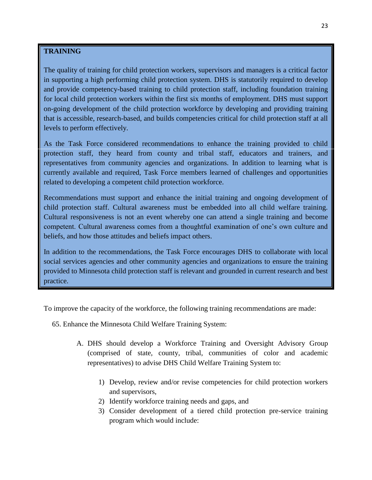### <span id="page-24-0"></span>**TRAINING**

The quality of training for child protection workers, supervisors and managers is a critical factor in supporting a high performing child protection system. DHS is statutorily required to develop and provide competency-based training to child protection staff, including foundation training for local child protection workers within the first six months of employment. DHS must support on-going development of the child protection workforce by developing and providing training that is accessible, research-based, and builds competencies critical for child protection staff at all levels to perform effectively.

As the Task Force considered recommendations to enhance the training provided to child protection staff, they heard from county and tribal staff, educators and trainers, and representatives from community agencies and organizations. In addition to learning what is currently available and required, Task Force members learned of challenges and opportunities related to developing a competent child protection workforce.

Recommendations must support and enhance the initial training and ongoing development of child protection staff. Cultural awareness must be embedded into all child welfare training. Cultural responsiveness is not an event whereby one can attend a single training and become competent. Cultural awareness comes from a thoughtful examination of one's own culture and beliefs, and how those attitudes and beliefs impact others.

In addition to the recommendations, the Task Force encourages DHS to collaborate with local social services agencies and other community agencies and organizations to ensure the training provided to Minnesota child protection staff is relevant and grounded in current research and best practice.

To improve the capacity of the workforce, the following training recommendations are made:

- 65. Enhance the Minnesota Child Welfare Training System:
	- A. DHS should develop a Workforce Training and Oversight Advisory Group (comprised of state, county, tribal, communities of color and academic representatives) to advise DHS Child Welfare Training System to:
		- 1) Develop, review and/or revise competencies for child protection workers and supervisors,
		- 2) Identify workforce training needs and gaps, and
		- 3) Consider development of a tiered child protection pre-service training program which would include: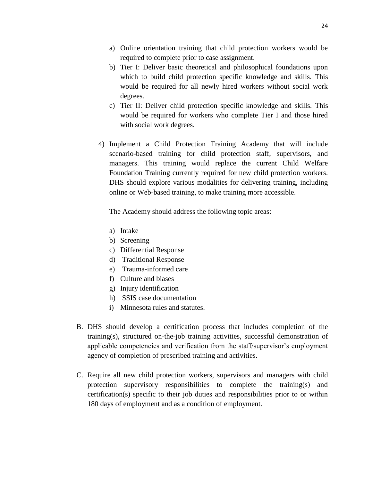- a) Online orientation training that child protection workers would be required to complete prior to case assignment.
- b) Tier I: Deliver basic theoretical and philosophical foundations upon which to build child protection specific knowledge and skills. This would be required for all newly hired workers without social work degrees.
- c) Tier II: Deliver child protection specific knowledge and skills. This would be required for workers who complete Tier I and those hired with social work degrees.
- 4) Implement a Child Protection Training Academy that will include scenario-based training for child protection staff, supervisors, and managers. This training would replace the current Child Welfare Foundation Training currently required for new child protection workers. DHS should explore various modalities for delivering training, including online or Web-based training, to make training more accessible.

The Academy should address the following topic areas:

- a) Intake
- b) Screening
- c) Differential Response
- d) Traditional Response
- e) Trauma-informed care
- f) Culture and biases
- g) Injury identification
- h) SSIS case documentation
- i) Minnesota rules and statutes.
- B. DHS should develop a certification process that includes completion of the training(s), structured on-the-job training activities, successful demonstration of applicable competencies and verification from the staff/supervisor's employment agency of completion of prescribed training and activities.
- C. Require all new child protection workers, supervisors and managers with child protection supervisory responsibilities to complete the training(s) and certification(s) specific to their job duties and responsibilities prior to or within 180 days of employment and as a condition of employment.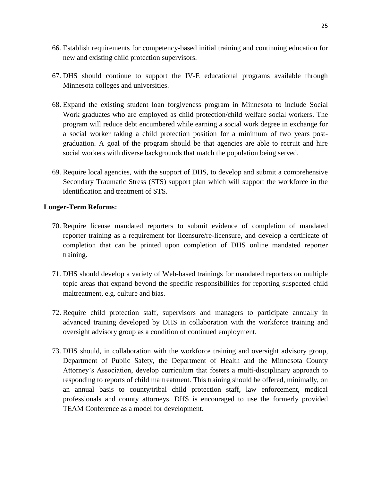- 66. Establish requirements for competency-based initial training and continuing education for new and existing child protection supervisors.
- 67. DHS should continue to support the IV-E educational programs available through Minnesota colleges and universities.
- 68. Expand the existing student loan forgiveness program in Minnesota to include Social Work graduates who are employed as child protection/child welfare social workers. The program will reduce debt encumbered while earning a social work degree in exchange for a social worker taking a child protection position for a minimum of two years postgraduation. A goal of the program should be that agencies are able to recruit and hire social workers with diverse backgrounds that match the population being served.
- 69. Require local agencies, with the support of DHS, to develop and submit a comprehensive Secondary Traumatic Stress (STS) support plan which will support the workforce in the identification and treatment of STS.

### <span id="page-26-0"></span>**Longer-Term Reforms:**

- 70. Require license mandated reporters to submit evidence of completion of mandated reporter training as a requirement for licensure/re-licensure, and develop a certificate of completion that can be printed upon completion of DHS online mandated reporter training.
- 71. DHS should develop a variety of Web-based trainings for mandated reporters on multiple topic areas that expand beyond the specific responsibilities for reporting suspected child maltreatment, e.g. culture and bias.
- 72. Require child protection staff, supervisors and managers to participate annually in advanced training developed by DHS in collaboration with the workforce training and oversight advisory group as a condition of continued employment.
- 73. DHS should, in collaboration with the workforce training and oversight advisory group, Department of Public Safety, the Department of Health and the Minnesota County Attorney's Association, develop curriculum that fosters a multi-disciplinary approach to responding to reports of child maltreatment. This training should be offered, minimally, on an annual basis to county/tribal child protection staff, law enforcement, medical professionals and county attorneys. DHS is encouraged to use the formerly provided TEAM Conference as a model for development.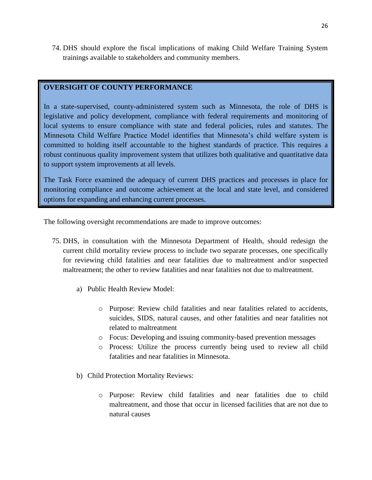74. DHS should explore the fiscal implications of making Child Welfare Training System trainings available to stakeholders and community members.

### <span id="page-27-0"></span>**OVERSIGHT OF COUNTY PERFORMANCE**

In a state-supervised, county-administered system such as Minnesota, the role of DHS is legislative and policy development, compliance with federal requirements and monitoring of local systems to ensure compliance with state and federal policies, rules and statutes. The Minnesota Child Welfare Practice Model identifies that Minnesota's child welfare system is committed to holding itself accountable to the highest standards of practice. This requires a robust continuous quality improvement system that utilizes both qualitative and quantitative data to support system improvements at all levels.

The Task Force examined the adequacy of current DHS practices and processes in place for monitoring compliance and outcome achievement at the local and state level, and considered options for expanding and enhancing current processes.

The following oversight recommendations are made to improve outcomes:

- 75. DHS, in consultation with the Minnesota Department of Health, should redesign the current child mortality review process to include two separate processes, one specifically for reviewing child fatalities and near fatalities due to maltreatment and/or suspected maltreatment; the other to review fatalities and near fatalities not due to maltreatment.
	- a) Public Health Review Model:
		- o Purpose: Review child fatalities and near fatalities related to accidents, suicides, SIDS, natural causes, and other fatalities and near fatalities not related to maltreatment
		- o Focus: Developing and issuing community-based prevention messages
		- o Process: Utilize the process currently being used to review all child fatalities and near fatalities in Minnesota.
	- b) Child Protection Mortality Reviews:
		- o Purpose: Review child fatalities and near fatalities due to child maltreatment, and those that occur in licensed facilities that are not due to natural causes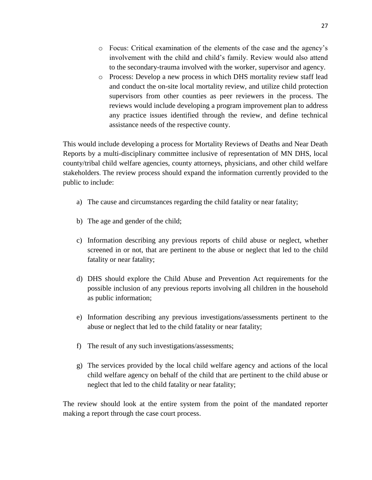- o Focus: Critical examination of the elements of the case and the agency's involvement with the child and child's family. Review would also attend to the secondary-trauma involved with the worker, supervisor and agency.
- o Process: Develop a new process in which DHS mortality review staff lead and conduct the on-site local mortality review, and utilize child protection supervisors from other counties as peer reviewers in the process. The reviews would include developing a program improvement plan to address any practice issues identified through the review, and define technical assistance needs of the respective county.

This would include developing a process for Mortality Reviews of Deaths and Near Death Reports by a multi-disciplinary committee inclusive of representation of MN DHS, local county/tribal child welfare agencies, county attorneys, physicians, and other child welfare stakeholders. The review process should expand the information currently provided to the public to include:

- a) The cause and circumstances regarding the child fatality or near fatality;
- b) The age and gender of the child;
- c) Information describing any previous reports of child abuse or neglect, whether screened in or not, that are pertinent to the abuse or neglect that led to the child fatality or near fatality;
- d) DHS should explore the Child Abuse and Prevention Act requirements for the possible inclusion of any previous reports involving all children in the household as public information;
- e) Information describing any previous investigations/assessments pertinent to the abuse or neglect that led to the child fatality or near fatality;
- f) The result of any such investigations/assessments;
- g) The services provided by the local child welfare agency and actions of the local child welfare agency on behalf of the child that are pertinent to the child abuse or neglect that led to the child fatality or near fatality;

The review should look at the entire system from the point of the mandated reporter making a report through the case court process.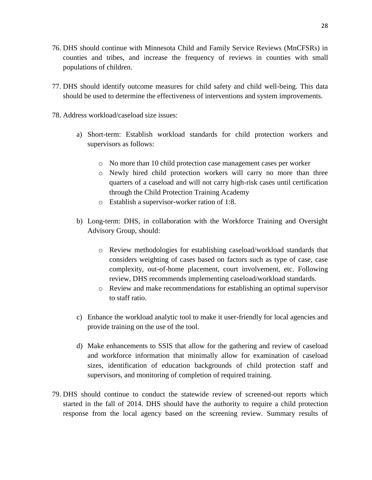- 76. DHS should continue with Minnesota Child and Family Service Reviews (MnCFSRs) in counties and tribes, and increase the frequency of reviews in counties with small populations of children.
- 77. DHS should identify outcome measures for child safety and child well-being. This data should be used to determine the effectiveness of interventions and system improvements.
- 78. Address workload/caseload size issues:
	- a) Short-term: Establish workload standards for child protection workers and supervisors as follows:
		- o No more than 10 child protection case management cases per worker
		- o Newly hired child protection workers will carry no more than three quarters of a caseload and will not carry high-risk cases until certification through the Child Protection Training Academy
		- o Establish a supervisor-worker ration of 1:8.
	- b) Long-term: DHS, in collaboration with the Workforce Training and Oversight Advisory Group, should:
		- o Review methodologies for establishing caseload/workload standards that considers weighting of cases based on factors such as type of case, case complexity, out-of-home placement, court involvement, etc. Following review, DHS recommends implementing caseload/workload standards.
		- o Review and make recommendations for establishing an optimal supervisor to staff ratio.
	- c) Enhance the workload analytic tool to make it user-friendly for local agencies and provide training on the use of the tool.
	- d) Make enhancements to SSIS that allow for the gathering and review of caseload and workforce information that minimally allow for examination of caseload sizes, identification of education backgrounds of child protection staff and supervisors, and monitoring of completion of required training.
- 79. DHS should continue to conduct the statewide review of screened-out reports which started in the fall of 2014. DHS should have the authority to require a child protection response from the local agency based on the screening review. Summary results of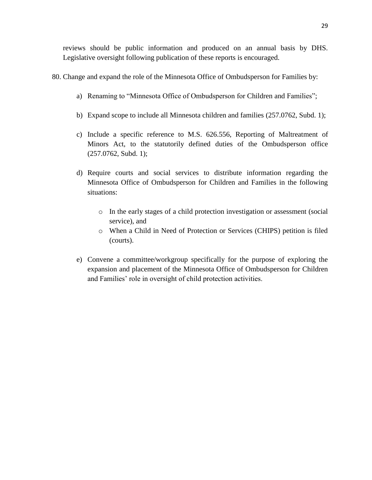reviews should be public information and produced on an annual basis by DHS. Legislative oversight following publication of these reports is encouraged.

- 80. Change and expand the role of the Minnesota Office of Ombudsperson for Families by:
	- a) Renaming to "Minnesota Office of Ombudsperson for Children and Families";
	- b) Expand scope to include all Minnesota children and families (257.0762, Subd. 1);
	- c) Include a specific reference to M.S. 626.556, Reporting of Maltreatment of Minors Act, to the statutorily defined duties of the Ombudsperson office (257.0762, Subd. 1);
	- d) Require courts and social services to distribute information regarding the Minnesota Office of Ombudsperson for Children and Families in the following situations:
		- o In the early stages of a child protection investigation or assessment (social service), and
		- o When a Child in Need of Protection or Services (CHIPS) petition is filed (courts).
	- e) Convene a committee/workgroup specifically for the purpose of exploring the expansion and placement of the Minnesota Office of Ombudsperson for Children and Families' role in oversight of child protection activities.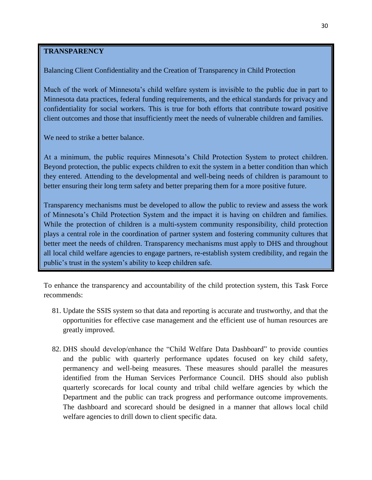### <span id="page-31-0"></span>**TRANSPARENCY**

Balancing Client Confidentiality and the Creation of Transparency in Child Protection

Much of the work of Minnesota's child welfare system is invisible to the public due in part to Minnesota data practices, federal funding requirements, and the ethical standards for privacy and confidentiality for social workers. This is true for both efforts that contribute toward positive client outcomes and those that insufficiently meet the needs of vulnerable children and families.

We need to strike a better balance.

At a minimum, the public requires Minnesota's Child Protection System to protect children. Beyond protection, the public expects children to exit the system in a better condition than which they entered. Attending to the developmental and well-being needs of children is paramount to better ensuring their long term safety and better preparing them for a more positive future.

Transparency mechanisms must be developed to allow the public to review and assess the work of Minnesota's Child Protection System and the impact it is having on children and families. While the protection of children is a multi-system community responsibility, child protection plays a central role in the coordination of partner system and fostering community cultures that better meet the needs of children. Transparency mechanisms must apply to DHS and throughout all local child welfare agencies to engage partners, re-establish system credibility, and regain the public's trust in the system's ability to keep children safe.

To enhance the transparency and accountability of the child protection system, this Task Force recommends:

- 81. Update the SSIS system so that data and reporting is accurate and trustworthy, and that the opportunities for effective case management and the efficient use of human resources are greatly improved.
- 82. DHS should develop/enhance the "Child Welfare Data Dashboard" to provide counties and the public with quarterly performance updates focused on key child safety, permanency and well-being measures. These measures should parallel the measures identified from the Human Services Performance Council. DHS should also publish quarterly scorecards for local county and tribal child welfare agencies by which the Department and the public can track progress and performance outcome improvements. The dashboard and scorecard should be designed in a manner that allows local child welfare agencies to drill down to client specific data.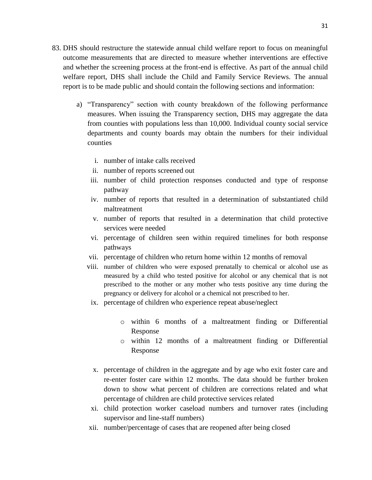- 83. DHS should restructure the statewide annual child welfare report to focus on meaningful outcome measurements that are directed to measure whether interventions are effective and whether the screening process at the front-end is effective. As part of the annual child welfare report, DHS shall include the Child and Family Service Reviews. The annual report is to be made public and should contain the following sections and information:
	- a) "Transparency" section with county breakdown of the following performance measures. When issuing the Transparency section, DHS may aggregate the data from counties with populations less than 10,000. Individual county social service departments and county boards may obtain the numbers for their individual counties
		- i. number of intake calls received
		- ii. number of reports screened out
		- iii. number of child protection responses conducted and type of response pathway
		- iv. number of reports that resulted in a determination of substantiated child maltreatment
		- v. number of reports that resulted in a determination that child protective services were needed
		- vi. percentage of children seen within required timelines for both response pathways
		- vii. percentage of children who return home within 12 months of removal
		- viii. number of children who were exposed prenatally to chemical or alcohol use as measured by a child who tested positive for alcohol or any chemical that is not prescribed to the mother or any mother who tests positive any time during the pregnancy or delivery for alcohol or a chemical not prescribed to her.
		- ix. percentage of children who experience repeat abuse/neglect
			- o within 6 months of a maltreatment finding or Differential Response
			- o within 12 months of a maltreatment finding or Differential Response
		- x. percentage of children in the aggregate and by age who exit foster care and re-enter foster care within 12 months. The data should be further broken down to show what percent of children are corrections related and what percentage of children are child protective services related
		- xi. child protection worker caseload numbers and turnover rates (including supervisor and line-staff numbers)
		- xii. number/percentage of cases that are reopened after being closed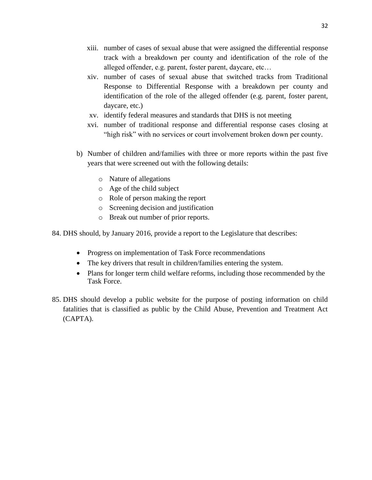- xiii. number of cases of sexual abuse that were assigned the differential response track with a breakdown per county and identification of the role of the alleged offender, e.g. parent, foster parent, daycare, etc…
- xiv. number of cases of sexual abuse that switched tracks from Traditional Response to Differential Response with a breakdown per county and identification of the role of the alleged offender (e.g. parent, foster parent, daycare, etc.)
- xv. identify federal measures and standards that DHS is not meeting
- xvi. number of traditional response and differential response cases closing at "high risk" with no services or court involvement broken down per county.
- b) Number of children and/families with three or more reports within the past five years that were screened out with the following details:
	- o Nature of allegations
	- o Age of the child subject
	- o Role of person making the report
	- o Screening decision and justification
	- o Break out number of prior reports.

84. DHS should, by January 2016, provide a report to the Legislature that describes:

- Progress on implementation of Task Force recommendations
- The key drivers that result in children/families entering the system.
- Plans for longer term child welfare reforms, including those recommended by the Task Force.
- 85. DHS should develop a public website for the purpose of posting information on child fatalities that is classified as public by the Child Abuse, Prevention and Treatment Act (CAPTA).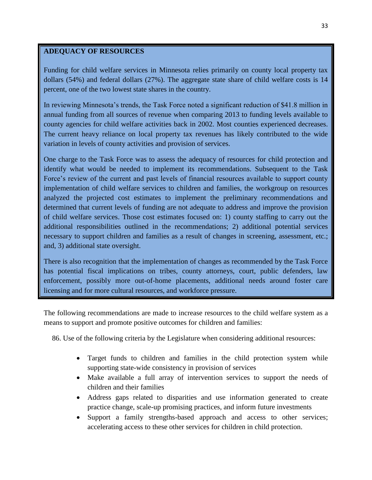### <span id="page-34-0"></span>**ADEQUACY OF RESOURCES**

Funding for child welfare services in Minnesota relies primarily on county local property tax dollars (54%) and federal dollars (27%). The aggregate state share of child welfare costs is 14 percent, one of the two lowest state shares in the country.

In reviewing Minnesota's trends, the Task Force noted a significant reduction of \$41.8 million in annual funding from all sources of revenue when comparing 2013 to funding levels available to county agencies for child welfare activities back in 2002. Most counties experienced decreases. The current heavy reliance on local property tax revenues has likely contributed to the wide variation in levels of county activities and provision of services.

One charge to the Task Force was to assess the adequacy of resources for child protection and identify what would be needed to implement its recommendations. Subsequent to the Task Force's review of the current and past levels of financial resources available to support county implementation of child welfare services to children and families, the workgroup on resources analyzed the projected cost estimates to implement the preliminary recommendations and determined that current levels of funding are not adequate to address and improve the provision of child welfare services. Those cost estimates focused on: 1) county staffing to carry out the additional responsibilities outlined in the recommendations; 2) additional potential services necessary to support children and families as a result of changes in screening, assessment, etc.; and, 3) additional state oversight.

There is also recognition that the implementation of changes as recommended by the Task Force has potential fiscal implications on tribes, county attorneys, court, public defenders, law enforcement, possibly more out-of-home placements, additional needs around foster care licensing and for more cultural resources, and workforce pressure.

The following recommendations are made to increase resources to the child welfare system as a means to support and promote positive outcomes for children and families:

86. Use of the following criteria by the Legislature when considering additional resources:

- Target funds to children and families in the child protection system while supporting state-wide consistency in provision of services
- Make available a full array of intervention services to support the needs of children and their families
- Address gaps related to disparities and use information generated to create practice change, scale-up promising practices, and inform future investments
- Support a family strengths-based approach and access to other services; accelerating access to these other services for children in child protection.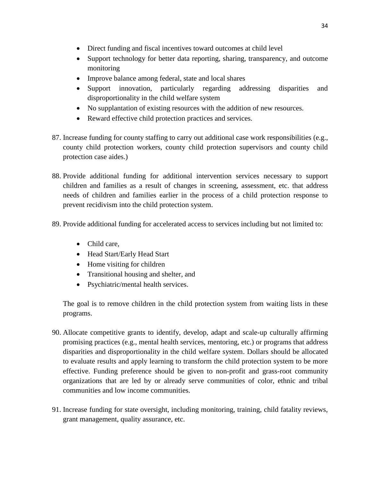- Direct funding and fiscal incentives toward outcomes at child level
- Support technology for better data reporting, sharing, transparency, and outcome monitoring
- Improve balance among federal, state and local shares
- Support innovation, particularly regarding addressing disparities and disproportionality in the child welfare system
- No supplantation of existing resources with the addition of new resources.
- Reward effective child protection practices and services.
- 87. Increase funding for county staffing to carry out additional case work responsibilities (e.g., county child protection workers, county child protection supervisors and county child protection case aides.)
- 88. Provide additional funding for additional intervention services necessary to support children and families as a result of changes in screening, assessment, etc. that address needs of children and families earlier in the process of a child protection response to prevent recidivism into the child protection system.
- 89. Provide additional funding for accelerated access to services including but not limited to:
	- Child care,
	- Head Start/Early Head Start
	- Home visiting for children
	- Transitional housing and shelter, and
	- Psychiatric/mental health services.

The goal is to remove children in the child protection system from waiting lists in these programs.

- 90. Allocate competitive grants to identify, develop, adapt and scale-up culturally affirming promising practices (e.g., mental health services, mentoring, etc.) or programs that address disparities and disproportionality in the child welfare system. Dollars should be allocated to evaluate results and apply learning to transform the child protection system to be more effective. Funding preference should be given to non-profit and grass-root community organizations that are led by or already serve communities of color, ethnic and tribal communities and low income communities.
- 91. Increase funding for state oversight, including monitoring, training, child fatality reviews, grant management, quality assurance, etc.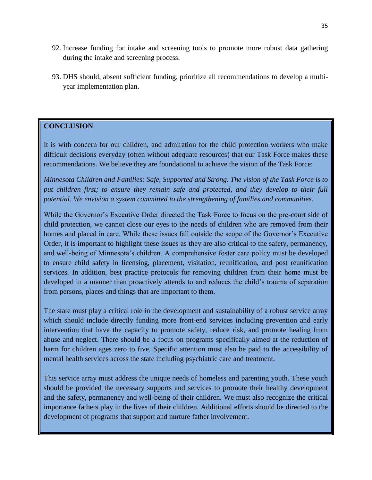- 92. Increase funding for intake and screening tools to promote more robust data gathering during the intake and screening process.
- 93. DHS should, absent sufficient funding, prioritize all recommendations to develop a multiyear implementation plan.

### <span id="page-36-0"></span>**CONCLUSION**

It is with concern for our children, and admiration for the child protection workers who make difficult decisions everyday (often without adequate resources) that our Task Force makes these recommendations. We believe they are foundational to achieve the vision of the Task Force:

*Minnesota Children and Families: Safe, Supported and Strong. The vision of the Task Force is to*  put children first; to ensure they remain safe and protected, and they develop to their full *potential. We envision a system committed to the strengthening of families and communities.* 

While the Governor's Executive Order directed the Task Force to focus on the pre-court side of child protection, we cannot close our eyes to the needs of children who are removed from their homes and placed in care. While these issues fall outside the scope of the Governor's Executive Order, it is important to highlight these issues as they are also critical to the safety, permanency, and well-being of Minnesota's children. A comprehensive foster care policy must be developed to ensure child safety in licensing, placement, visitation, reunification, and post reunification services. In addition, best practice protocols for removing children from their home must be developed in a manner than proactively attends to and reduces the child's trauma of separation from persons, places and things that are important to them.

The state must play a critical role in the development and sustainability of a robust service array which should include directly funding more front-end services including prevention and early intervention that have the capacity to promote safety, reduce risk, and promote healing from abuse and neglect. There should be a focus on programs specifically aimed at the reduction of harm for children ages zero to five. Specific attention must also be paid to the accessibility of mental health services across the state including psychiatric care and treatment.

This service array must address the unique needs of homeless and parenting youth. These youth should be provided the necessary supports and services to promote their healthy development and the safety, permanency and well-being of their children. We must also recognize the critical importance fathers play in the lives of their children. Additional efforts should be directed to the development of programs that support and nurture father involvement.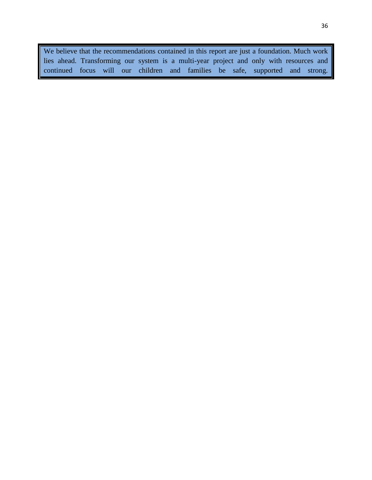We believe that the recommendations contained in this report are just a foundation. Much work lies ahead. Transforming our system is a multi-year project and only with resources and continued focus will our children and families be safe, supported and strong.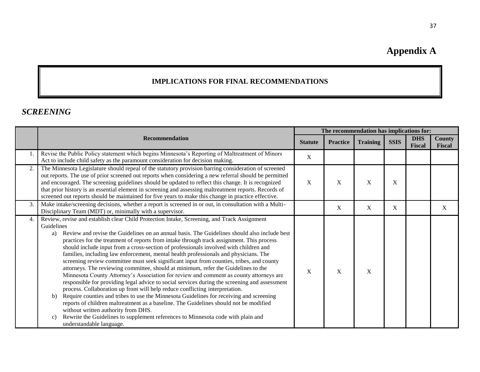# **Appendix A**

## **IMPLICATIONS FOR FINAL RECOMMENDATIONS**

## *SCREENING*

<span id="page-38-1"></span><span id="page-38-0"></span>

|    |                                                                                                                                                                                                                                                                                                                                                                                                                                                                                                                                                                                                                                                                                                                                                                                                                                                                                                                                                                                                                                                                                                                                                                                                                                                                                                                                | The recommendation has implications for: |                  |                 |             |                      |                         |
|----|--------------------------------------------------------------------------------------------------------------------------------------------------------------------------------------------------------------------------------------------------------------------------------------------------------------------------------------------------------------------------------------------------------------------------------------------------------------------------------------------------------------------------------------------------------------------------------------------------------------------------------------------------------------------------------------------------------------------------------------------------------------------------------------------------------------------------------------------------------------------------------------------------------------------------------------------------------------------------------------------------------------------------------------------------------------------------------------------------------------------------------------------------------------------------------------------------------------------------------------------------------------------------------------------------------------------------------|------------------------------------------|------------------|-----------------|-------------|----------------------|-------------------------|
|    | <b>Recommendation</b>                                                                                                                                                                                                                                                                                                                                                                                                                                                                                                                                                                                                                                                                                                                                                                                                                                                                                                                                                                                                                                                                                                                                                                                                                                                                                                          | <b>Statute</b>                           | <b>Practice</b>  | <b>Training</b> | <b>SSIS</b> | <b>DHS</b><br>Fiscal | County<br><b>Fiscal</b> |
|    | Revise the Public Policy statement which begins Minnesota's Reporting of Maltreatment of Minors<br>Act to include child safety as the paramount consideration for decision making.                                                                                                                                                                                                                                                                                                                                                                                                                                                                                                                                                                                                                                                                                                                                                                                                                                                                                                                                                                                                                                                                                                                                             | $\mathbf X$                              |                  |                 |             |                      |                         |
| 2. | The Minnesota Legislature should repeal of the statutory provision barring consideration of screened<br>out reports. The use of prior screened out reports when considering a new referral should be permitted<br>and encouraged. The screening guidelines should be updated to reflect this change. It is recognized<br>that prior history is an essential element in screening and assessing maltreatment reports. Records of<br>screened out reports should be maintained for five years to make this change in practice effective.                                                                                                                                                                                                                                                                                                                                                                                                                                                                                                                                                                                                                                                                                                                                                                                         | X                                        | X                | X               | $\mathbf X$ |                      |                         |
| 3. | Make intake/screening decisions, whether a report is screened in or out, in consultation with a Multi-<br>Disciplinary Team (MDT) or, minimally with a supervisor.                                                                                                                                                                                                                                                                                                                                                                                                                                                                                                                                                                                                                                                                                                                                                                                                                                                                                                                                                                                                                                                                                                                                                             |                                          | $\boldsymbol{X}$ | X               | X           |                      | X                       |
| 4. | Review, revise and establish clear Child Protection Intake, Screening, and Track Assignment<br>Guidelines<br>Review and revise the Guidelines on an annual basis. The Guidelines should also include best<br>a)<br>practices for the treatment of reports from intake through track assignment. This process<br>should include input from a cross-section of professionals involved with children and<br>families, including law enforcement, mental health professionals and physicians. The<br>screening review committee must seek significant input from counties, tribes, and county<br>attorneys. The reviewing committee, should at minimum, refer the Guidelines to the<br>Minnesota County Attorney's Association for review and comment as county attorneys are<br>responsible for providing legal advice to social services during the screening and assessment<br>process. Collaboration up front will help reduce conflicting interpretation.<br>Require counties and tribes to use the Minnesota Guidelines for receiving and screening<br>b)<br>reports of children maltreatment as a baseline. The Guidelines should not be modified<br>without written authority from DHS.<br>Rewrite the Guidelines to supplement references to Minnesota code with plain and<br>$\mathcal{C}$ )<br>understandable language. | X                                        | X                | X               |             |                      |                         |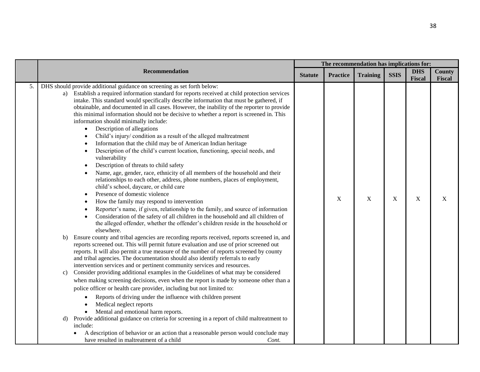|    |                                                                                                                                                                                                                                                                                                                                                                                                                                                                                                                                                                                                                                                                                                                                                                                                                                                                                                                                                                                                                                                                                                                                                                                                                                                                                                                                                                                                                                                                                                                                                                                                                                                                                                                                                                                                                                                                                                                                                                                                                                                                                                                                                                                                                                                                                                                                                                                                                                                                                                                                    | The recommendation has implications for: |                 |                 |             |                      |                         |
|----|------------------------------------------------------------------------------------------------------------------------------------------------------------------------------------------------------------------------------------------------------------------------------------------------------------------------------------------------------------------------------------------------------------------------------------------------------------------------------------------------------------------------------------------------------------------------------------------------------------------------------------------------------------------------------------------------------------------------------------------------------------------------------------------------------------------------------------------------------------------------------------------------------------------------------------------------------------------------------------------------------------------------------------------------------------------------------------------------------------------------------------------------------------------------------------------------------------------------------------------------------------------------------------------------------------------------------------------------------------------------------------------------------------------------------------------------------------------------------------------------------------------------------------------------------------------------------------------------------------------------------------------------------------------------------------------------------------------------------------------------------------------------------------------------------------------------------------------------------------------------------------------------------------------------------------------------------------------------------------------------------------------------------------------------------------------------------------------------------------------------------------------------------------------------------------------------------------------------------------------------------------------------------------------------------------------------------------------------------------------------------------------------------------------------------------------------------------------------------------------------------------------------------------|------------------------------------------|-----------------|-----------------|-------------|----------------------|-------------------------|
|    | <b>Recommendation</b>                                                                                                                                                                                                                                                                                                                                                                                                                                                                                                                                                                                                                                                                                                                                                                                                                                                                                                                                                                                                                                                                                                                                                                                                                                                                                                                                                                                                                                                                                                                                                                                                                                                                                                                                                                                                                                                                                                                                                                                                                                                                                                                                                                                                                                                                                                                                                                                                                                                                                                              | <b>Statute</b>                           | <b>Practice</b> | <b>Training</b> | <b>SSIS</b> | <b>DHS</b><br>Fiscal | <b>County</b><br>Fiscal |
| 5. | DHS should provide additional guidance on screening as set forth below:<br>a) Establish a required information standard for reports received at child protection services<br>intake. This standard would specifically describe information that must be gathered, if<br>obtainable, and documented in all cases. However, the inability of the reporter to provide<br>this minimal information should not be decisive to whether a report is screened in. This<br>information should minimally include:<br>Description of allegations<br>$\bullet$<br>Child's injury/ condition as a result of the alleged maltreatment<br>Information that the child may be of American Indian heritage<br>Description of the child's current location, functioning, special needs, and<br>$\bullet$<br>vulnerability<br>Description of threats to child safety<br>Name, age, gender, race, ethnicity of all members of the household and their<br>relationships to each other, address, phone numbers, places of employment,<br>child's school, daycare, or child care<br>Presence of domestic violence<br>How the family may respond to intervention<br>Reporter's name, if given, relationship to the family, and source of information<br>Consideration of the safety of all children in the household and all children of<br>the alleged offender, whether the offender's children reside in the household or<br>elsewhere.<br>Ensure county and tribal agencies are recording reports received, reports screened in, and<br>b)<br>reports screened out. This will permit future evaluation and use of prior screened out<br>reports. It will also permit a true measure of the number of reports screened by county<br>and tribal agencies. The documentation should also identify referrals to early<br>intervention services and or pertinent community services and resources.<br>Consider providing additional examples in the Guidelines of what may be considered<br>c)<br>when making screening decisions, even when the report is made by someone other than a<br>police officer or health care provider, including but not limited to:<br>Reports of driving under the influence with children present<br>Medical neglect reports<br>Mental and emotional harm reports.<br>Provide additional guidance on criteria for screening in a report of child maltreatment to<br>d)<br>include:<br>A description of behavior or an action that a reasonable person would conclude may<br>have resulted in maltreatment of a child<br>Cont. |                                          | $\mathbf{X}$    | X               | X           | X                    | X                       |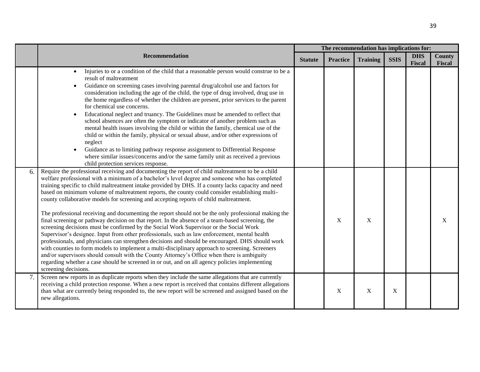|    |                                                                                                                                                                                                                                                                                                                                                                                                                                                                                                                                                                                                                                                                                                                                                                                                                                                                                                                                                                                                                                                                                                                                                                                                                                                                                                                                                |                |                 | The recommendation has implications for: |             |                      |                         |
|----|------------------------------------------------------------------------------------------------------------------------------------------------------------------------------------------------------------------------------------------------------------------------------------------------------------------------------------------------------------------------------------------------------------------------------------------------------------------------------------------------------------------------------------------------------------------------------------------------------------------------------------------------------------------------------------------------------------------------------------------------------------------------------------------------------------------------------------------------------------------------------------------------------------------------------------------------------------------------------------------------------------------------------------------------------------------------------------------------------------------------------------------------------------------------------------------------------------------------------------------------------------------------------------------------------------------------------------------------|----------------|-----------------|------------------------------------------|-------------|----------------------|-------------------------|
|    | <b>Recommendation</b>                                                                                                                                                                                                                                                                                                                                                                                                                                                                                                                                                                                                                                                                                                                                                                                                                                                                                                                                                                                                                                                                                                                                                                                                                                                                                                                          | <b>Statute</b> | <b>Practice</b> | <b>Training</b>                          | <b>SSIS</b> | <b>DHS</b><br>Fiscal | <b>County</b><br>Fiscal |
|    | Injuries to or a condition of the child that a reasonable person would construe to be a<br>$\bullet$<br>result of maltreatment<br>Guidance on screening cases involving parental drug/alcohol use and factors for<br>consideration including the age of the child, the type of drug involved, drug use in<br>the home regardless of whether the children are present, prior services to the parent<br>for chemical use concerns.<br>Educational neglect and truancy. The Guidelines must be amended to reflect that<br>school absences are often the symptom or indicator of another problem such as<br>mental health issues involving the child or within the family, chemical use of the<br>child or within the family, physical or sexual abuse, and/or other expressions of<br>neglect<br>Guidance as to limiting pathway response assignment to Differential Response<br>where similar issues/concerns and/or the same family unit as received a previous<br>child protection services response.                                                                                                                                                                                                                                                                                                                                          |                |                 |                                          |             |                      |                         |
| 6. | Require the professional receiving and documenting the report of child maltreatment to be a child<br>welfare professional with a minimum of a bachelor's level degree and someone who has completed<br>training specific to child maltreatment intake provided by DHS. If a county lacks capacity and need<br>based on minimum volume of maltreatment reports, the county could consider establishing multi-<br>county collaborative models for screening and accepting reports of child maltreatment.<br>The professional receiving and documenting the report should not be the only professional making the<br>final screening or pathway decision on that report. In the absence of a team-based screening, the<br>screening decisions must be confirmed by the Social Work Supervisor or the Social Work<br>Supervisor's designee. Input from other professionals, such as law enforcement, mental health<br>professionals, and physicians can strengthen decisions and should be encouraged. DHS should work<br>with counties to form models to implement a multi-disciplinary approach to screening. Screeners<br>and/or supervisors should consult with the County Attorney's Office when there is ambiguity<br>regarding whether a case should be screened in or out, and on all agency policies implementing<br>screening decisions. |                | X               | $\boldsymbol{\mathrm{X}}$                |             |                      | X                       |
|    | Screen new reports in as duplicate reports when they include the same allegations that are currently<br>receiving a child protection response. When a new report is received that contains different allegations<br>than what are currently being responded to, the new report will be screened and assigned based on the<br>new allegations.                                                                                                                                                                                                                                                                                                                                                                                                                                                                                                                                                                                                                                                                                                                                                                                                                                                                                                                                                                                                  |                | X               | $\mathbf X$                              | X           |                      |                         |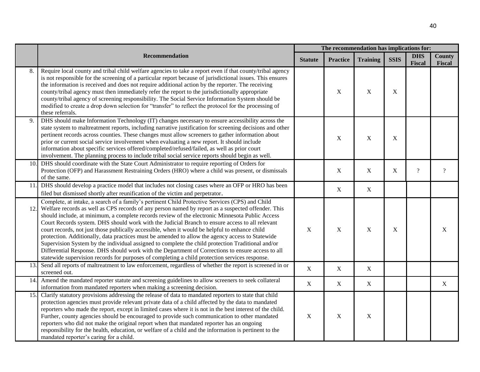|      |                                                                                                                                                                                                                                                                                                                                                                                                                                                                                                                                                                                                                                                                                                                                                                                                                                                                                                                               |                | The recommendation has implications for: |                 |             |                             |                         |  |  |
|------|-------------------------------------------------------------------------------------------------------------------------------------------------------------------------------------------------------------------------------------------------------------------------------------------------------------------------------------------------------------------------------------------------------------------------------------------------------------------------------------------------------------------------------------------------------------------------------------------------------------------------------------------------------------------------------------------------------------------------------------------------------------------------------------------------------------------------------------------------------------------------------------------------------------------------------|----------------|------------------------------------------|-----------------|-------------|-----------------------------|-------------------------|--|--|
|      | Recommendation                                                                                                                                                                                                                                                                                                                                                                                                                                                                                                                                                                                                                                                                                                                                                                                                                                                                                                                | <b>Statute</b> | <b>Practice</b>                          | <b>Training</b> | <b>SSIS</b> | <b>DHS</b><br><b>Fiscal</b> | <b>County</b><br>Fiscal |  |  |
| 8.   | Require local county and tribal child welfare agencies to take a report even if that county/tribal agency<br>is not responsible for the screening of a particular report because of jurisdictional issues. This ensures<br>the information is received and does not require additional action by the reporter. The receiving<br>county/tribal agency must then immediately refer the report to the jurisdictionally appropriate<br>county/tribal agency of screening responsibility. The Social Service Information System should be<br>modified to create a drop down selection for "transfer" to reflect the protocol for the processing of<br>these referrals.                                                                                                                                                                                                                                                             |                | $\mathbf X$                              | $\mathbf X$     | X           |                             |                         |  |  |
| 9.   | DHS should make Information Technology (IT) changes necessary to ensure accessibility across the<br>state system to maltreatment reports, including narrative justification for screening decisions and other<br>pertinent records across counties. These changes must allow screeners to gather information about<br>prior or current social service involvement when evaluating a new report. It should include<br>information about specific services offered/completed/refused/failed, as well as prior court<br>involvement. The planning process to include tribal social service reports should begin as well.                                                                                                                                                                                                                                                                                                         |                | $\mathbf X$                              | $\mathbf X$     | $\mathbf X$ |                             |                         |  |  |
| 10.I | DHS should coordinate with the State Court Administrator to require reporting of Orders for<br>Protection (OFP) and Harassment Restraining Orders (HRO) where a child was present, or dismissals<br>of the same.                                                                                                                                                                                                                                                                                                                                                                                                                                                                                                                                                                                                                                                                                                              |                | $\mathbf X$                              | $\mathbf X$     | X           | $\overline{?}$              | $\gamma$                |  |  |
|      | 11. DHS should develop a practice model that includes not closing cases where an OFP or HRO has been<br>filed but dismissed shortly after reunification of the victim and perpetrator.                                                                                                                                                                                                                                                                                                                                                                                                                                                                                                                                                                                                                                                                                                                                        |                | $\mathbf X$                              | $\mathbf X$     |             |                             |                         |  |  |
| 12.  | Complete, at intake, a search of a family's pertinent Child Protective Services (CPS) and Child<br>Welfare records as well as CPS records of any person named by report as a suspected offender. This<br>should include, at minimum, a complete records review of the electronic Minnesota Public Access<br>Court Records system. DHS should work with the Judicial Branch to ensure access to all relevant<br>court records, not just those publically accessible, when it would be helpful to enhance child<br>protection. Additionally, data practices must be amended to allow the agency access to Statewide<br>Supervision System by the individual assigned to complete the child protection Traditional and/or<br>Differential Response. DHS should work with the Department of Corrections to ensure access to all<br>statewide supervision records for purposes of completing a child protection services response. | $\mathbf X$    | $\mathbf X$                              | $\mathbf X$     | $\mathbf X$ |                             | X                       |  |  |
| 13.  | Send all reports of maltreatment to law enforcement, regardless of whether the report is screened in or<br>screened out.                                                                                                                                                                                                                                                                                                                                                                                                                                                                                                                                                                                                                                                                                                                                                                                                      | $\mathbf X$    | $\mathbf X$                              | $\mathbf X$     |             |                             |                         |  |  |
| 14.  | Amend the mandated reporter statute and screening guidelines to allow screeners to seek collateral<br>information from mandated reporters when making a screening decision.                                                                                                                                                                                                                                                                                                                                                                                                                                                                                                                                                                                                                                                                                                                                                   | $\mathbf X$    | $\mathbf X$                              | $\mathbf X$     |             |                             | X                       |  |  |
| 15.  | Clarify statutory provisions addressing the release of data to mandated reporters to state that child<br>protection agencies must provide relevant private data of a child affected by the data to mandated<br>reporters who made the report, except in limited cases where it is not in the best interest of the child.<br>Further, county agencies should be encouraged to provide such communication to other mandated<br>reporters who did not make the original report when that mandated reporter has an ongoing<br>responsibility for the health, education, or welfare of a child and the information is pertinent to the<br>mandated reporter's caring for a child.                                                                                                                                                                                                                                                  | $\mathbf X$    | $\mathbf X$                              | $\mathbf X$     |             |                             |                         |  |  |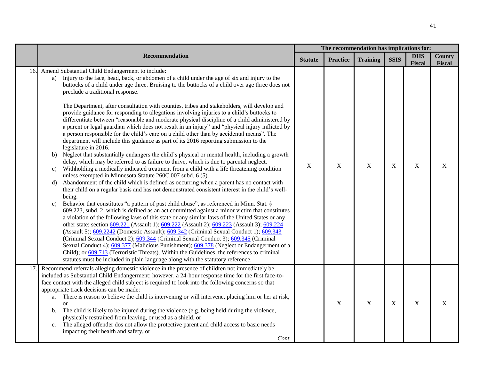|     |                                                                                                                                                                                                                                                                                                                                                                                                                                                                                                                                                                                                                                                                                                                                                                                                                                                                                                                                                                                                                                                                                                                                                                                                                                                                                                                                                                                                                                                                                                                                                                                                                                                                                                                                                                                                                                                                                                                                                                                                                                                                                                                                                                                                                                                                                                                                                                           | The recommendation has implications for: |                 |                 |             |                             |                         |
|-----|---------------------------------------------------------------------------------------------------------------------------------------------------------------------------------------------------------------------------------------------------------------------------------------------------------------------------------------------------------------------------------------------------------------------------------------------------------------------------------------------------------------------------------------------------------------------------------------------------------------------------------------------------------------------------------------------------------------------------------------------------------------------------------------------------------------------------------------------------------------------------------------------------------------------------------------------------------------------------------------------------------------------------------------------------------------------------------------------------------------------------------------------------------------------------------------------------------------------------------------------------------------------------------------------------------------------------------------------------------------------------------------------------------------------------------------------------------------------------------------------------------------------------------------------------------------------------------------------------------------------------------------------------------------------------------------------------------------------------------------------------------------------------------------------------------------------------------------------------------------------------------------------------------------------------------------------------------------------------------------------------------------------------------------------------------------------------------------------------------------------------------------------------------------------------------------------------------------------------------------------------------------------------------------------------------------------------------------------------------------------------|------------------------------------------|-----------------|-----------------|-------------|-----------------------------|-------------------------|
|     | <b>Recommendation</b>                                                                                                                                                                                                                                                                                                                                                                                                                                                                                                                                                                                                                                                                                                                                                                                                                                                                                                                                                                                                                                                                                                                                                                                                                                                                                                                                                                                                                                                                                                                                                                                                                                                                                                                                                                                                                                                                                                                                                                                                                                                                                                                                                                                                                                                                                                                                                     | <b>Statute</b>                           | <b>Practice</b> | <b>Training</b> | <b>SSIS</b> | <b>DHS</b><br><b>Fiscal</b> | <b>County</b><br>Fiscal |
| 16. | Amend Substantial Child Endangerment to include:<br>Injury to the face, head, back, or abdomen of a child under the age of six and injury to the<br>a)<br>buttocks of a child under age three. Bruising to the buttocks of a child over age three does not<br>preclude a traditional response.<br>The Department, after consultation with counties, tribes and stakeholders, will develop and<br>provide guidance for responding to allegations involving injuries to a child's buttocks to<br>differentiate between "reasonable and moderate physical discipline of a child administered by<br>a parent or legal guardian which does not result in an injury" and "physical injury inflicted by<br>a person responsible for the child's care on a child other than by accidental means". The<br>department will include this guidance as part of its 2016 reporting submission to the<br>legislature in 2016.<br>Neglect that substantially endangers the child's physical or mental health, including a growth<br>b)<br>delay, which may be referred to as failure to thrive, which is due to parental neglect.<br>Withholding a medically indicated treatment from a child with a life threatening condition<br>c)<br>unless exempted in Minnesota Statute 260C.007 subd. 6 (5).<br>Abandonment of the child which is defined as occurring when a parent has no contact with<br>d)<br>their child on a regular basis and has not demonstrated consistent interest in the child's well-<br>being.<br>Behavior that constitutes "a pattern of past child abuse", as referenced in Minn. Stat. §<br>e)<br>609.223, subd. 2, which is defined as an act committed against a minor victim that constitutes<br>a violation of the following laws of this state or any similar laws of the United States or any<br>other state: section 609.221 (Assault 1); 609.222 (Assault 2); 609.223 (Assault 3); 609.224<br>(Assault 5); 609.2242 (Domestic Assault); 609.342 (Criminal Sexual Conduct 1); 609.343<br>(Criminal Sexual Conduct 2); 609.344 (Criminal Sexual Conduct 3); 609.345 (Criminal<br>Sexual Conduct 4); 609.377 (Malicious Punishment); 609.378 (Neglect or Endangerment of a<br>Child); or 609.713 (Terroristic Threats). Within the Guidelines, the references to criminal<br>statutes must be included in plain language along with the statutory reference. | X                                        | X               | $\mathbf X$     | $\mathbf X$ | $\mathbf X$                 | X                       |
| 17  | Recommend referrals alleging domestic violence in the presence of children not immediately be<br>included as Substantial Child Endangerment; however, a 24-hour response time for the first face-to-<br>face contact with the alleged child subject is required to look into the following concerns so that<br>appropriate track decisions can be made:<br>There is reason to believe the child is intervening or will intervene, placing him or her at risk,<br>a.<br><sub>or</sub><br>The child is likely to be injured during the violence (e.g. being held during the violence,<br>b.<br>physically restrained from leaving, or used as a shield, or<br>The alleged offender dos not allow the protective parent and child access to basic needs<br>$c_{\cdot}$<br>impacting their health and safety, or<br>Cont.                                                                                                                                                                                                                                                                                                                                                                                                                                                                                                                                                                                                                                                                                                                                                                                                                                                                                                                                                                                                                                                                                                                                                                                                                                                                                                                                                                                                                                                                                                                                                     |                                          | $\mathbf X$     | $\mathbf X$     | $\mathbf X$ | $\mathbf X$                 | X                       |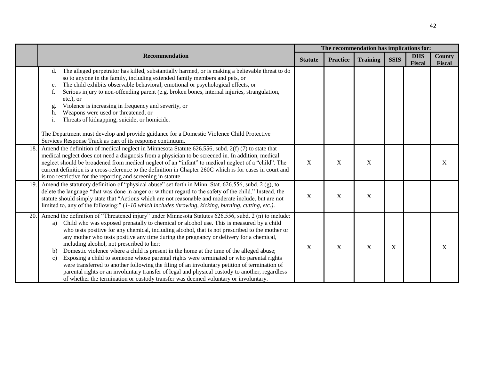|      |                                                                                                                                                                                                                                                                                                                                                                                                                                                                                                                                                                                                                                                                                                                                                                                                                                                                                                                                                                          |                |                 | The recommendation has implications for: |             |                             |                  |
|------|--------------------------------------------------------------------------------------------------------------------------------------------------------------------------------------------------------------------------------------------------------------------------------------------------------------------------------------------------------------------------------------------------------------------------------------------------------------------------------------------------------------------------------------------------------------------------------------------------------------------------------------------------------------------------------------------------------------------------------------------------------------------------------------------------------------------------------------------------------------------------------------------------------------------------------------------------------------------------|----------------|-----------------|------------------------------------------|-------------|-----------------------------|------------------|
|      | <b>Recommendation</b>                                                                                                                                                                                                                                                                                                                                                                                                                                                                                                                                                                                                                                                                                                                                                                                                                                                                                                                                                    | <b>Statute</b> | <b>Practice</b> | <b>Training</b>                          | <b>SSIS</b> | <b>DHS</b><br><b>Fiscal</b> | County<br>Fiscal |
|      | The alleged perpetrator has killed, substantially harmed, or is making a believable threat to do<br>d.<br>so to anyone in the family, including extended family members and pets, or<br>The child exhibits observable behavioral, emotional or psychological effects, or<br>e.<br>Serious injury to non-offending parent (e.g. broken bones, internal injuries, strangulation,<br>f.<br>etc.), or<br>Violence is increasing in frequency and severity, or<br>g.<br>Weapons were used or threatened, or<br>h.<br>Threats of kidnapping, suicide, or homicide.<br>i.<br>The Department must develop and provide guidance for a Domestic Violence Child Protective<br>Services Response Track as part of its response continuum.                                                                                                                                                                                                                                            |                |                 |                                          |             |                             |                  |
| 18.  | Amend the definition of medical neglect in Minnesota Statute 626.556, subd. 2(f) (7) to state that<br>medical neglect does not need a diagnosis from a physician to be screened in. In addition, medical<br>neglect should be broadened from medical neglect of an "infant" to medical neglect of a "child". The<br>current definition is a cross-reference to the definition in Chapter 260C which is for cases in court and<br>is too restrictive for the reporting and screening in statute.                                                                                                                                                                                                                                                                                                                                                                                                                                                                          | X              | X               | $\mathbf X$                              |             |                             | X                |
| 19.1 | Amend the statutory definition of "physical abuse" set forth in Minn. Stat. 626.556, subd. 2 (g), to<br>delete the language "that was done in anger or without regard to the safety of the child." Instead, the<br>statute should simply state that "Actions which are not reasonable and moderate include, but are not<br>limited to, any of the following:" $(1-10$ which includes throwing, kicking, burning, cutting, etc.).                                                                                                                                                                                                                                                                                                                                                                                                                                                                                                                                         | $\mathbf X$    | $\mathbf X$     | $\mathbf X$                              |             |                             |                  |
| 20.  | Amend the definition of "Threatened injury" under Minnesota Statutes 626.556, subd. 2 (n) to include:<br>Child who was exposed prenatally to chemical or alcohol use. This is measured by a child<br>a)<br>who tests positive for any chemical, including alcohol, that is not prescribed to the mother or<br>any mother who tests positive any time during the pregnancy or delivery for a chemical,<br>including alcohol, not prescribed to her;<br>Domestic violence where a child is present in the home at the time of the alleged abuse;<br>$\mathbf{b}$<br>Exposing a child to someone whose parental rights were terminated or who parental rights<br>$\mathcal{C}$ )<br>were transferred to another following the filing of an involuntary petition of termination of<br>parental rights or an involuntary transfer of legal and physical custody to another, regardless<br>of whether the termination or custody transfer was deemed voluntary or involuntary. | X              | X               | $\mathbf X$                              | X           |                             | X                |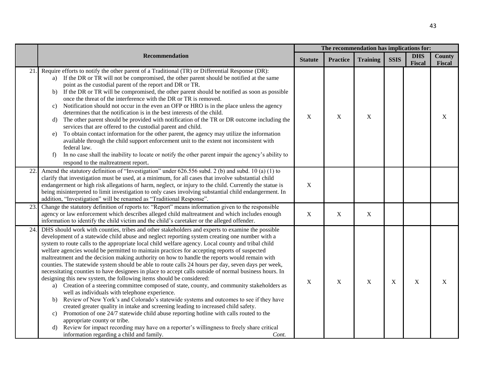|     |                                                                                                                                                                                                                                                                                                                                                                                                                                                                                                                                                                                                                                                                                                                                                                                                                                                                                                                                                                                                                                                                                                                                                                                                                                                                                                                                                                                                                                        | The recommendation has implications for: |                 |                 |             |                             |                  |  |  |
|-----|----------------------------------------------------------------------------------------------------------------------------------------------------------------------------------------------------------------------------------------------------------------------------------------------------------------------------------------------------------------------------------------------------------------------------------------------------------------------------------------------------------------------------------------------------------------------------------------------------------------------------------------------------------------------------------------------------------------------------------------------------------------------------------------------------------------------------------------------------------------------------------------------------------------------------------------------------------------------------------------------------------------------------------------------------------------------------------------------------------------------------------------------------------------------------------------------------------------------------------------------------------------------------------------------------------------------------------------------------------------------------------------------------------------------------------------|------------------------------------------|-----------------|-----------------|-------------|-----------------------------|------------------|--|--|
|     | Recommendation                                                                                                                                                                                                                                                                                                                                                                                                                                                                                                                                                                                                                                                                                                                                                                                                                                                                                                                                                                                                                                                                                                                                                                                                                                                                                                                                                                                                                         | <b>Statute</b>                           | <b>Practice</b> | <b>Training</b> | <b>SSIS</b> | <b>DHS</b><br><b>Fiscal</b> | County<br>Fiscal |  |  |
| 21  | Require efforts to notify the other parent of a Traditional (TR) or Differential Response (DR):<br>a) If the DR or TR will not be compromised, the other parent should be notified at the same<br>point as the custodial parent of the report and DR or TR.<br>If the DR or TR will be compromised, the other parent should be notified as soon as possible<br>b)<br>once the threat of the interference with the DR or TR is removed.<br>Notification should not occur in the even an OFP or HRO is in the place unless the agency<br>C)<br>determines that the notification is in the best interests of the child.<br>The other parent should be provided with notification of the TR or DR outcome including the<br>d)<br>services that are offered to the custodial parent and child.<br>To obtain contact information for the other parent, the agency may utilize the information<br>e)<br>available through the child support enforcement unit to the extent not inconsistent with<br>federal law.<br>In no case shall the inability to locate or notify the other parent impair the agency's ability to<br>f)<br>respond to the maltreatment report.                                                                                                                                                                                                                                                                           | $\mathbf X$                              | $\mathbf X$     | $\mathbf X$     |             |                             | X                |  |  |
| 22  | Amend the statutory definition of "Investigation" under 626.556 subd. 2 (b) and subd. 10 (a) (1) to<br>clarify that investigation must be used, at a minimum, for all cases that involve substantial child<br>endangerment or high risk allegations of harm, neglect, or injury to the child. Currently the statue is<br>being misinterpreted to limit investigation to only cases involving substantial child endangerment. In<br>addition, "Investigation" will be renamed as "Traditional Response".                                                                                                                                                                                                                                                                                                                                                                                                                                                                                                                                                                                                                                                                                                                                                                                                                                                                                                                                | $\mathbf X$                              |                 |                 |             |                             |                  |  |  |
| 23. | Change the statutory definition of reports to: "Report" means information given to the responsible<br>agency or law enforcement which describes alleged child maltreatment and which includes enough<br>information to identify the child victim and the child's caretaker or the alleged offender.                                                                                                                                                                                                                                                                                                                                                                                                                                                                                                                                                                                                                                                                                                                                                                                                                                                                                                                                                                                                                                                                                                                                    | $\boldsymbol{\mathrm{X}}$                | $\mathbf X$     | $\mathbf X$     |             |                             |                  |  |  |
| 24  | DHS should work with counties, tribes and other stakeholders and experts to examine the possible<br>development of a statewide child abuse and neglect reporting system creating one number with a<br>system to route calls to the appropriate local child welfare agency. Local county and tribal child<br>welfare agencies would be permitted to maintain practices for accepting reports of suspected<br>maltreatment and the decision making authority on how to handle the reports would remain with<br>counties. The statewide system should be able to route calls 24 hours per day, seven days per week,<br>necessitating counties to have designees in place to accept calls outside of normal business hours. In<br>designing this new system, the following items should be considered:<br>Creation of a steering committee composed of state, county, and community stakeholders as<br>a)<br>well as individuals with telephone experience.<br>Review of New York's and Colorado's statewide systems and outcomes to see if they have<br>b)<br>created greater quality in intake and screening leading to increased child safety.<br>Promotion of one 24/7 statewide child abuse reporting hotline with calls routed to the<br>c)<br>appropriate county or tribe.<br>Review for impact recording may have on a reporter's willingness to freely share critical<br>d)<br>information regarding a child and family.<br>Cont. | $\mathbf X$                              | X               | $\mathbf X$     | X           | $\mathbf X$                 | X                |  |  |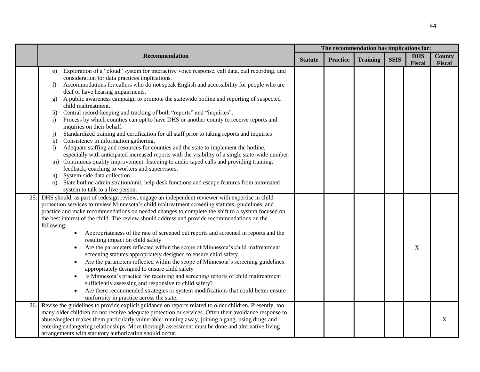|     |                                                                                                                                                                                                                                                                                                                                                                                                                                                                                                                                                                                                                                                                                                                                                                                                                                                                                                                                                                                                                                                                                                                                                                                                                                                                                                                                                      |                | The recommendation has implications for: |                 |             |                             |                  |
|-----|------------------------------------------------------------------------------------------------------------------------------------------------------------------------------------------------------------------------------------------------------------------------------------------------------------------------------------------------------------------------------------------------------------------------------------------------------------------------------------------------------------------------------------------------------------------------------------------------------------------------------------------------------------------------------------------------------------------------------------------------------------------------------------------------------------------------------------------------------------------------------------------------------------------------------------------------------------------------------------------------------------------------------------------------------------------------------------------------------------------------------------------------------------------------------------------------------------------------------------------------------------------------------------------------------------------------------------------------------|----------------|------------------------------------------|-----------------|-------------|-----------------------------|------------------|
|     | Recommendation                                                                                                                                                                                                                                                                                                                                                                                                                                                                                                                                                                                                                                                                                                                                                                                                                                                                                                                                                                                                                                                                                                                                                                                                                                                                                                                                       | <b>Statute</b> | <b>Practice</b>                          | <b>Training</b> | <b>SSIS</b> | <b>DHS</b><br><b>Fiscal</b> | County<br>Fiscal |
|     | Exploration of a "cloud" system for interactive voice response, call data, call recording, and<br>e)<br>consideration for data practices implications.<br>Accommodations for callers who do not speak English and accessibility for people who are<br>f)<br>deaf or have hearing impairments.<br>A public awareness campaign to promote the statewide hotline and reporting of suspected<br>g)<br>child maltreatment.<br>Central record-keeping and tracking of both "reports" and "inquiries".<br>h)<br>Process by which counties can opt to have DHS or another county to receive reports and<br>$\mathbf{i}$<br>inquiries on their behalf.<br>Standardized training and certification for all staff prior to taking reports and inquiries<br>j)<br>Consistency in information gathering.<br>$\bf k$<br>Adequate staffing and resources for counties and the state to implement the hotline,<br>$\mathbf{D}$<br>especially with anticipated increased reports with the visibility of a single state-wide number.<br>m) Continuous quality improvement: listening to audio taped calls and providing training,<br>feedback, coaching to workers and supervisors.<br>System-side data collection.<br>n)<br>State hotline administration/unit, help desk functions and escape features from automated<br>$\Omega$<br>system to talk to a live person. |                |                                          |                 |             |                             |                  |
| 25. | DHS should, as part of redesign review, engage an independent reviewer with expertise in child<br>protection services to review Minnesota's child maltreatment screening statutes, guidelines, and<br>practice and make recommendations on needed changes to complete the shift to a system focused on<br>the best interest of the child. The review should address and provide recommendations on the<br>following:<br>Appropriateness of the rate of screened out reports and screened in reports and the<br>resulting impact on child safety<br>Are the parameters reflected within the scope of Minnesota's child maltreatment<br>screening statutes appropriately designed to ensure child safety<br>Are the parameters reflected within the scope of Minnesota's screening guidelines<br>$\bullet$<br>appropriately designed to ensure child safety<br>Is Minnesota's practice for receiving and screening reports of child maltreatment<br>$\bullet$<br>sufficiently assessing and responsive to child safety?<br>Are there recommended strategies or system modifications that could better ensure<br>uniformity in practice across the state.                                                                                                                                                                                               |                |                                          |                 |             | X                           |                  |
| 26. | Revise the guidelines to provide explicit guidance on reports related to older children. Presently, too<br>many older children do not receive adequate protection or services. Often their avoidance response to<br>abuse/neglect makes them particularly vulnerable: running away, joining a gang, using drugs and<br>entering endangering relationships. More thorough assessment must be done and alternative living<br>arrangements with statutory authorization should occur.                                                                                                                                                                                                                                                                                                                                                                                                                                                                                                                                                                                                                                                                                                                                                                                                                                                                   |                |                                          |                 |             |                             | X                |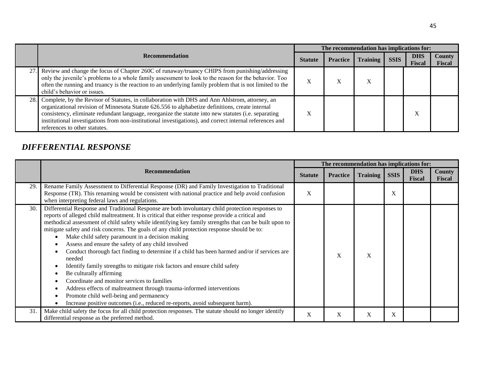|      |                                                                                                                                                                                                                                                                                                                                                                                                                                                         | The recommendation has implications for: |                 |                   |             |                      |                         |  |  |  |
|------|---------------------------------------------------------------------------------------------------------------------------------------------------------------------------------------------------------------------------------------------------------------------------------------------------------------------------------------------------------------------------------------------------------------------------------------------------------|------------------------------------------|-----------------|-------------------|-------------|----------------------|-------------------------|--|--|--|
|      | <b>Recommendation</b>                                                                                                                                                                                                                                                                                                                                                                                                                                   | <b>Statute</b>                           | <b>Practice</b> | <b>Training</b>   | <b>SSIS</b> | <b>DHS</b><br>Fiscal | County<br><b>Fiscal</b> |  |  |  |
|      | Review and change the focus of Chapter 260C of runaway/truancy CHIPS from punishing/addressing<br>only the juvenile's problems to a whole family assessment to look to the reason for the behavior. Too<br>often the running and truancy is the reaction to an underlying family problem that is not limited to the<br>child's behavior or issues.                                                                                                      | X                                        | л               | $\mathbf{v}$<br>л |             |                      |                         |  |  |  |
| 28.I | Complete, by the Revisor of Statutes, in collaboration with DHS and Ann Ahlstrom, attorney, an<br>organizational revision of Minnesota Statute 626.556 to alphabetize definitions, create internal<br>consistency, eliminate redundant language, reorganize the statute into new statutes (i.e. separating<br>institutional investigations from non-institutional investigations), and correct internal references and<br>references to other statutes. | X                                        |                 |                   |             | Λ                    |                         |  |  |  |

## *DIFFERENTIAL RESPONSE*

|     |                                                                                                                                                                                                                                                                                                                                                                                                                                                                                                                                                                                                                                                                                                                                                                                                                                                                                                                                                                                                  | The recommendation has implications for: |                 |                 |             |                             |                         |
|-----|--------------------------------------------------------------------------------------------------------------------------------------------------------------------------------------------------------------------------------------------------------------------------------------------------------------------------------------------------------------------------------------------------------------------------------------------------------------------------------------------------------------------------------------------------------------------------------------------------------------------------------------------------------------------------------------------------------------------------------------------------------------------------------------------------------------------------------------------------------------------------------------------------------------------------------------------------------------------------------------------------|------------------------------------------|-----------------|-----------------|-------------|-----------------------------|-------------------------|
|     | <b>Recommendation</b>                                                                                                                                                                                                                                                                                                                                                                                                                                                                                                                                                                                                                                                                                                                                                                                                                                                                                                                                                                            | <b>Statute</b>                           | <b>Practice</b> | <b>Training</b> | <b>SSIS</b> | <b>DHS</b><br><b>Fiscal</b> | <b>County</b><br>Fiscal |
| 29. | Rename Family Assessment to Differential Response (DR) and Family Investigation to Traditional<br>Response (TR). This renaming would be consistent with national practice and help avoid confusion<br>when interpreting federal laws and regulations.                                                                                                                                                                                                                                                                                                                                                                                                                                                                                                                                                                                                                                                                                                                                            | X                                        |                 |                 | X           |                             |                         |
| 30. | Differential Response and Traditional Response are both involuntary child protection responses to<br>reports of alleged child maltreatment. It is critical that either response provide a critical and<br>methodical assessment of child safety while identifying key family strengths that can be built upon to<br>mitigate safety and risk concerns. The goals of any child protection response should be to:<br>Make child safety paramount in a decision making<br>Assess and ensure the safety of any child involved<br>Conduct thorough fact finding to determine if a child has been harmed and/or if services are<br>needed<br>Identify family strengths to mitigate risk factors and ensure child safety<br>Be culturally affirming<br>Coordinate and monitor services to families<br>Address effects of maltreatment through trauma-informed interventions<br>Promote child well-being and permanency<br>Increase positive outcomes (i.e., reduced re-reports, avoid subsequent harm). |                                          | X               | X               |             |                             |                         |
| 31. | Make child safety the focus for all child protection responses. The statute should no longer identify<br>differential response as the preferred method.                                                                                                                                                                                                                                                                                                                                                                                                                                                                                                                                                                                                                                                                                                                                                                                                                                          | X                                        | X               | X               | X           |                             |                         |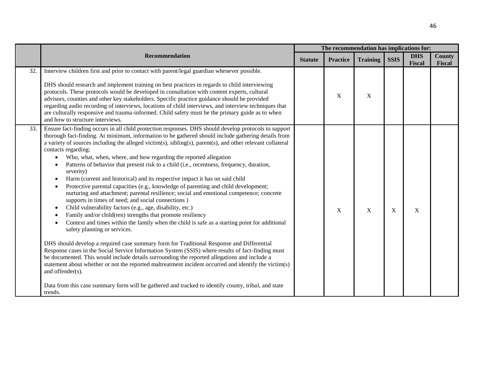|     |                                                                                                                                                                                                                                                                                                                                                                                                                                                                                                                                                                                                                                                                                                                                                                                                                                                                                                                                                                                                                                                                                                                                                                                                                                                                                                                                                                                                                                                                                                                                                                                                                                                                                     |                |                           |                 | The recommendation has implications for: |                             |                                |
|-----|-------------------------------------------------------------------------------------------------------------------------------------------------------------------------------------------------------------------------------------------------------------------------------------------------------------------------------------------------------------------------------------------------------------------------------------------------------------------------------------------------------------------------------------------------------------------------------------------------------------------------------------------------------------------------------------------------------------------------------------------------------------------------------------------------------------------------------------------------------------------------------------------------------------------------------------------------------------------------------------------------------------------------------------------------------------------------------------------------------------------------------------------------------------------------------------------------------------------------------------------------------------------------------------------------------------------------------------------------------------------------------------------------------------------------------------------------------------------------------------------------------------------------------------------------------------------------------------------------------------------------------------------------------------------------------------|----------------|---------------------------|-----------------|------------------------------------------|-----------------------------|--------------------------------|
|     | Recommendation                                                                                                                                                                                                                                                                                                                                                                                                                                                                                                                                                                                                                                                                                                                                                                                                                                                                                                                                                                                                                                                                                                                                                                                                                                                                                                                                                                                                                                                                                                                                                                                                                                                                      | <b>Statute</b> | <b>Practice</b>           | <b>Training</b> | <b>SSIS</b>                              | <b>DHS</b><br><b>Fiscal</b> | <b>County</b><br><b>Fiscal</b> |
| 32. | Interview children first and prior to contact with parent/legal guardian whenever possible.<br>DHS should research and implement training on best practices in regards to child interviewing<br>protocols. These protocols would be developed in consultation with content experts, cultural<br>advisors, counties and other key stakeholders. Specific practice guidance should be provided<br>regarding audio recording of interviews, locations of child interviews, and interview techniques that<br>are culturally responsive and trauma-informed. Child safety must be the primary guide as to when<br>and how to structure interviews.                                                                                                                                                                                                                                                                                                                                                                                                                                                                                                                                                                                                                                                                                                                                                                                                                                                                                                                                                                                                                                       |                | $\boldsymbol{\mathrm{X}}$ | X               |                                          |                             |                                |
| 33. | Ensure fact-finding occurs in all child protection responses. DHS should develop protocols to support<br>thorough fact-finding. At minimum, information to be gathered should include gathering details from<br>a variety of sources including the alleged victim(s), sibling(s), parent(s), and other relevant collateral<br>contacts regarding:<br>Who, what, when, where, and how regarding the reported allegation<br>$\bullet$<br>Patterns of behavior that present risk to a child (i.e., recentness, frequency, duration,<br>severity)<br>Harm (current and historical) and its respective impact it has on said child<br>Protective parental capacities (e.g., knowledge of parenting and child development;<br>nurturing and attachment; parental resilience; social and emotional competence; concrete<br>supports in times of need; and social connections)<br>Child vulnerability factors (e.g., age, disability, etc.)<br>Family and/or child(ren) strengths that promote resiliency<br>Context and times within the family when the child is safe as a starting point for additional<br>safety planning or services.<br>DHS should develop a required case summary form for Traditional Response and Differential<br>Response cases in the Social Service Information System (SSIS) where results of fact-finding must<br>be documented. This would include details surrounding the reported allegations and include a<br>statement about whether or not the reported maltreatment incident occurred and identify the victim(s)<br>and offender(s).<br>Data from this case summary form will be gathered and tracked to identify county, tribal, and state<br>trends. |                | X                         | X               | X                                        | X                           |                                |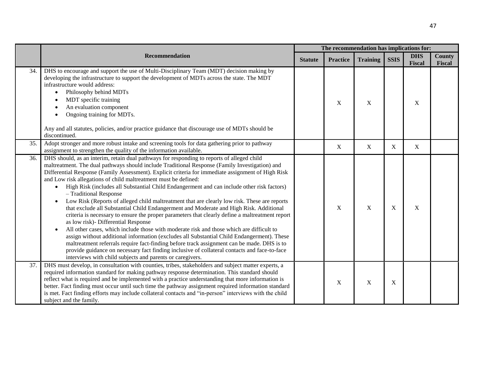|     |                                                                                                                                                                                                                                                                                                                                                                                                                                                                                                                                                                                                                                                                                                                                                                                                                                                                                                                                                                                                                                                                                                                                                                                                                                                                                                     |                | The recommendation has implications for: |                 |             |                      |                  |  |  |
|-----|-----------------------------------------------------------------------------------------------------------------------------------------------------------------------------------------------------------------------------------------------------------------------------------------------------------------------------------------------------------------------------------------------------------------------------------------------------------------------------------------------------------------------------------------------------------------------------------------------------------------------------------------------------------------------------------------------------------------------------------------------------------------------------------------------------------------------------------------------------------------------------------------------------------------------------------------------------------------------------------------------------------------------------------------------------------------------------------------------------------------------------------------------------------------------------------------------------------------------------------------------------------------------------------------------------|----------------|------------------------------------------|-----------------|-------------|----------------------|------------------|--|--|
|     | <b>Recommendation</b>                                                                                                                                                                                                                                                                                                                                                                                                                                                                                                                                                                                                                                                                                                                                                                                                                                                                                                                                                                                                                                                                                                                                                                                                                                                                               | <b>Statute</b> | <b>Practice</b>                          | <b>Training</b> | <b>SSIS</b> | <b>DHS</b><br>Fiscal | County<br>Fiscal |  |  |
| 34. | DHS to encourage and support the use of Multi-Disciplinary Team (MDT) decision making by<br>developing the infrastructure to support the development of MDTs across the state. The MDT<br>infrastructure would address:<br>Philosophy behind MDTs<br>MDT specific training<br>An evaluation component<br>Ongoing training for MDTs.<br>Any and all statutes, policies, and/or practice guidance that discourage use of MDTs should be<br>discontinued.                                                                                                                                                                                                                                                                                                                                                                                                                                                                                                                                                                                                                                                                                                                                                                                                                                              |                | $\mathbf X$                              | $\mathbf X$     |             | $\mathbf X$          |                  |  |  |
| 35. | Adopt stronger and more robust intake and screening tools for data gathering prior to pathway<br>assignment to strengthen the quality of the information available.                                                                                                                                                                                                                                                                                                                                                                                                                                                                                                                                                                                                                                                                                                                                                                                                                                                                                                                                                                                                                                                                                                                                 |                | $\boldsymbol{\mathrm{X}}$                | $\mathbf X$     | X           | X                    |                  |  |  |
| 36. | DHS should, as an interim, retain dual pathways for responding to reports of alleged child<br>maltreatment. The dual pathways should include Traditional Response (Family Investigation) and<br>Differential Response (Family Assessment). Explicit criteria for immediate assignment of High Risk<br>and Low risk allegations of child maltreatment must be defined:<br>High Risk (includes all Substantial Child Endangerment and can include other risk factors)<br>$\bullet$<br>- Traditional Response<br>Low Risk (Reports of alleged child maltreatment that are clearly low risk. These are reports<br>that exclude all Substantial Child Endangerment and Moderate and High Risk. Additional<br>criteria is necessary to ensure the proper parameters that clearly define a maltreatment report<br>as low risk)- Differential Response<br>All other cases, which include those with moderate risk and those which are difficult to<br>assign without additional information (excludes all Substantial Child Endangerment). These<br>maltreatment referrals require fact-finding before track assignment can be made. DHS is to<br>provide guidance on necessary fact finding inclusive of collateral contacts and face-to-face<br>interviews with child subjects and parents or caregivers. |                | X                                        | $\mathbf X$     | X           | X                    |                  |  |  |
| 37. | DHS must develop, in consultation with counties, tribes, stakeholders and subject matter experts, a<br>required information standard for making pathway response determination. This standard should<br>reflect what is required and be implemented with a practice understanding that more information is<br>better. Fact finding must occur until such time the pathway assignment required information standard<br>is met. Fact finding efforts may include collateral contacts and "in-person" interviews with the child<br>subject and the family.                                                                                                                                                                                                                                                                                                                                                                                                                                                                                                                                                                                                                                                                                                                                             |                | X                                        | $\mathbf X$     | X           |                      |                  |  |  |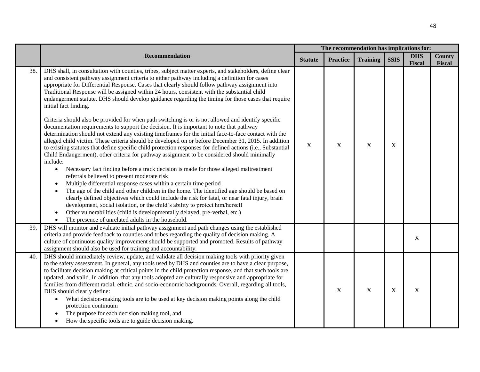|     |                                                                                                                                                                                                                                                                                                                                                                                                                                                                                                                                                                                                                                                                                                                                                                                                                                                                                                                                                                                                                                                                                                                                                                                                                                                                                                                                                                                                                                                                                                                                                                                                                                                                                                                                                                                                                                                                     |                |                 |                 |             |                      | The recommendation has implications for: |  |  |  |  |
|-----|---------------------------------------------------------------------------------------------------------------------------------------------------------------------------------------------------------------------------------------------------------------------------------------------------------------------------------------------------------------------------------------------------------------------------------------------------------------------------------------------------------------------------------------------------------------------------------------------------------------------------------------------------------------------------------------------------------------------------------------------------------------------------------------------------------------------------------------------------------------------------------------------------------------------------------------------------------------------------------------------------------------------------------------------------------------------------------------------------------------------------------------------------------------------------------------------------------------------------------------------------------------------------------------------------------------------------------------------------------------------------------------------------------------------------------------------------------------------------------------------------------------------------------------------------------------------------------------------------------------------------------------------------------------------------------------------------------------------------------------------------------------------------------------------------------------------------------------------------------------------|----------------|-----------------|-----------------|-------------|----------------------|------------------------------------------|--|--|--|--|
|     | Recommendation                                                                                                                                                                                                                                                                                                                                                                                                                                                                                                                                                                                                                                                                                                                                                                                                                                                                                                                                                                                                                                                                                                                                                                                                                                                                                                                                                                                                                                                                                                                                                                                                                                                                                                                                                                                                                                                      | <b>Statute</b> | <b>Practice</b> | <b>Training</b> | <b>SSIS</b> | <b>DHS</b><br>Fiscal | <b>County</b><br>Fiscal                  |  |  |  |  |
| 38. | DHS shall, in consultation with counties, tribes, subject matter experts, and stakeholders, define clear<br>and consistent pathway assignment criteria to either pathway including a definition for cases<br>appropriate for Differential Response. Cases that clearly should follow pathway assignment into<br>Traditional Response will be assigned within 24 hours, consistent with the substantial child<br>endangerment statute. DHS should develop guidance regarding the timing for those cases that require<br>initial fact finding.<br>Criteria should also be provided for when path switching is or is not allowed and identify specific<br>documentation requirements to support the decision. It is important to note that pathway<br>determination should not extend any existing timeframes for the initial face-to-face contact with the<br>alleged child victim. These criteria should be developed on or before December 31, 2015. In addition<br>to existing statutes that define specific child protection responses for defined actions (i.e., Substantial<br>Child Endangerment), other criteria for pathway assignment to be considered should minimally<br>include:<br>Necessary fact finding before a track decision is made for those alleged maltreatment<br>$\bullet$<br>referrals believed to present moderate risk<br>Multiple differential response cases within a certain time period<br>$\bullet$<br>The age of the child and other children in the home. The identified age should be based on<br>clearly defined objectives which could include the risk for fatal, or near fatal injury, brain<br>development, social isolation, or the child's ability to protect him/herself<br>Other vulnerabilities (child is developmentally delayed, pre-verbal, etc.)<br>The presence of unrelated adults in the household.<br>$\bullet$ | $\mathbf X$    | X               | $\mathbf X$     | $\mathbf X$ |                      |                                          |  |  |  |  |
| 39. | DHS will monitor and evaluate initial pathway assignment and path changes using the established<br>criteria and provide feedback to counties and tribes regarding the quality of decision making. A<br>culture of continuous quality improvement should be supported and promoted. Results of pathway<br>assignment should also be used for training and accountability.                                                                                                                                                                                                                                                                                                                                                                                                                                                                                                                                                                                                                                                                                                                                                                                                                                                                                                                                                                                                                                                                                                                                                                                                                                                                                                                                                                                                                                                                                            |                |                 |                 |             | X                    |                                          |  |  |  |  |
| 40. | DHS should immediately review, update, and validate all decision making tools with priority given<br>to the safety assessment. In general, any tools used by DHS and counties are to have a clear purpose,<br>to facilitate decision making at critical points in the child protection response, and that such tools are<br>updated, and valid. In addition, that any tools adopted are culturally responsive and appropriate for<br>families from different racial, ethnic, and socio-economic backgrounds. Overall, regarding all tools,<br>DHS should clearly define:<br>What decision-making tools are to be used at key decision making points along the child<br>$\bullet$<br>protection continuum<br>The purpose for each decision making tool, and<br>How the specific tools are to guide decision making.                                                                                                                                                                                                                                                                                                                                                                                                                                                                                                                                                                                                                                                                                                                                                                                                                                                                                                                                                                                                                                                  |                | X               | $\mathbf X$     | $\mathbf X$ | $\mathbf X$          |                                          |  |  |  |  |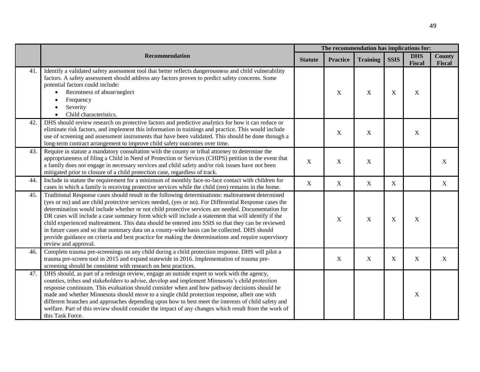|     |                                                                                                                                                                                                                                                                                                                                                                                                                                                                                                                                                                                                                                                                                                                                                               |                | The recommendation has implications for: |                 |             |                             |                         |
|-----|---------------------------------------------------------------------------------------------------------------------------------------------------------------------------------------------------------------------------------------------------------------------------------------------------------------------------------------------------------------------------------------------------------------------------------------------------------------------------------------------------------------------------------------------------------------------------------------------------------------------------------------------------------------------------------------------------------------------------------------------------------------|----------------|------------------------------------------|-----------------|-------------|-----------------------------|-------------------------|
|     | Recommendation                                                                                                                                                                                                                                                                                                                                                                                                                                                                                                                                                                                                                                                                                                                                                | <b>Statute</b> | <b>Practice</b>                          | <b>Training</b> | <b>SSIS</b> | <b>DHS</b><br><b>Fiscal</b> | <b>County</b><br>Fiscal |
| 41. | Identify a validated safety assessment tool that better reflects dangerousness and child vulnerability<br>factors. A safety assessment should address any factors proven to predict safety concerns. Some<br>potential factors could include:<br>Recentness of abuse/neglect<br>$\bullet$<br>Frequency<br>$\bullet$<br>Severity<br>Child characteristics.<br>$\bullet$                                                                                                                                                                                                                                                                                                                                                                                        |                | $\mathbf X$                              | X               | X           | X                           |                         |
| 42. | DHS should review research on protective factors and predictive analytics for how it can reduce or<br>eliminate risk factors, and implement this information in trainings and practice. This would include<br>use of screening and assessment instruments that have been validated. This should be done through a<br>long-term contract arrangement to improve child safety outcomes over time.                                                                                                                                                                                                                                                                                                                                                               |                | $\mathbf X$                              | X               |             | $\boldsymbol{X}$            |                         |
| 43. | Require in statute a mandatory consultation with the county or tribal attorney to determine the<br>appropriateness of filing a Child in Need of Protection or Services (CHIPS) petition in the event that<br>a family does not engage in necessary services and child safety and/or risk issues have not been<br>mitigated prior to closure of a child protection case, regardless of track.                                                                                                                                                                                                                                                                                                                                                                  | $\mathbf X$    | $\mathbf X$                              | X               |             |                             | X                       |
| 44. | Include in statute the requirement for a minimum of monthly face-to-face contact with children for<br>cases in which a family is receiving protective services while the child (ren) remains in the home.                                                                                                                                                                                                                                                                                                                                                                                                                                                                                                                                                     | $\mathbf X$    | $\mathbf X$                              | X               | X           |                             | $\mathbf X$             |
| 45. | Traditional Response cases should result in the following determinations: maltreatment determined<br>(yes or no) and are child protective services needed, (yes or no). For Differential Response cases the<br>determination would include whether or not child protective services are needed. Documentation for<br>DR cases will include a case summary form which will include a statement that will identify if the<br>child experienced maltreatment. This data should be entered into SSIS so that they can be reviewed<br>in future cases and so that summary data on a county-wide basis can be collected. DHS should<br>provide guidance on criteria and best practice for making the determinations and require supervisory<br>review and approval. |                | $\mathbf X$                              | X               | $\mathbf X$ | X                           |                         |
| 46. | Complete trauma pre-screenings on any child during a child protection response. DHS will pilot a<br>trauma pre-screen tool in 2015 and expand statewide in 2016. Implementation of trauma pre-<br>screening should be consistent with research on best practices.                                                                                                                                                                                                                                                                                                                                                                                                                                                                                             |                | X                                        | X               | X           | $\mathbf X$                 | X                       |
| 47. | DHS should, as part of a redesign review, engage an outside expert to work with the agency,<br>counties, tribes and stakeholders to advise, develop and implement Minnesota's child protection<br>response continuum. This evaluation should consider when and how pathway decisions should be<br>made and whether Minnesota should move to a single child protection response, albeit one with<br>different branches and approaches depending upon how to best meet the interests of child safety and<br>welfare. Part of this review should consider the impact of any changes which result from the work of<br>this Task Force.                                                                                                                            |                |                                          |                 |             | X                           |                         |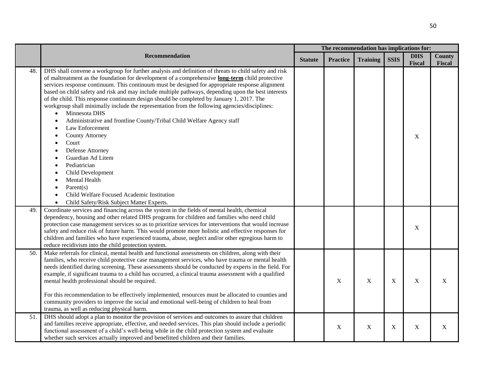|     |                                                                                                                                                                                                                                                                                                                                                                                                                                                                                                                                                                                                                                                                                                                                                                                                                                                                                                                                                                                               | The recommendation has implications for: |                 |                 |             |                             |                  |  |  |
|-----|-----------------------------------------------------------------------------------------------------------------------------------------------------------------------------------------------------------------------------------------------------------------------------------------------------------------------------------------------------------------------------------------------------------------------------------------------------------------------------------------------------------------------------------------------------------------------------------------------------------------------------------------------------------------------------------------------------------------------------------------------------------------------------------------------------------------------------------------------------------------------------------------------------------------------------------------------------------------------------------------------|------------------------------------------|-----------------|-----------------|-------------|-----------------------------|------------------|--|--|
|     | Recommendation                                                                                                                                                                                                                                                                                                                                                                                                                                                                                                                                                                                                                                                                                                                                                                                                                                                                                                                                                                                |                                          | <b>Practice</b> | <b>Training</b> | <b>SSIS</b> | <b>DHS</b><br><b>Fiscal</b> | County<br>Fiscal |  |  |
| 48. | DHS shall convene a workgroup for further analysis and definition of threats to child safety and risk<br>of maltreatment as the foundation for development of a comprehensive <b>long-term</b> child protective<br>services response continuum. This continuum must be designed for appropriate response alignment<br>based on child safety and risk and may include multiple pathways, depending upon the best interests<br>of the child. This response continuum design should be completed by January 1, 2017. The<br>workgroup shall minimally include the representation from the following agencies/disciplines:<br>Minnesota DHS<br>$\bullet$<br>Administrative and frontline County/Tribal Child Welfare Agency staff<br>Law Enforcement<br><b>County Attorney</b><br>Court<br>Defense Attorney<br>Guardian Ad Litem<br>Pediatrician<br>Child Development<br>Mental Health<br>Parent $(s)$<br>Child Welfare Focused Academic Institution<br>Child Safety/Risk Subject Matter Experts. |                                          |                 |                 |             | X                           |                  |  |  |
| 49. | Coordinate services and financing across the system in the fields of mental health, chemical<br>dependency, housing and other related DHS programs for children and families who need child<br>protection case management services so as to prioritize services for interventions that would increase<br>safety and reduce risk of future harm. This would promote more holistic and effective responses for<br>children and families who have experienced trauma, abuse, neglect and/or other egregious harm to<br>reduce recidivism into the child protection system.                                                                                                                                                                                                                                                                                                                                                                                                                       |                                          |                 |                 |             | $\boldsymbol{X}$            |                  |  |  |
| 50. | Make referrals for clinical, mental health and functional assessments on children, along with their<br>families, who receive child protective case management services, who have trauma or mental health<br>needs identified during screening. These assessments should be conducted by experts in the field. For<br>example, if significant trauma to a child has occurred, a clinical trauma assessment with a qualified<br>mental health professional should be required.<br>For this recommendation to be effectively implemented, resources must be allocated to counties and<br>community providers to improve the social and emotional well-being of children to heal from<br>trauma, as well as reducing physical harm.                                                                                                                                                                                                                                                               |                                          | X               | $\mathbf X$     | X           | $\mathbf X$                 | X                |  |  |
| 51. | DHS should adopt a plan to monitor the provision of services and outcomes to assure that children<br>and families receive appropriate, effective, and needed services. This plan should include a periodic<br>functional assessment of a child's well-being while in the child protection system and evaluate<br>whether such services actually improved and benefitted children and their families.                                                                                                                                                                                                                                                                                                                                                                                                                                                                                                                                                                                          |                                          | X               | $\mathbf X$     | X           | $\mathbf X$                 | X                |  |  |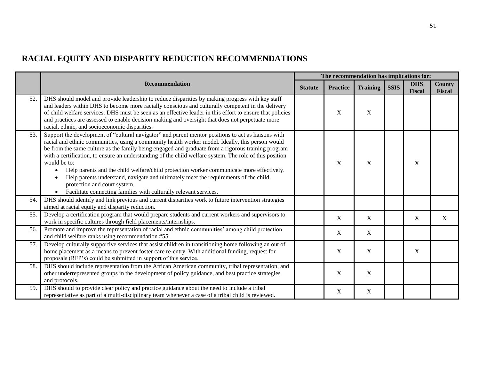# **RACIAL EQUITY AND DISPARITY REDUCTION RECOMMENDATIONS**

|     |                                                                                                                                                                                                                                                                                                                                                                                                                                                                                                                                                                                                                                                                                                                                  |                | The recommendation has implications for: |                 |             |                             |                         |
|-----|----------------------------------------------------------------------------------------------------------------------------------------------------------------------------------------------------------------------------------------------------------------------------------------------------------------------------------------------------------------------------------------------------------------------------------------------------------------------------------------------------------------------------------------------------------------------------------------------------------------------------------------------------------------------------------------------------------------------------------|----------------|------------------------------------------|-----------------|-------------|-----------------------------|-------------------------|
|     | <b>Recommendation</b>                                                                                                                                                                                                                                                                                                                                                                                                                                                                                                                                                                                                                                                                                                            | <b>Statute</b> | <b>Practice</b>                          | <b>Training</b> | <b>SSIS</b> | <b>DHS</b><br><b>Fiscal</b> | <b>County</b><br>Fiscal |
| 52. | DHS should model and provide leadership to reduce disparities by making progress with key staff<br>and leaders within DHS to become more racially conscious and culturally competent in the delivery<br>of child welfare services. DHS must be seen as an effective leader in this effort to ensure that policies<br>and practices are assessed to enable decision making and oversight that does not perpetuate more<br>racial, ethnic, and socioeconomic disparities.                                                                                                                                                                                                                                                          |                | X                                        | X               |             |                             |                         |
| 53. | Support the development of "cultural navigator" and parent mentor positions to act as liaisons with<br>racial and ethnic communities, using a community health worker model. Ideally, this person would<br>be from the same culture as the family being engaged and graduate from a rigorous training program<br>with a certification, to ensure an understanding of the child welfare system. The role of this position<br>would be to:<br>Help parents and the child welfare/child protection worker communicate more effectively.<br>Help parents understand, navigate and ultimately meet the requirements of the child<br>protection and court system.<br>Facilitate connecting families with culturally relevant services. |                | X                                        | X               |             | X                           |                         |
| 54. | DHS should identify and link previous and current disparities work to future intervention strategies<br>aimed at racial equity and disparity reduction.                                                                                                                                                                                                                                                                                                                                                                                                                                                                                                                                                                          |                |                                          |                 |             |                             |                         |
| 55. | Develop a certification program that would prepare students and current workers and supervisors to<br>work in specific cultures through field placements/internships.                                                                                                                                                                                                                                                                                                                                                                                                                                                                                                                                                            |                | X                                        | $\mathbf X$     |             | X                           | X                       |
| 56. | Promote and improve the representation of racial and ethnic communities' among child protection<br>and child welfare ranks using recommendation #55.                                                                                                                                                                                                                                                                                                                                                                                                                                                                                                                                                                             |                | X                                        | $\mathbf X$     |             |                             |                         |
| 57. | Develop culturally supportive services that assist children in transitioning home following an out of<br>home placement as a means to prevent foster care re-entry. With additional funding, request for<br>proposals (RFP's) could be submitted in support of this service.                                                                                                                                                                                                                                                                                                                                                                                                                                                     |                | X                                        | $\mathbf X$     |             | X                           |                         |
| 58. | DHS should include representation from the African American community, tribal representation, and<br>other underrepresented groups in the development of policy guidance, and best practice strategies<br>and protocols.                                                                                                                                                                                                                                                                                                                                                                                                                                                                                                         |                | X                                        | $\mathbf X$     |             |                             |                         |
| 59. | DHS should to provide clear policy and practice guidance about the need to include a tribal<br>representative as part of a multi-disciplinary team whenever a case of a tribal child is reviewed.                                                                                                                                                                                                                                                                                                                                                                                                                                                                                                                                |                | X                                        | X               |             |                             |                         |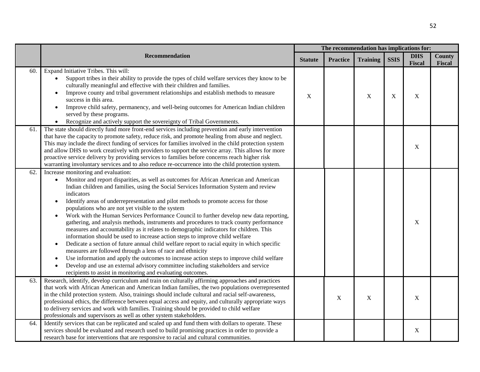|     |                                                                                                                                                                                                                                                                                                                                                                                                                                                                                                                                                                                                                                                                                                                                                                                                                                                                                                                                                                                                                                                                                                                                                                                                                  | The recommendation has implications for: |                 |                 |             |                             |                         |
|-----|------------------------------------------------------------------------------------------------------------------------------------------------------------------------------------------------------------------------------------------------------------------------------------------------------------------------------------------------------------------------------------------------------------------------------------------------------------------------------------------------------------------------------------------------------------------------------------------------------------------------------------------------------------------------------------------------------------------------------------------------------------------------------------------------------------------------------------------------------------------------------------------------------------------------------------------------------------------------------------------------------------------------------------------------------------------------------------------------------------------------------------------------------------------------------------------------------------------|------------------------------------------|-----------------|-----------------|-------------|-----------------------------|-------------------------|
|     | Recommendation                                                                                                                                                                                                                                                                                                                                                                                                                                                                                                                                                                                                                                                                                                                                                                                                                                                                                                                                                                                                                                                                                                                                                                                                   | <b>Statute</b>                           | <b>Practice</b> | <b>Training</b> | <b>SSIS</b> | <b>DHS</b><br><b>Fiscal</b> | <b>County</b><br>Fiscal |
| 60. | Expand Initiative Tribes. This will:<br>Support tribes in their ability to provide the types of child welfare services they know to be<br>culturally meaningful and effective with their children and families.<br>Improve county and tribal government relationships and establish methods to measure<br>$\bullet$<br>success in this area.<br>Improve child safety, permanency, and well-being outcomes for American Indian children<br>$\bullet$<br>served by these programs.<br>Recognize and actively support the sovereignty of Tribal Governments.                                                                                                                                                                                                                                                                                                                                                                                                                                                                                                                                                                                                                                                        | X                                        |                 | $\mathbf X$     | X           | X                           |                         |
| 61. | The state should directly fund more front-end services including prevention and early intervention<br>that have the capacity to promote safety, reduce risk, and promote healing from abuse and neglect.<br>This may include the direct funding of services for families involved in the child protection system<br>and allow DHS to work creatively with providers to support the service array. This allows for more<br>proactive service delivery by providing services to families before concerns reach higher risk<br>warranting involuntary services and to also reduce re-occurrence into the child protection system.                                                                                                                                                                                                                                                                                                                                                                                                                                                                                                                                                                                   |                                          |                 |                 |             | X                           |                         |
| 62. | Increase monitoring and evaluation:<br>Monitor and report disparities, as well as outcomes for African American and American<br>$\bullet$<br>Indian children and families, using the Social Services Information System and review<br>indicators<br>Identify areas of underrepresentation and pilot methods to promote access for those<br>populations who are not yet visible to the system<br>Work with the Human Services Performance Council to further develop new data reporting,<br>$\bullet$<br>gathering, and analysis methods, instruments and procedures to track county performance<br>measures and accountability as it relates to demographic indicators for children. This<br>information should be used to increase action steps to improve child welfare<br>Dedicate a section of future annual child welfare report to racial equity in which specific<br>$\bullet$<br>measures are followed through a lens of race and ethnicity<br>Use information and apply the outcomes to increase action steps to improve child welfare<br>$\bullet$<br>Develop and use an external advisory committee including stakeholders and service<br>recipients to assist in monitoring and evaluating outcomes. |                                          |                 |                 |             | X                           |                         |
| 63. | Research, identify, develop curriculum and train on culturally affirming approaches and practices<br>that work with African American and American Indian families, the two populations overrepresented<br>in the child protection system. Also, trainings should include cultural and racial self-awareness,<br>professional ethics, the difference between equal access and equity, and culturally appropriate ways<br>to delivery services and work with families. Training should be provided to child welfare<br>professionals and supervisors as well as other system stakeholders.                                                                                                                                                                                                                                                                                                                                                                                                                                                                                                                                                                                                                         |                                          | X               | X               |             | $\mathbf X$                 |                         |
| 64. | Identify services that can be replicated and scaled up and fund them with dollars to operate. These<br>services should be evaluated and research used to build promising practices in order to provide a<br>research base for interventions that are responsive to racial and cultural communities.                                                                                                                                                                                                                                                                                                                                                                                                                                                                                                                                                                                                                                                                                                                                                                                                                                                                                                              |                                          |                 |                 |             | $\boldsymbol{X}$            |                         |

52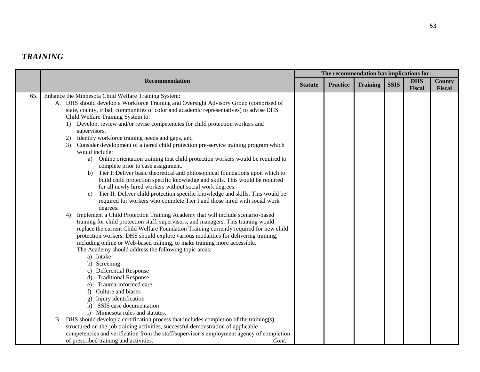# *TRAINING*

|     |                                                                                                                                                                                                                                                                                                                                                                                                                                                                                                                                                                                                                                                                                                                                                                                                                                                                                                                                                                                                                                                                                                                                                                                                                                                                                                                                                                                                                                                                                                                                                                                                                                                                                                                                                                                                                                                                                  | The recommendation has implications for: |                 |                 |             |                      |                         |  |  |
|-----|----------------------------------------------------------------------------------------------------------------------------------------------------------------------------------------------------------------------------------------------------------------------------------------------------------------------------------------------------------------------------------------------------------------------------------------------------------------------------------------------------------------------------------------------------------------------------------------------------------------------------------------------------------------------------------------------------------------------------------------------------------------------------------------------------------------------------------------------------------------------------------------------------------------------------------------------------------------------------------------------------------------------------------------------------------------------------------------------------------------------------------------------------------------------------------------------------------------------------------------------------------------------------------------------------------------------------------------------------------------------------------------------------------------------------------------------------------------------------------------------------------------------------------------------------------------------------------------------------------------------------------------------------------------------------------------------------------------------------------------------------------------------------------------------------------------------------------------------------------------------------------|------------------------------------------|-----------------|-----------------|-------------|----------------------|-------------------------|--|--|
|     | Recommendation                                                                                                                                                                                                                                                                                                                                                                                                                                                                                                                                                                                                                                                                                                                                                                                                                                                                                                                                                                                                                                                                                                                                                                                                                                                                                                                                                                                                                                                                                                                                                                                                                                                                                                                                                                                                                                                                   | <b>Statute</b>                           | <b>Practice</b> | <b>Training</b> | <b>SSIS</b> | <b>DHS</b><br>Fiscal | <b>County</b><br>Fiscal |  |  |
| 65. | Enhance the Minnesota Child Welfare Training System:<br>A. DHS should develop a Workforce Training and Oversight Advisory Group (comprised of<br>state, county, tribal, communities of color and academic representatives) to advise DHS<br>Child Welfare Training System to:<br>1) Develop, review and/or revise competencies for child protection workers and<br>supervisors,<br>Identify workforce training needs and gaps, and<br>2)<br>Consider development of a tiered child protection pre-service training program which<br>3)<br>would include:<br>Online orientation training that child protection workers would be required to<br>a)<br>complete prior to case assignment.<br>Tier I: Deliver basic theoretical and philosophical foundations upon which to<br>b)<br>build child protection specific knowledge and skills. This would be required<br>for all newly hired workers without social work degrees.<br>Tier II: Deliver child protection specific knowledge and skills. This would be<br>$\mathbf{c}$<br>required for workers who complete Tier I and those hired with social work<br>degrees.<br>Implement a Child Protection Training Academy that will include scenario-based<br>4)<br>training for child protection staff, supervisors, and managers. This training would<br>replace the current Child Welfare Foundation Training currently required for new child<br>protection workers. DHS should explore various modalities for delivering training,<br>including online or Web-based training, to make training more accessible.<br>The Academy should address the following topic areas:<br>a) Intake<br>b) Screening<br>c) Differential Response<br><b>Traditional Response</b><br>Trauma-informed care<br>e)<br>Culture and biases<br>f)<br>Injury identification<br>SSIS case documentation<br>Minnesota rules and statutes.<br>$\mathbf{i}$ |                                          |                 |                 |             |                      |                         |  |  |
|     | B. DHS should develop a certification process that includes completion of the training(s),<br>structured on-the-job training activities, successful demonstration of applicable<br>competencies and verification from the staff/supervisor's employment agency of completion                                                                                                                                                                                                                                                                                                                                                                                                                                                                                                                                                                                                                                                                                                                                                                                                                                                                                                                                                                                                                                                                                                                                                                                                                                                                                                                                                                                                                                                                                                                                                                                                     |                                          |                 |                 |             |                      |                         |  |  |
|     | of prescribed training and activities.<br>Cont.                                                                                                                                                                                                                                                                                                                                                                                                                                                                                                                                                                                                                                                                                                                                                                                                                                                                                                                                                                                                                                                                                                                                                                                                                                                                                                                                                                                                                                                                                                                                                                                                                                                                                                                                                                                                                                  |                                          |                 |                 |             |                      |                         |  |  |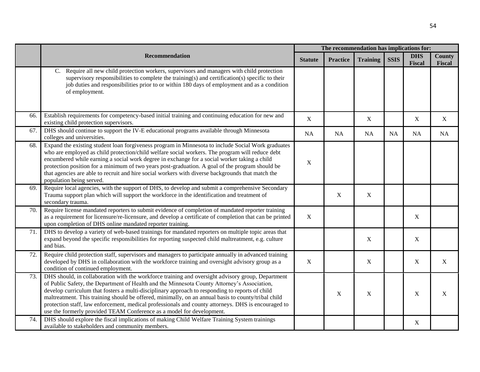|     |                                                                                                                                                                                                                                                                                                                                                                                                                                                                                                                                                                                            | The recommendation has implications for: |                 |                 |             |                             |                  |
|-----|--------------------------------------------------------------------------------------------------------------------------------------------------------------------------------------------------------------------------------------------------------------------------------------------------------------------------------------------------------------------------------------------------------------------------------------------------------------------------------------------------------------------------------------------------------------------------------------------|------------------------------------------|-----------------|-----------------|-------------|-----------------------------|------------------|
|     | Recommendation                                                                                                                                                                                                                                                                                                                                                                                                                                                                                                                                                                             | <b>Statute</b>                           | <b>Practice</b> | <b>Training</b> | <b>SSIS</b> | <b>DHS</b><br><b>Fiscal</b> | County<br>Fiscal |
|     | Require all new child protection workers, supervisors and managers with child protection<br>C.<br>supervisory responsibilities to complete the training(s) and certification(s) specific to their<br>job duties and responsibilities prior to or within 180 days of employment and as a condition<br>of employment.                                                                                                                                                                                                                                                                        |                                          |                 |                 |             |                             |                  |
| 66. | Establish requirements for competency-based initial training and continuing education for new and<br>existing child protection supervisors.                                                                                                                                                                                                                                                                                                                                                                                                                                                | X                                        |                 | X               |             | X                           | X                |
| 67. | DHS should continue to support the IV-E educational programs available through Minnesota<br>colleges and universities.                                                                                                                                                                                                                                                                                                                                                                                                                                                                     | <b>NA</b>                                | <b>NA</b>       | NA              | <b>NA</b>   | NA                          | <b>NA</b>        |
| 68. | Expand the existing student loan forgiveness program in Minnesota to include Social Work graduates<br>who are employed as child protection/child welfare social workers. The program will reduce debt<br>encumbered while earning a social work degree in exchange for a social worker taking a child<br>protection position for a minimum of two years post-graduation. A goal of the program should be<br>that agencies are able to recruit and hire social workers with diverse backgrounds that match the<br>population being served.                                                  | X                                        |                 |                 |             |                             |                  |
| 69. | Require local agencies, with the support of DHS, to develop and submit a comprehensive Secondary<br>Trauma support plan which will support the workforce in the identification and treatment of<br>secondary trauma.                                                                                                                                                                                                                                                                                                                                                                       |                                          | $\mathbf X$     | $\mathbf X$     |             |                             |                  |
| 70. | Require license mandated reporters to submit evidence of completion of mandated reporter training<br>as a requirement for licensure/re-licensure, and develop a certificate of completion that can be printed<br>upon completion of DHS online mandated reporter training.                                                                                                                                                                                                                                                                                                                 | $\boldsymbol{\mathrm{X}}$                |                 |                 |             | $\boldsymbol{X}$            |                  |
| 71. | DHS to develop a variety of web-based trainings for mandated reporters on multiple topic areas that<br>expand beyond the specific responsibilities for reporting suspected child maltreatment, e.g. culture<br>and bias.                                                                                                                                                                                                                                                                                                                                                                   |                                          |                 | X               |             | X                           |                  |
| 72. | Require child protection staff, supervisors and managers to participate annually in advanced training<br>developed by DHS in collaboration with the workforce training and oversight advisory group as a<br>condition of continued employment.                                                                                                                                                                                                                                                                                                                                             | X                                        |                 | X               |             | X                           | $\mathbf X$      |
| 73. | DHS should, in collaboration with the workforce training and oversight advisory group, Department<br>of Public Safety, the Department of Health and the Minnesota County Attorney's Association,<br>develop curriculum that fosters a multi-disciplinary approach to responding to reports of child<br>maltreatment. This training should be offered, minimally, on an annual basis to county/tribal child<br>protection staff, law enforcement, medical professionals and county attorneys. DHS is encouraged to<br>use the formerly provided TEAM Conference as a model for development. |                                          | X               | $\mathbf X$     |             | $\mathbf X$                 | X                |
| 74. | DHS should explore the fiscal implications of making Child Welfare Training System trainings<br>available to stakeholders and community members.                                                                                                                                                                                                                                                                                                                                                                                                                                           |                                          |                 |                 |             | X                           |                  |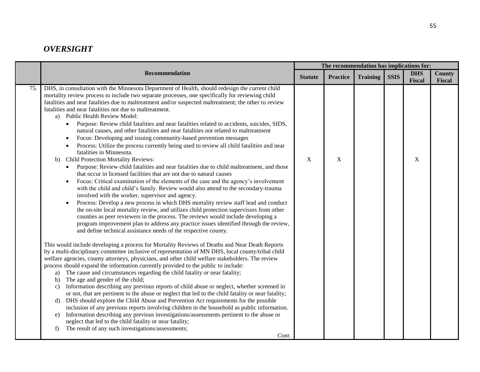## *OVERSIGHT*

|     |                                                                                                                                                                                                                                                                                                                                                                                                                                                                                                                                                                                                                                                                                                                                                                                                                                                                                                                                                                                                                                                                                                                                                                                                                                                                                                                                                                                                                                                                                                                                                                                                                                                                                                                                                                                                                                                                                                                                                                                                                                                                                                                                                                                                                                                                                                                                                                                                                                                                                                                                                                                                                                                                                                                                                                                                                                                                                                                              |                | The recommendation has implications for: |                 |             |                      |                         |  |  |
|-----|------------------------------------------------------------------------------------------------------------------------------------------------------------------------------------------------------------------------------------------------------------------------------------------------------------------------------------------------------------------------------------------------------------------------------------------------------------------------------------------------------------------------------------------------------------------------------------------------------------------------------------------------------------------------------------------------------------------------------------------------------------------------------------------------------------------------------------------------------------------------------------------------------------------------------------------------------------------------------------------------------------------------------------------------------------------------------------------------------------------------------------------------------------------------------------------------------------------------------------------------------------------------------------------------------------------------------------------------------------------------------------------------------------------------------------------------------------------------------------------------------------------------------------------------------------------------------------------------------------------------------------------------------------------------------------------------------------------------------------------------------------------------------------------------------------------------------------------------------------------------------------------------------------------------------------------------------------------------------------------------------------------------------------------------------------------------------------------------------------------------------------------------------------------------------------------------------------------------------------------------------------------------------------------------------------------------------------------------------------------------------------------------------------------------------------------------------------------------------------------------------------------------------------------------------------------------------------------------------------------------------------------------------------------------------------------------------------------------------------------------------------------------------------------------------------------------------------------------------------------------------------------------------------------------------|----------------|------------------------------------------|-----------------|-------------|----------------------|-------------------------|--|--|
|     | <b>Recommendation</b>                                                                                                                                                                                                                                                                                                                                                                                                                                                                                                                                                                                                                                                                                                                                                                                                                                                                                                                                                                                                                                                                                                                                                                                                                                                                                                                                                                                                                                                                                                                                                                                                                                                                                                                                                                                                                                                                                                                                                                                                                                                                                                                                                                                                                                                                                                                                                                                                                                                                                                                                                                                                                                                                                                                                                                                                                                                                                                        | <b>Statute</b> | <b>Practice</b>                          | <b>Training</b> | <b>SSIS</b> | <b>DHS</b><br>Fiscal | <b>County</b><br>Fiscal |  |  |
| 75. | DHS, in consultation with the Minnesota Department of Health, should redesign the current child<br>mortality review process to include two separate processes, one specifically for reviewing child<br>fatalities and near fatalities due to maltreatment and/or suspected maltreatment; the other to review<br>fatalities and near fatalities not due to maltreatment.<br>a) Public Health Review Model:<br>Purpose: Review child fatalities and near fatalities related to accidents, suicides, SIDS,<br>natural causes, and other fatalities and near fatalities not related to maltreatment<br>Focus: Developing and issuing community-based prevention messages<br>Process: Utilize the process currently being used to review all child fatalities and near<br>fatalities in Minnesota.<br><b>Child Protection Mortality Reviews:</b><br>b)<br>Purpose: Review child fatalities and near fatalities due to child maltreatment, and those<br>$\bullet$<br>that occur in licensed facilities that are not due to natural causes<br>Focus: Critical examination of the elements of the case and the agency's involvement<br>$\bullet$<br>with the child and child's family. Review would also attend to the secondary-trauma<br>involved with the worker, supervisor and agency.<br>Process: Develop a new process in which DHS mortality review staff lead and conduct<br>$\bullet$<br>the on-site local mortality review, and utilizes child protection supervisors from other<br>counties as peer reviewers in the process. The reviews would include developing a<br>program improvement plan to address any practice issues identified through the review,<br>and define technical assistance needs of the respective county.<br>This would include developing a process for Mortality Reviews of Deaths and Near Death Reports<br>by a multi-disciplinary committee inclusive of representation of MN DHS, local county/tribal child<br>welfare agencies, county attorneys, physicians, and other child welfare stakeholders. The review<br>process should expand the information currently provided to the public to include:<br>The cause and circumstances regarding the child fatality or near fatality;<br>a)<br>The age and gender of the child;<br>b)<br>Information describing any previous reports of child abuse or neglect, whether screened in<br>$\mathbf{c}$ )<br>or not, that are pertinent to the abuse or neglect that led to the child fatality or near fatality;<br>DHS should explore the Child Abuse and Prevention Act requirements for the possible<br>d)<br>inclusion of any previous reports involving children in the household as public information.<br>Information describing any previous investigations/assessments pertinent to the abuse or<br>e)<br>neglect that led to the child fatality or near fatality;<br>The result of any such investigations/assessments;<br>f)<br>Cont. | $\mathbf X$    | X                                        |                 |             | X                    |                         |  |  |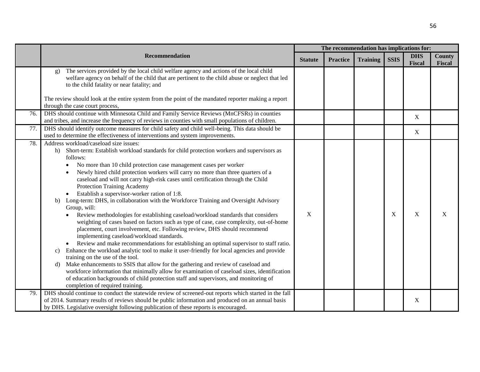|     |                                                                                                                                                                                                                                                                                                                                                                                                                                                                                                                                                                                                                                                                                                                                                                                                                                                                                                                                                                                                                                                                                                                                                                                                                                                                                                                                                                                                                                                                                            |                |                 | The recommendation has implications for: |             |                      |                         |  |
|-----|--------------------------------------------------------------------------------------------------------------------------------------------------------------------------------------------------------------------------------------------------------------------------------------------------------------------------------------------------------------------------------------------------------------------------------------------------------------------------------------------------------------------------------------------------------------------------------------------------------------------------------------------------------------------------------------------------------------------------------------------------------------------------------------------------------------------------------------------------------------------------------------------------------------------------------------------------------------------------------------------------------------------------------------------------------------------------------------------------------------------------------------------------------------------------------------------------------------------------------------------------------------------------------------------------------------------------------------------------------------------------------------------------------------------------------------------------------------------------------------------|----------------|-----------------|------------------------------------------|-------------|----------------------|-------------------------|--|
|     | Recommendation                                                                                                                                                                                                                                                                                                                                                                                                                                                                                                                                                                                                                                                                                                                                                                                                                                                                                                                                                                                                                                                                                                                                                                                                                                                                                                                                                                                                                                                                             | <b>Statute</b> | <b>Practice</b> | <b>Training</b>                          | <b>SSIS</b> | <b>DHS</b><br>Fiscal | <b>County</b><br>Fiscal |  |
|     | The services provided by the local child welfare agency and actions of the local child<br>$\mathbf{g}$ )<br>welfare agency on behalf of the child that are pertinent to the child abuse or neglect that led<br>to the child fatality or near fatality; and                                                                                                                                                                                                                                                                                                                                                                                                                                                                                                                                                                                                                                                                                                                                                                                                                                                                                                                                                                                                                                                                                                                                                                                                                                 |                |                 |                                          |             |                      |                         |  |
|     | The review should look at the entire system from the point of the mandated reporter making a report<br>through the case court process,                                                                                                                                                                                                                                                                                                                                                                                                                                                                                                                                                                                                                                                                                                                                                                                                                                                                                                                                                                                                                                                                                                                                                                                                                                                                                                                                                     |                |                 |                                          |             |                      |                         |  |
| 76. | DHS should continue with Minnesota Child and Family Service Reviews (MnCFSRs) in counties<br>and tribes, and increase the frequency of reviews in counties with small populations of children.                                                                                                                                                                                                                                                                                                                                                                                                                                                                                                                                                                                                                                                                                                                                                                                                                                                                                                                                                                                                                                                                                                                                                                                                                                                                                             |                |                 |                                          |             | X                    |                         |  |
| 77. | DHS should identify outcome measures for child safety and child well-being. This data should be<br>used to determine the effectiveness of interventions and system improvements.                                                                                                                                                                                                                                                                                                                                                                                                                                                                                                                                                                                                                                                                                                                                                                                                                                                                                                                                                                                                                                                                                                                                                                                                                                                                                                           |                |                 |                                          |             | X                    |                         |  |
| 78. | Address workload/caseload size issues:<br>Short-term: Establish workload standards for child protection workers and supervisors as<br>h)<br>follows:<br>No more than 10 child protection case management cases per worker<br>Newly hired child protection workers will carry no more than three quarters of a<br>caseload and will not carry high-risk cases until certification through the Child<br>Protection Training Academy<br>Establish a supervisor-worker ration of 1:8.<br>$\bullet$<br>Long-term: DHS, in collaboration with the Workforce Training and Oversight Advisory<br>b)<br>Group, will:<br>Review methodologies for establishing caseload/workload standards that considers<br>weighting of cases based on factors such as type of case, case complexity, out-of-home<br>placement, court involvement, etc. Following review, DHS should recommend<br>implementing caseload/workload standards.<br>Review and make recommendations for establishing an optimal supervisor to staff ratio.<br>$\bullet$<br>Enhance the workload analytic tool to make it user-friendly for local agencies and provide<br>C)<br>training on the use of the tool.<br>Make enhancements to SSIS that allow for the gathering and review of caseload and<br>d)<br>workforce information that minimally allow for examination of caseload sizes, identification<br>of education backgrounds of child protection staff and supervisors, and monitoring of<br>completion of required training. | $\mathbf X$    |                 |                                          | X           | X                    | X                       |  |
| 79. | DHS should continue to conduct the statewide review of screened-out reports which started in the fall<br>of 2014. Summary results of reviews should be public information and produced on an annual basis<br>by DHS. Legislative oversight following publication of these reports is encouraged.                                                                                                                                                                                                                                                                                                                                                                                                                                                                                                                                                                                                                                                                                                                                                                                                                                                                                                                                                                                                                                                                                                                                                                                           |                |                 |                                          |             | X                    |                         |  |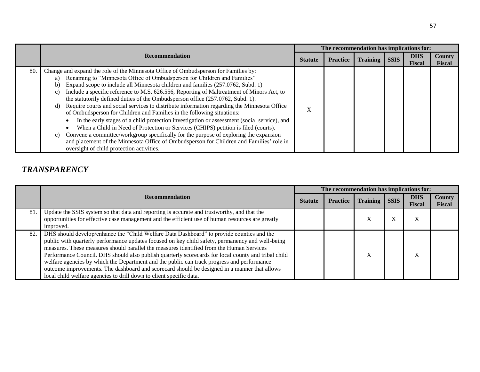|     |                                                                                                                                                                                                                                                                                                                                                                                                                                                                                                                                                                                                                                                                                                                                                                                                                                                                                                                                                                                                                                                                 | The recommendation has implications for: |                 |                 |             |                             |                         |  |  |
|-----|-----------------------------------------------------------------------------------------------------------------------------------------------------------------------------------------------------------------------------------------------------------------------------------------------------------------------------------------------------------------------------------------------------------------------------------------------------------------------------------------------------------------------------------------------------------------------------------------------------------------------------------------------------------------------------------------------------------------------------------------------------------------------------------------------------------------------------------------------------------------------------------------------------------------------------------------------------------------------------------------------------------------------------------------------------------------|------------------------------------------|-----------------|-----------------|-------------|-----------------------------|-------------------------|--|--|
|     | <b>Recommendation</b><br><b>Statute</b>                                                                                                                                                                                                                                                                                                                                                                                                                                                                                                                                                                                                                                                                                                                                                                                                                                                                                                                                                                                                                         |                                          | <b>Practice</b> | <b>Training</b> | <b>SSIS</b> | <b>DHS</b><br><b>Fiscal</b> | <b>County</b><br>Fiscal |  |  |
| 80. | Change and expand the role of the Minnesota Office of Ombudsperson for Families by:<br>Renaming to "Minnesota Office of Ombudsperson for Children and Families"<br>a)<br>Expand scope to include all Minnesota children and families (257.0762, Subd. 1)<br>b)<br>Include a specific reference to M.S. 626.556, Reporting of Maltreatment of Minors Act, to<br>C)<br>the statutorily defined duties of the Ombudsperson office (257.0762, Subd. 1).<br>Require courts and social services to distribute information regarding the Minnesota Office<br>d)<br>of Ombudsperson for Children and Families in the following situations:<br>In the early stages of a child protection investigation or assessment (social service), and<br>When a Child in Need of Protection or Services (CHIPS) petition is filed (courts).<br>Convene a committee/workgroup specifically for the purpose of exploring the expansion<br>e)<br>and placement of the Minnesota Office of Ombudsperson for Children and Families' role in<br>oversight of child protection activities. | $\lambda$                                |                 |                 |             |                             |                         |  |  |

## *TRANSPARENCY*

|     |                                                                                                                                                                                                                                                                                                                                                                                                                                                                                                                                                                                                                                                                       | The recommendation has implications for: |                 |                 |             |                             |                                |  |  |
|-----|-----------------------------------------------------------------------------------------------------------------------------------------------------------------------------------------------------------------------------------------------------------------------------------------------------------------------------------------------------------------------------------------------------------------------------------------------------------------------------------------------------------------------------------------------------------------------------------------------------------------------------------------------------------------------|------------------------------------------|-----------------|-----------------|-------------|-----------------------------|--------------------------------|--|--|
|     | <b>Recommendation</b>                                                                                                                                                                                                                                                                                                                                                                                                                                                                                                                                                                                                                                                 | <b>Statute</b>                           | <b>Practice</b> | <b>Training</b> | <b>SSIS</b> | <b>DHS</b><br><b>Fiscal</b> | <b>County</b><br><b>Fiscal</b> |  |  |
| 81  | Update the SSIS system so that data and reporting is accurate and trustworthy, and that the<br>opportunities for effective case management and the efficient use of human resources are greatly<br>improved.                                                                                                                                                                                                                                                                                                                                                                                                                                                          |                                          |                 | $\Lambda$       | л           | $\Lambda$                   |                                |  |  |
| 82. | DHS should develop/enhance the "Child Welfare Data Dashboard" to provide counties and the<br>public with quarterly performance updates focused on key child safety, permanency and well-being<br>measures. These measures should parallel the measures identified from the Human Services<br>Performance Council. DHS should also publish quarterly scorecards for local county and tribal child<br>welfare agencies by which the Department and the public can track progress and performance<br>outcome improvements. The dashboard and scorecard should be designed in a manner that allows<br>local child welfare agencies to drill down to client specific data. |                                          |                 | $\lambda$       |             | $\mathbf{v}$<br>л           |                                |  |  |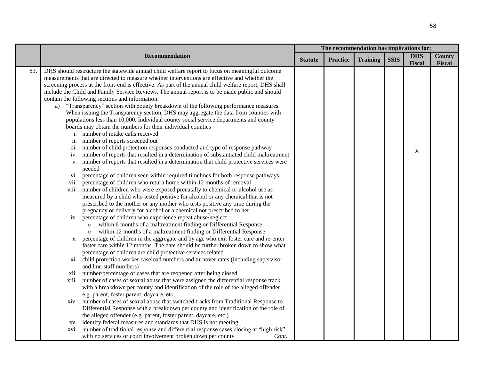|     | Recommendation                                                                                                                                                                                                                                                                                                                                                                                                                                                                                                                                                                                                                                                                                                                                                                                                                                                                                                                                                                                                                                                                                                                                                                                                                                                                                                                                                                                                                                                                                                                                                                                                                                                                                                                                                                                                                                                                                                                                                                                                                                                                                                                                                                                                                                                                                                                                                                                                                                                                                                                                                                                                           | The recommendation has implications for: |                 |                 |             |                      |                         |  |
|-----|--------------------------------------------------------------------------------------------------------------------------------------------------------------------------------------------------------------------------------------------------------------------------------------------------------------------------------------------------------------------------------------------------------------------------------------------------------------------------------------------------------------------------------------------------------------------------------------------------------------------------------------------------------------------------------------------------------------------------------------------------------------------------------------------------------------------------------------------------------------------------------------------------------------------------------------------------------------------------------------------------------------------------------------------------------------------------------------------------------------------------------------------------------------------------------------------------------------------------------------------------------------------------------------------------------------------------------------------------------------------------------------------------------------------------------------------------------------------------------------------------------------------------------------------------------------------------------------------------------------------------------------------------------------------------------------------------------------------------------------------------------------------------------------------------------------------------------------------------------------------------------------------------------------------------------------------------------------------------------------------------------------------------------------------------------------------------------------------------------------------------------------------------------------------------------------------------------------------------------------------------------------------------------------------------------------------------------------------------------------------------------------------------------------------------------------------------------------------------------------------------------------------------------------------------------------------------------------------------------------------------|------------------------------------------|-----------------|-----------------|-------------|----------------------|-------------------------|--|
|     |                                                                                                                                                                                                                                                                                                                                                                                                                                                                                                                                                                                                                                                                                                                                                                                                                                                                                                                                                                                                                                                                                                                                                                                                                                                                                                                                                                                                                                                                                                                                                                                                                                                                                                                                                                                                                                                                                                                                                                                                                                                                                                                                                                                                                                                                                                                                                                                                                                                                                                                                                                                                                          | <b>Statute</b>                           | <b>Practice</b> | <b>Training</b> | <b>SSIS</b> | <b>DHS</b><br>Fiscal | <b>County</b><br>Fiscal |  |
| 83. | DHS should restructure the statewide annual child welfare report to focus on meaningful outcome<br>measurements that are directed to measure whether interventions are effective and whether the<br>screening process at the front-end is effective. As part of the annual child welfare report, DHS shall<br>include the Child and Family Service Reviews. The annual report is to be made public and should<br>contain the following sections and information:<br>"Transparency" section with county breakdown of the following performance measures.<br>a)<br>When issuing the Transparency section, DHS may aggregate the data from counties with<br>populations less than 10,000. Individual county social service departments and county<br>boards may obtain the numbers for their individual counties<br>i. number of intake calls received<br>ii.<br>number of reports screened out<br>iii. number of child protection responses conducted and type of response pathway<br>number of reports that resulted in a determination of substantiated child maltreatment<br>iv.<br>number of reports that resulted in a determination that child protective services were<br>V.<br>needed<br>vi. percentage of children seen within required timelines for both response pathways<br>percentage of children who return home within 12 months of removal<br>V11.<br>viii. number of children who were exposed prenatally to chemical or alcohol use as<br>measured by a child who tested positive for alcohol or any chemical that is not<br>prescribed to the mother or any mother who tests positive any time during the<br>pregnancy or delivery for alcohol or a chemical not prescribed to her.<br>ix. percentage of children who experience repeat abuse/neglect<br>within 6 months of a maltreatment finding or Differential Response<br>$\circ$<br>within 12 months of a maltreatment finding or Differential Response<br>$\circ$<br>x. percentage of children in the aggregate and by age who exit foster care and re-enter<br>foster care within 12 months. The date should be further broken down to show what<br>percentage of children are child protective services related<br>xi. child protection worker caseload numbers and turnover rates (including supervisor<br>and line-staff numbers)<br>number/percentage of cases that are reopened after being closed<br>X11.<br>xiii. number of cases of sexual abuse that were assigned the differential response track<br>with a breakdown per county and identification of the role of the alleged offender,<br>e.g. parent, foster parent, daycare, etc |                                          |                 |                 |             | X                    |                         |  |
|     | xiv. number of cases of sexual abuse that switched tracks from Traditional Response to<br>Differential Response with a breakdown per county and identification of the role of<br>the alleged offender (e.g. parent, foster parent, daycare, etc.)<br>identify federal measures and standards that DHS is not meeting<br>XV.                                                                                                                                                                                                                                                                                                                                                                                                                                                                                                                                                                                                                                                                                                                                                                                                                                                                                                                                                                                                                                                                                                                                                                                                                                                                                                                                                                                                                                                                                                                                                                                                                                                                                                                                                                                                                                                                                                                                                                                                                                                                                                                                                                                                                                                                                              |                                          |                 |                 |             |                      |                         |  |
|     | xvi. number of traditional response and differential response cases closing at "high risk"<br>with no services or court involvement broken down per county<br>Cont.                                                                                                                                                                                                                                                                                                                                                                                                                                                                                                                                                                                                                                                                                                                                                                                                                                                                                                                                                                                                                                                                                                                                                                                                                                                                                                                                                                                                                                                                                                                                                                                                                                                                                                                                                                                                                                                                                                                                                                                                                                                                                                                                                                                                                                                                                                                                                                                                                                                      |                                          |                 |                 |             |                      |                         |  |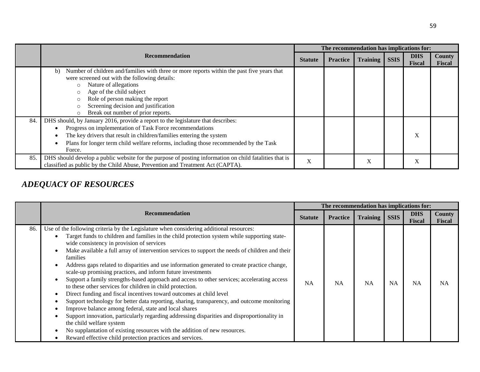|     |                                                                                                                                                                                                                                                                                                                                                |                | The recommendation has implications for: |                 |             |                             |                                |  |  |  |
|-----|------------------------------------------------------------------------------------------------------------------------------------------------------------------------------------------------------------------------------------------------------------------------------------------------------------------------------------------------|----------------|------------------------------------------|-----------------|-------------|-----------------------------|--------------------------------|--|--|--|
|     | <b>Recommendation</b>                                                                                                                                                                                                                                                                                                                          | <b>Statute</b> | <b>Practice</b>                          | <b>Training</b> | <b>SSIS</b> | <b>DHS</b><br><b>Fiscal</b> | <b>County</b><br><b>Fiscal</b> |  |  |  |
|     | Number of children and/families with three or more reports within the past five years that<br>b)<br>were screened out with the following details:<br>Nature of allegations<br>$\circ$<br>Age of the child subject<br>Role of person making the report<br>Screening decision and justification<br>Break out number of prior reports.<br>$\circ$ |                |                                          |                 |             |                             |                                |  |  |  |
| 84. | DHS should, by January 2016, provide a report to the legislature that describes:<br>Progress on implementation of Task Force recommendations<br>The key drivers that result in children/families entering the system<br>Plans for longer term child welfare reforms, including those recommended by the Task<br>Force.                         |                |                                          |                 |             | X                           |                                |  |  |  |
| 85. | DHS should develop a public website for the purpose of posting information on child fatalities that is<br>classified as public by the Child Abuse, Prevention and Treatment Act (CAPTA).                                                                                                                                                       | X              |                                          | X               |             | X                           |                                |  |  |  |

# *ADEQUACY OF RESOURCES*

|     |                                                                                                                                                                                                                                                                                                                                                                                                                                                                                                                                                                                                                                                                                                                                                                                                                                                                                                                                                                                                                                                                                                                                                                                            | The recommendation has implications for: |                 |                 |             |                             |                                |  |  |
|-----|--------------------------------------------------------------------------------------------------------------------------------------------------------------------------------------------------------------------------------------------------------------------------------------------------------------------------------------------------------------------------------------------------------------------------------------------------------------------------------------------------------------------------------------------------------------------------------------------------------------------------------------------------------------------------------------------------------------------------------------------------------------------------------------------------------------------------------------------------------------------------------------------------------------------------------------------------------------------------------------------------------------------------------------------------------------------------------------------------------------------------------------------------------------------------------------------|------------------------------------------|-----------------|-----------------|-------------|-----------------------------|--------------------------------|--|--|
|     | <b>Recommendation</b>                                                                                                                                                                                                                                                                                                                                                                                                                                                                                                                                                                                                                                                                                                                                                                                                                                                                                                                                                                                                                                                                                                                                                                      | <b>Statute</b>                           | <b>Practice</b> | <b>Training</b> | <b>SSIS</b> | <b>DHS</b><br><b>Fiscal</b> | <b>County</b><br><b>Fiscal</b> |  |  |
| 86. | Use of the following criteria by the Legislature when considering additional resources:<br>Target funds to children and families in the child protection system while supporting state-<br>wide consistency in provision of services<br>Make available a full array of intervention services to support the needs of children and their<br><b>families</b><br>Address gaps related to disparities and use information generated to create practice change,<br>scale-up promising practices, and inform future investments<br>Support a family strengths-based approach and access to other services; accelerating access<br>to these other services for children in child protection.<br>Direct funding and fiscal incentives toward outcomes at child level<br>Support technology for better data reporting, sharing, transparency, and outcome monitoring<br>Improve balance among federal, state and local shares<br>Support innovation, particularly regarding addressing disparities and disproportionality in<br>the child welfare system<br>No supplantation of existing resources with the addition of new resources.<br>Reward effective child protection practices and services. | NA                                       | <b>NA</b>       | <b>NA</b>       | <b>NA</b>   | <b>NA</b>                   | <b>NA</b>                      |  |  |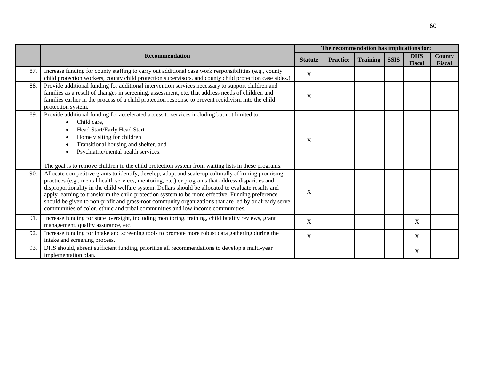|     |                                                                                                                                                                                                                                                                                                                                                                                                                                                                                                                                                                                                                  |                | The recommendation has implications for: |                 |             |                             |                  |  |  |
|-----|------------------------------------------------------------------------------------------------------------------------------------------------------------------------------------------------------------------------------------------------------------------------------------------------------------------------------------------------------------------------------------------------------------------------------------------------------------------------------------------------------------------------------------------------------------------------------------------------------------------|----------------|------------------------------------------|-----------------|-------------|-----------------------------|------------------|--|--|
|     | <b>Recommendation</b>                                                                                                                                                                                                                                                                                                                                                                                                                                                                                                                                                                                            | <b>Statute</b> | <b>Practice</b>                          | <b>Training</b> | <b>SSIS</b> | <b>DHS</b><br><b>Fiscal</b> | County<br>Fiscal |  |  |
| 87. | Increase funding for county staffing to carry out additional case work responsibilities (e.g., county<br>child protection workers, county child protection supervisors, and county child protection case aides.)                                                                                                                                                                                                                                                                                                                                                                                                 | $\mathbf X$    |                                          |                 |             |                             |                  |  |  |
| 88. | Provide additional funding for additional intervention services necessary to support children and<br>families as a result of changes in screening, assessment, etc. that address needs of children and<br>families earlier in the process of a child protection response to prevent recidivism into the child<br>protection system.                                                                                                                                                                                                                                                                              | X              |                                          |                 |             |                             |                  |  |  |
| 89. | Provide additional funding for accelerated access to services including but not limited to:<br>Child care.<br>Head Start/Early Head Start<br>Home visiting for children<br>Transitional housing and shelter, and<br>Psychiatric/mental health services.<br>The goal is to remove children in the child protection system from waiting lists in these programs.                                                                                                                                                                                                                                                   | X              |                                          |                 |             |                             |                  |  |  |
| 90. | Allocate competitive grants to identify, develop, adapt and scale-up culturally affirming promising<br>practices (e.g., mental health services, mentoring, etc.) or programs that address disparities and<br>disproportionality in the child welfare system. Dollars should be allocated to evaluate results and<br>apply learning to transform the child protection system to be more effective. Funding preference<br>should be given to non-profit and grass-root community organizations that are led by or already serve<br>communities of color, ethnic and tribal communities and low income communities. | X              |                                          |                 |             |                             |                  |  |  |
| 91. | Increase funding for state oversight, including monitoring, training, child fatality reviews, grant<br>management, quality assurance, etc.                                                                                                                                                                                                                                                                                                                                                                                                                                                                       | X              |                                          |                 |             | X                           |                  |  |  |
| 92. | Increase funding for intake and screening tools to promote more robust data gathering during the<br>intake and screening process.                                                                                                                                                                                                                                                                                                                                                                                                                                                                                | X              |                                          |                 |             | $\mathbf X$                 |                  |  |  |
| 93. | DHS should, absent sufficient funding, prioritize all recommendations to develop a multi-year<br>implementation plan.                                                                                                                                                                                                                                                                                                                                                                                                                                                                                            |                |                                          |                 |             | X                           |                  |  |  |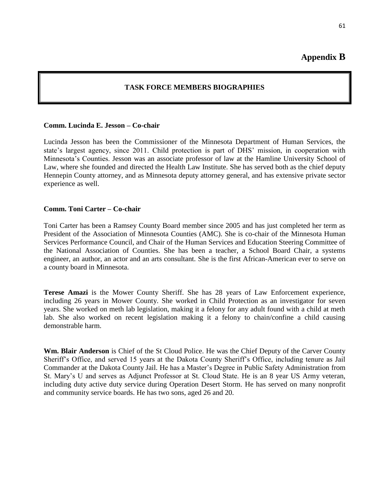**Appendix B**

### **TASK FORCE MEMBERS BIOGRAPHIES**

#### <span id="page-62-1"></span><span id="page-62-0"></span>**Comm. Lucinda E. Jesson – Co-chair**

Lucinda Jesson has been the Commissioner of the Minnesota Department of Human Services, the state's largest agency, since 2011. Child protection is part of DHS' mission, in cooperation with Minnesota's Counties. Jesson was an associate professor of law at the Hamline University School of Law, where she founded and directed the Health Law Institute. She has served both as the chief deputy Hennepin County attorney, and as Minnesota deputy attorney general, and has extensive private sector experience as well.

### **Comm. Toni Carter – Co-chair**

Toni Carter has been a Ramsey County Board member since 2005 and has just completed her term as President of the Association of Minnesota Counties (AMC). She is co-chair of the Minnesota Human Services Performance Council, and Chair of the Human Services and Education Steering Committee of the National Association of Counties. She has been a teacher, a School Board Chair, a systems engineer, an author, an actor and an arts consultant. She is the first African-American ever to serve on a county board in Minnesota.

**Terese Amazi** is the Mower County Sheriff. She has 28 years of Law Enforcement experience, including 26 years in Mower County. She worked in Child Protection as an investigator for seven years. She worked on meth lab legislation, making it a felony for any adult found with a child at meth lab. She also worked on recent legislation making it a felony to chain/confine a child causing demonstrable harm.

**Wm. Blair Anderson** is Chief of the St Cloud Police. He was the Chief Deputy of the Carver County Sheriff's Office, and served 15 years at the Dakota County Sheriff's Office, including tenure as Jail Commander at the Dakota County Jail. He has a Master's Degree in Public Safety Administration from St. Mary's U and serves as Adjunct Professor at St. Cloud State. He is an 8 year US Army veteran, including duty active duty service during Operation Desert Storm. He has served on many nonprofit and community service boards. He has two sons, aged 26 and 20.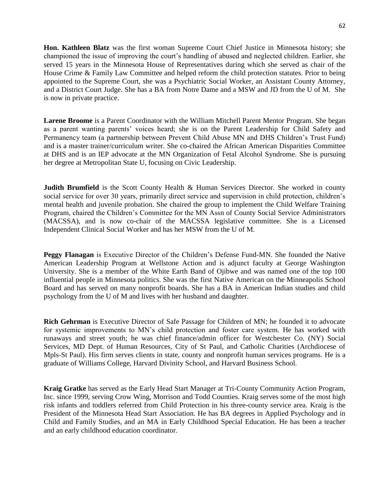**Hon. Kathleen Blatz** was the first woman Supreme Court Chief Justice in Minnesota history; she championed the issue of improving the court's handling of abused and neglected children. Earlier, she served 15 years in the Minnesota House of Representatives during which she served as chair of the House Crime & Family Law Committee and helped reform the child protection statutes. Prior to being appointed to the Supreme Court, she was a Psychiatric Social Worker, an Assistant County Attorney, and a District Court Judge. She has a BA from Notre Dame and a MSW and JD from the U of M. She is now in private practice.

**Larene Broome** is a Parent Coordinator with the William Mitchell Parent Mentor Program. She began as a parent wanting parents' voices heard; she is on the Parent Leadership for Child Safety and Permanency team (a partnership between Prevent Child Abuse MN and DHS Children's Trust Fund) and is a master trainer/curriculum writer. She co-chaired the African American Disparities Committee at DHS and is an IEP advocate at the MN Organization of Fetal Alcohol Syndrome. She is pursuing her degree at Metropolitan State U, focusing on Civic Leadership.

**Judith Brumfield** is the Scott County Health & Human Services Director. She worked in county social service for over 30 years, primarily direct service and supervision in child protection, children's mental health and juvenile probation. She chaired the group to implement the Child Welfare Training Program, chaired the Children's Committee for the MN Assn of County Social Service Administrators (MACSSA), and is now co-chair of the MACSSA legislative committee. She is a Licensed Independent Clinical Social Worker and has her MSW from the U of M.

**Peggy Flanagan** is Executive Director of the Children's Defense Fund-MN. She founded the Native American Leadership Program at Wellstone Action and is adjunct faculty at George Washington University. She is a member of the White Earth Band of Ojibwe and was named one of the top 100 influential people in Minnesota politics. She was the first Native American on the Minneapolis School Board and has served on many nonprofit boards. She has a BA in American Indian studies and child psychology from the U of M and lives with her husband and daughter.

**Rich Gehrman** is Executive Director of Safe Passage for Children of MN; he founded it to advocate for systemic improvements to MN's child protection and foster care system. He has worked with runaways and street youth; he was chief finance/admin officer for Westchester Co. (NY) Social Services, MD Dept. of Human Resources, City of St Paul, and Catholic Charities (Archdiocese of Mpls-St Paul). His firm serves clients in state, county and nonprofit human services programs. He is a graduate of Williams College, Harvard Divinity School, and Harvard Business School.

**Kraig Gratke** has served as the Early Head Start Manager at Tri-County Community Action Program, Inc. since 1999, serving Crow Wing, Morrison and Todd Counties. Kraig serves some of the most high risk infants and toddlers referred from Child Protection in his three-county service area. Kraig is the President of the Minnesota Head Start Association. He has BA degrees in Applied Psychology and in Child and Family Studies, and an MA in Early Childhood Special Education. He has been a teacher and an early childhood education coordinator.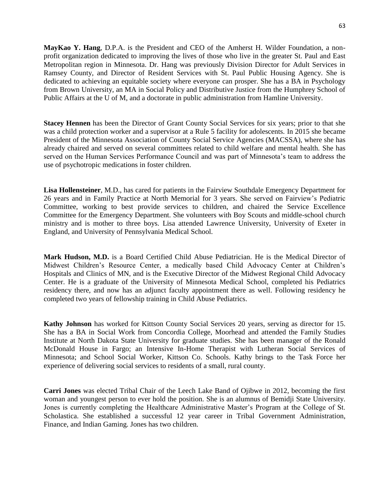**MayKao Y. Hang**, D.P.A. is the President and CEO of the Amherst H. Wilder Foundation, a nonprofit organization dedicated to improving the lives of those who live in the greater St. Paul and East Metropolitan region in Minnesota. Dr. Hang was previously Division Director for Adult Services in Ramsey County, and Director of Resident Services with St. Paul Public Housing Agency. She is dedicated to achieving an equitable society where everyone can prosper. She has a BA in Psychology from Brown University, an MA in Social Policy and Distributive Justice from the Humphrey School of Public Affairs at the U of M, and a doctorate in public administration from Hamline University.

**Stacey Hennen** has been the Director of Grant County Social Services for six years; prior to that she was a child protection worker and a supervisor at a Rule 5 facility for adolescents. In 2015 she became President of the Minnesota Association of County Social Service Agencies (MACSSA), where she has already chaired and served on several committees related to child welfare and mental health. She has served on the Human Services Performance Council and was part of Minnesota's team to address the use of psychotropic medications in foster children.

**Lisa Hollensteiner**, M.D., has cared for patients in the Fairview Southdale Emergency Department for 26 years and in Family Practice at North Memorial for 3 years. She served on Fairview's Pediatric Committee, working to best provide services to children, and chaired the Service Excellence Committee for the Emergency Department. She volunteers with Boy Scouts and middle-school church ministry and is mother to three boys. Lisa attended Lawrence University, University of Exeter in England, and University of Pennsylvania Medical School.

**Mark Hudson, M.D.** is a Board Certified Child Abuse Pediatrician. He is the Medical Director of Midwest Children's Resource Center, a medically based Child Advocacy Center at Children's Hospitals and Clinics of MN, and is the Executive Director of the Midwest Regional Child Advocacy Center. He is a graduate of the University of Minnesota Medical School, completed his Pediatrics residency there, and now has an adjunct faculty appointment there as well. Following residency he completed two years of fellowship training in Child Abuse Pediatrics.

**Kathy Johnson** has worked for Kittson County Social Services 20 years, serving as director for 15. She has a BA in Social Work from Concordia College, Moorhead and attended the Family Studies Institute at North Dakota State University for graduate studies. She has been manager of the Ronald McDonald House in Fargo; an Intensive In-Home Therapist with Lutheran Social Services of Minnesota; and School Social Worker, Kittson Co. Schools. Kathy brings to the Task Force her experience of delivering social services to residents of a small, rural county.

**Carri Jones** was elected Tribal Chair of the Leech Lake Band of Ojibwe in 2012, becoming the first woman and youngest person to ever hold the position. She is an alumnus of Bemidji State University. Jones is currently completing the Healthcare Administrative Master's Program at the College of St. Scholastica. She established a successful 12 year career in Tribal Government Administration, Finance, and Indian Gaming. Jones has two children.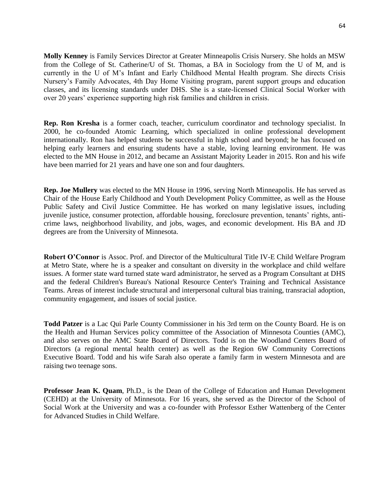**Molly Kenney** is Family Services Director at Greater Minneapolis Crisis Nursery. She holds an MSW from the College of St. Catherine/U of St. Thomas, a BA in Sociology from the U of M, and is currently in the U of M's Infant and Early Childhood Mental Health program. She directs Crisis Nursery's Family Advocates, 4th Day Home Visiting program, parent support groups and education classes, and its licensing standards under DHS. She is a state-licensed Clinical Social Worker with over 20 years' experience supporting high risk families and children in crisis.

**Rep. Ron Kresha** is a former coach, teacher, curriculum coordinator and technology specialist. In 2000, he co-founded Atomic Learning, which specialized in online professional development internationally. Ron has helped students be successful in high school and beyond; he has focused on helping early learners and ensuring students have a stable, loving learning environment. He was elected to the MN House in 2012, and became an Assistant Majority Leader in 2015. Ron and his wife have been married for 21 years and have one son and four daughters.

**Rep. Joe Mullery** was elected to the MN House in 1996, serving North Minneapolis. He has served as Chair of the House Early Childhood and Youth Development Policy Committee, as well as the House Public Safety and Civil Justice Committee. He has worked on many legislative issues, including juvenile justice, consumer protection, affordable housing, foreclosure prevention, tenants' rights, anticrime laws, neighborhood livability, and jobs, wages, and economic development. His BA and JD degrees are from the University of Minnesota.

**Robert O'Connor** is Assoc. Prof. and Director of the Multicultural Title IV-E Child Welfare Program at Metro State, where he is a speaker and consultant on diversity in the workplace and child welfare issues. A former state ward turned state ward administrator, he served as a Program Consultant at DHS and the federal Children's Bureau's National Resource Center's Training and Technical Assistance Teams. Areas of interest include structural and interpersonal cultural bias training, transracial adoption, community engagement, and issues of social justice.

**Todd Patzer** is a Lac Qui Parle County Commissioner in his 3rd term on the County Board. He is on the Health and Human Services policy committee of the Association of Minnesota Counties (AMC), and also serves on the AMC State Board of Directors. Todd is on the Woodland Centers Board of Directors (a regional mental health center) as well as the Region 6W Community Corrections Executive Board. Todd and his wife Sarah also operate a family farm in western Minnesota and are raising two teenage sons.

**Professor Jean K. Quam**, Ph.D., is the Dean of the College of Education and Human Development (CEHD) at the University of Minnesota. For 16 years, she served as the Director of the School of Social Work at the University and was a co-founder with Professor Esther Wattenberg of the Center for Advanced Studies in Child Welfare.